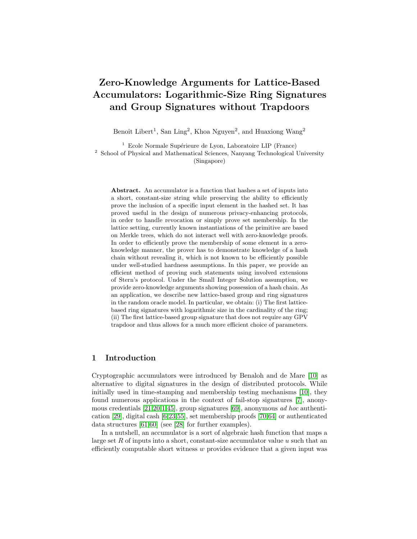# Zero-Knowledge Arguments for Lattice-Based Accumulators: Logarithmic-Size Ring Signatures and Group Signatures without Trapdoors

Benoît Libert<sup>1</sup>, San Ling<sup>2</sup>, Khoa Nguyen<sup>2</sup>, and Huaxiong Wang<sup>2</sup>

 $1$  Ecole Normale Supérieure de Lyon, Laboratoire LIP (France) <sup>2</sup> School of Physical and Mathematical Sciences, Nanyang Technological University (Singapore)

Abstract. An accumulator is a function that hashes a set of inputs into a short, constant-size string while preserving the ability to efficiently prove the inclusion of a specific input element in the hashed set. It has proved useful in the design of numerous privacy-enhancing protocols, in order to handle revocation or simply prove set membership. In the lattice setting, currently known instantiations of the primitive are based on Merkle trees, which do not interact well with zero-knowledge proofs. In order to efficiently prove the membership of some element in a zeroknowledge manner, the prover has to demonstrate knowledge of a hash chain without revealing it, which is not known to be efficiently possible under well-studied hardness assumptions. In this paper, we provide an efficient method of proving such statements using involved extensions of Stern's protocol. Under the Small Integer Solution assumption, we provide zero-knowledge arguments showing possession of a hash chain. As an application, we describe new lattice-based group and ring signatures in the random oracle model. In particular, we obtain: (i) The first latticebased ring signatures with logarithmic size in the cardinality of the ring; (ii) The first lattice-based group signature that does not require any GPV trapdoor and thus allows for a much more efficient choice of parameters.

## 1 Introduction

Cryptographic accumulators were introduced by Benaloh and de Mare [\[10\]](#page-26-0) as alternative to digital signatures in the design of distributed protocols. While initially used in time-stamping and membership testing mechanisms [\[10\]](#page-26-0), they found numerous applications in the context of fail-stop signatures [\[7\]](#page-26-1), anonymous credentials [\[21,](#page-27-0)[20,](#page-27-1)[1,](#page-26-2)[45\]](#page-28-0), group signatures [\[69\]](#page-29-0), anonymous ad hoc authentication [\[29\]](#page-27-2), digital cash [\[6,](#page-26-3)[23,](#page-27-3)[55\]](#page-29-1), set membership proofs [\[70,](#page-29-2)[64\]](#page-29-3) or authenticated data structures [\[61,](#page-29-4)[60\]](#page-29-5) (see [\[28\]](#page-27-4) for further examples).

In a nutshell, an accumulator is a sort of algebraic hash function that maps a large set  $R$  of inputs into a short, constant-size accumulator value  $u$  such that an efficiently computable short witness w provides evidence that a given input was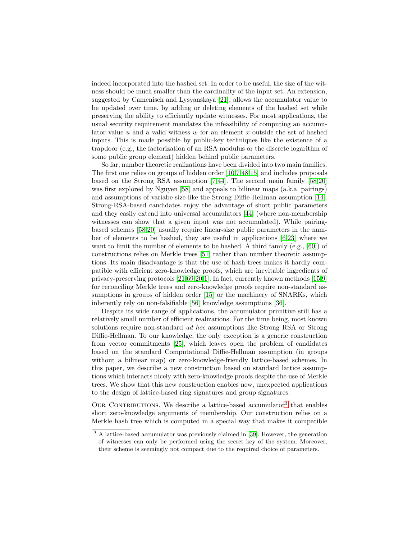indeed incorporated into the hashed set. In order to be useful, the size of the witness should be much smaller than the cardinality of the input set. An extension, suggested by Camenisch and Lysyanskaya [\[21\]](#page-27-0), allows the accumulator value to be updated over time, by adding or deleting elements of the hashed set while preserving the ability to efficiently update witnesses. For most applications, the usual security requirement mandates the infeasibility of computing an accumulator value u and a valid witness w for an element x outside the set of hashed inputs. This is made possible by public-key techniques like the existence of a trapdoor (e.g., the factorization of an RSA modulus or the discrete logarithm of some public group element) hidden behind public parameters.

So far, number theoretic realizations have been divided into two main families. The first one relies on groups of hidden order [\[10,](#page-26-0)[7,](#page-26-1)[48,](#page-28-1)[15\]](#page-27-5) and includes proposals based on the Strong RSA assumption [\[7,](#page-26-1)[44\]](#page-28-2). The second main family [\[58,](#page-29-6)[20\]](#page-27-1) was first explored by Nguyen [\[58\]](#page-29-6) and appeals to bilinear maps (a.k.a. pairings) and assumptions of variabe size like the Strong Diffie-Hellman assumption [\[14\]](#page-27-6). Strong-RSA-based candidates enjoy the advantage of short public parameters and they easily extend into universal accumulators [\[44\]](#page-28-2) (where non-membership witnesses can show that a given input was not accumulated). While pairingbased schemes [\[58,](#page-29-6)[20\]](#page-27-1) usually require linear-size public parameters in the number of elements to be hashed, they are useful in applications [\[6,](#page-26-3)[23\]](#page-27-3) where we want to limit the number of elements to be hashed. A third family (e.g., [\[60\]](#page-29-5)) of constructions relies on Merkle trees [\[51\]](#page-29-7) rather than number theoretic assumptions. Its main disadvantage is that the use of hash trees makes it hardly compatible with efficient zero-knowledge proofs, which are inevitable ingredients of privacy-preserving protocols [\[21,](#page-27-0)[69,](#page-29-0)[20,](#page-27-1)[1\]](#page-26-2). In fact, currently known methods [\[15,](#page-27-5)[9\]](#page-26-4) for reconciling Merkle trees and zero-knowledge proofs require non-standard as-sumptions in groups of hidden order [\[15\]](#page-27-5) or the machinery of SNARKs, which inherently rely on non-falsifiable [\[56\]](#page-29-8) knowledge assumptions [\[36\]](#page-28-3).

Despite its wide range of applications, the accumulator primitive still has a relatively small number of efficient realizations. For the time being, most known solutions require non-standard ad hoc assumptions like Strong RSA or Strong Diffie-Hellman. To our knowledge, the only exception is a generic construction from vector commitments [\[25\]](#page-27-7), which leaves open the problem of candidates based on the standard Computational Diffie-Hellman assumption (in groups without a bilinear map) or zero-knowledge-friendly lattice-based schemes. In this paper, we describe a new construction based on standard lattice assumptions which interacts nicely with zero-knowledge proofs despite the use of Merkle trees. We show that this new construction enables new, unexpected applications to the design of lattice-based ring signatures and group signatures.

OUR CONTRIBUTIONS. We describe a lattice-based accumulator<sup>[3](#page-1-0)</sup> that enables short zero-knowledge arguments of membership. Our construction relies on a Merkle hash tree which is computed in a special way that makes it compatible

<span id="page-1-0"></span><sup>&</sup>lt;sup>3</sup> A lattice-based accumulator was previously claimed in [\[39\]](#page-28-4). However, the generation of witnesses can only be performed using the secret key of the system. Moreover, their scheme is seemingly not compact due to the required choice of parameters.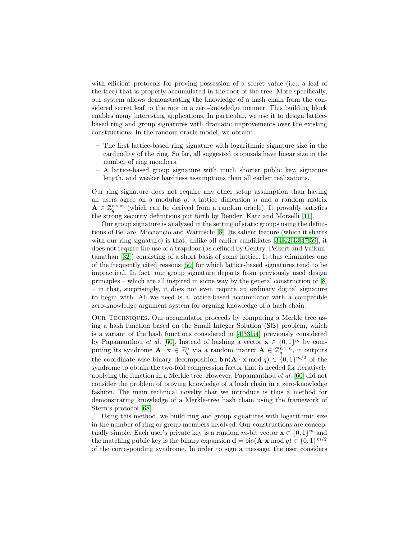with efficient protocols for proving possession of a secret value (i.e., a leaf of the tree) that is properly accumulated in the root of the tree. More specifically, our system allows demonstrating the knowledge of a hash chain from the considered secret leaf to the root in a zero-knowledge manner. This building block enables many interesting applications. In particular, we use it to design latticebased ring and group signatures with dramatic improvements over the existing constructions. In the random oracle model, we obtain:

- The first lattice-based ring signature with logarithmic signature size in the cardinality of the ring. So far, all suggested proposals have linear size in the number of ring members.
- A lattice-based group signature with much shorter public key, signature length, and weaker hardness assumptions than all earlier realizations.

Our ring signature does not require any other setup assumption than having all users agree on a modulus  $q$ , a lattice dimension  $n$  and a random matrix  $\mathbf{A} \in \mathbb{Z}_q^{n \times m}$  (which can be derived from a random oracle). It provably satisfies the strong security definitions put forth by Bender, Katz and Morselli [\[11\]](#page-26-5).

Our group signature is analyzed in the setting of static groups using the definitions of Bellare, Micciancio and Warinschi [\[8\]](#page-26-6). Its salient feature (which it shares with our ring signature) is that, unlike all earlier candidates [\[34,](#page-28-5)[42,](#page-28-6)[43,](#page-28-7)[47,](#page-28-8)[59\]](#page-29-9), it does not require the use of a trapdoor (as defined by Gentry, Peikert and Vaikuntanathan [\[32\]](#page-28-9)) consisting of a short basis of some lattice. It thus eliminates one of the frequently cited reasons [\[50\]](#page-29-10) for which lattice-based signatures tend to be impractical. In fact, our group signature departs from previously used design principles – which are all inspired in some way by the general construction of [\[8\]](#page-26-6) – in that, surprisingly, it does not even require an ordinary digital signature to begin with. All we need is a lattice-based accumulator with a compatible zero-knowledge argument system for arguing knowledge of a hash chain.

Our Techniques. Our accumulator proceeds by computing a Merkle tree using a hash function based on the Small Integer Solution (SIS) problem, which is a variant of the hash functions considered in [\[4,](#page-26-7)[33,](#page-28-10)[54\]](#page-29-11) previously considered by Papamanthou *et al.* [\[60\]](#page-29-5). Instead of hashing a vector  $\mathbf{x} \in \{0,1\}^m$  by computing its syndrome  $\mathbf{A} \cdot \mathbf{x} \in \mathbb{Z}_q^n$  via a random matrix  $\mathbf{A} \in \mathbb{Z}_q^{n \times m}$ , it outputs the coordinate-wise binary decomposition  $\text{bin}(\mathbf{A} \cdot \mathbf{x} \mod q) \in \{0,1\}^{m/2}$  of the syndrome to obtain the two-fold compression factor that is needed for iteratively applying the function in a Merkle tree. However, Papamanthou et al. [\[60\]](#page-29-5) did not consider the problem of proving knowledge of a hash chain in a zero-knowledge fashion. The main technical novelty that we introduce is thus a method for demonstrating knowledge of a Merkle-tree hash chain using the framework of Stern's protocol [\[68\]](#page-29-12).

Using this method, we build ring and group signatures with logarithmic size in the number of ring or group members involved. Our constructions are conceptually simple. Each user's private key is a random  $m$ -bit vector  $\mathbf{x} \in \{0, 1\}^m$  and the matching public key is the binary expansion  $\mathbf{d} = \text{bin}(\mathbf{A} \cdot \mathbf{x} \mod q) \in \{0, 1\}^{m/2}$ of the corresponding syndrome. In order to sign a message, the user considers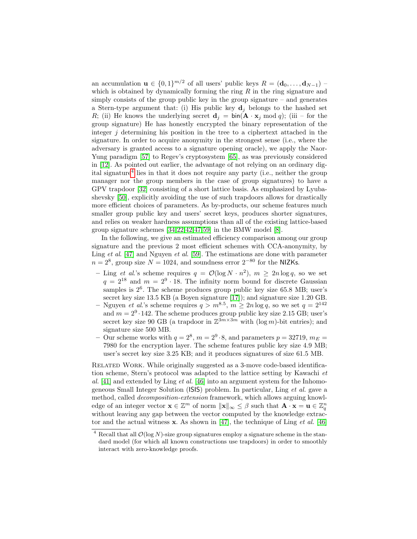an accumulation  $\mathbf{u} \in \{0,1\}^{m/2}$  of all users' public keys  $R = (\mathbf{d}_0, \dots, \mathbf{d}_{N-1})$ which is obtained by dynamically forming the ring  $R$  in the ring signature and simply consists of the group public key in the group signature  $-$  and generates a Stern-type argument that: (i) His public key  $\mathbf{d}_i$  belongs to the hashed set R; (ii) He knows the underlying secret  $\mathbf{d}_i = \text{bin}(\mathbf{A} \cdot \mathbf{x}_i \mod q)$ ; (iii – for the group signature) He has honestly encrypted the binary representation of the integer  $j$  determining his position in the tree to a ciphertext attached in the signature. In order to acquire anonymity in the strongest sense (i.e., where the adversary is granted access to a signature opening oracle), we apply the Naor-Yung paradigm [\[57\]](#page-29-13) to Regev's cryptosystem [\[65\]](#page-29-14), as was previously considered in [\[12\]](#page-27-8). As pointed out earlier, the advantage of not relying on an ordinary digital signature[4](#page-3-0) lies in that it does not require any party (i.e., neither the group manager nor the group members in the case of group signatures) to have a GPV trapdoor [\[32\]](#page-28-9) consisting of a short lattice basis. As emphasized by Lyubashevsky [\[50\]](#page-29-10), explicitly avoiding the use of such trapdoors allows for drastically more efficient choices of parameters. As by-products, our scheme features much smaller group public key and users' secret keys, produces shorter signatures, and relies on weaker hardness assumptions than all of the existing lattice-based group signature schemes [\[34,](#page-28-5)[22,](#page-27-9)[42](#page-28-6)[,47,](#page-28-8)[59\]](#page-29-9) in the BMW model [\[8\]](#page-26-6).

In the following, we give an estimated efficiency comparison among our group signature and the previous 2 most efficient schemes with CCA-anonymity, by Ling *et al.* [\[47\]](#page-28-8) and Nguyen *et al.* [\[59\]](#page-29-9). The estimations are done with parameter  $n = 2<sup>8</sup>$ , group size  $N = 1024$ , and soundness error  $2<sup>-80</sup>$  for the NIZKs.

- Ling *et al.*'s scheme requires  $q = \mathcal{O}(\log N \cdot n^2)$ ,  $m \geq 2n \log q$ , so we set  $q = 2^{18}$  and  $m = 2^9 \cdot 18$ . The infinity norm bound for discrete Gaussian samples is  $2^6$ . The scheme produces group public key size 65.8 MB; user's secret key size 13.5 KB (a Boyen signature [\[17\]](#page-27-10)); and signature size 1.20 GB.
- Nguyen *et al.*'s scheme requires  $q > m^{8.5}$ ,  $m \ge 2n \log q$ , so we set  $q = 2^{142}$ and  $m = 2^9 \cdot 142$ . The scheme produces group public key size 2.15 GB; user's secret key size 90 GB (a trapdoor in  $\mathbb{Z}^{3m\times 3m}$  with  $(\log m)$ -bit entries); and signature size 500 MB.
- Our scheme works with  $q = 2^8$ ,  $m = 2^9 \cdot 8$ , and parameters  $p = 32719$ ,  $m_E =$ 7980 for the encryption layer. The scheme features public key size 4.9 MB; user's secret key size 3.25 KB; and it produces signatures of size 61.5 MB.

RELATED WORK. While originally suggested as a 3-move code-based identification scheme, Stern's protocol was adapted to the lattice setting by Kawachi et al.  $[41]$  and extended by Ling *et al.*  $[46]$  into an argument system for the Inhomogeneous Small Integer Solution (ISIS) problem. In particular, Ling et al. gave a method, called decomposition-extension framework, which allows arguing knowledge of an integer vector  $\mathbf{x} \in \mathbb{Z}^m$  of norm  $\|\mathbf{x}\|_{\infty} \leq \beta$  such that  $\mathbf{A} \cdot \mathbf{x} = \mathbf{u} \in \mathbb{Z}_q^n$ without leaving any gap between the vector computed by the knowledge extractor and the actual witness  $x$ . As shown in [\[47\]](#page-28-8), the technique of Ling *et al.* [\[46\]](#page-28-12)

<span id="page-3-0"></span><sup>&</sup>lt;sup>4</sup> Recall that all  $\mathcal{O}(\log N)$ -size group signatures employ a signature scheme in the standard model (for which all known constructions use trapdoors) in order to smoothly interact with zero-knowledge proofs.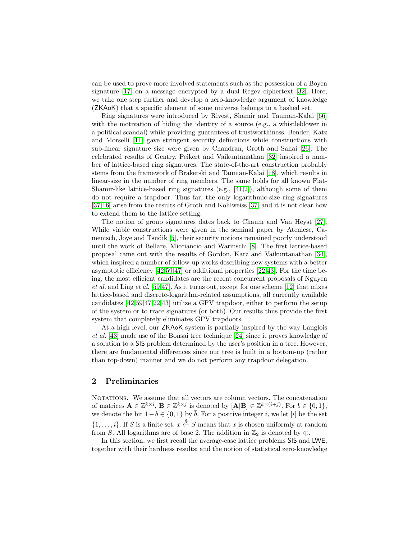can be used to prove more involved statements such as the possession of a Boyen signature [\[17\]](#page-27-10) on a message encrypted by a dual Regev ciphertext [\[32\]](#page-28-9). Here, we take one step further and develop a zero-knowledge argument of knowledge (ZKAoK) that a specific element of some universe belongs to a hashed set.

Ring signatures were introduced by Rivest, Shamir and Tauman-Kalai [\[66\]](#page-29-15) with the motivation of hiding the identity of a source (e.g., a whistleblower in a political scandal) while providing guarantees of trustworthiness. Bender, Katz and Morselli [\[11\]](#page-26-5) gave stringent security definitions while constructions with sub-linear signature size were given by Chandran, Groth and Sahai [\[26\]](#page-27-11). The celebrated results of Gentry, Peikert and Vaikuntanathan [\[32\]](#page-28-9) inspired a number of lattice-based ring signatures. The state-of-the-art construction probably stems from the framework of Brakerski and Tauman-Kalai [\[18\]](#page-27-12), which results in linear-size in the number of ring members. The same holds for all known Fiat-Shamir-like lattice-based ring signatures (e.g., [\[41,](#page-28-11)[2\]](#page-26-8)), although some of them do not require a trapdoor. Thus far, the only logarithmic-size ring signatures [\[37](#page-28-13)[,16\]](#page-27-13) arise from the results of Groth and Kohlweiss [\[37\]](#page-28-13) and it is not clear how to extend them to the lattice setting.

The notion of group signatures dates back to Chaum and Van Heyst [\[27\]](#page-27-14). While viable constructions were given in the seminal paper by Ateniese, Camenisch, Joye and Tsudik [\[5\]](#page-26-9), their security notions remained poorly understood until the work of Bellare, Micciancio and Warinschi [\[8\]](#page-26-6). The first lattice-based proposal came out with the results of Gordon, Katz and Vaikuntanathan [\[34\]](#page-28-5), which inspired a number of follow-up works describing new systems with a better asymptotic efficiency  $[42,59,47]$  $[42,59,47]$  $[42,59,47]$  or additional properties  $[22,43]$  $[22,43]$ . For the time being, the most efficient candidates are the recent concurrent proposals of Nguyen et al. and Ling et al.  $[59,47]$  $[59,47]$ . As it turns out, except for one scheme  $[12]$  that mixes lattice-based and discrete-logarithm-related assumptions, all currently available candidates [\[42,](#page-28-6)[59,](#page-29-9)[47](#page-28-8)[,22,](#page-27-9)[43\]](#page-28-7) utilize a GPV trapdoor, either to perform the setup of the system or to trace signatures (or both). Our results thus provide the first system that completely eliminates GPV trapdoors.

At a high level, our ZKAoK system is partially inspired by the way Langlois et al. [\[43\]](#page-28-7) made use of the Bonsai tree technique [\[24\]](#page-27-15) since it proves knowledge of a solution to a SIS problem determined by the user's position in a tree. However, there are fundamental differences since our tree is built in a bottom-up (rather than top-down) manner and we do not perform any trapdoor delegation.

# 2 Preliminaries

NOTATIONS. We assume that all vectors are column vectors. The concatenation of matrices  $\mathbf{A} \in \mathbb{Z}^{k \times i}$ ,  $\mathbf{B} \in \mathbb{Z}^{k \times j}$  is denoted by  $[\mathbf{A}|\mathbf{B}] \in \mathbb{Z}^{k \times (i+j)}$ . For  $b \in \{0,1\}$ , we denote the bit  $1-b \in \{0,1\}$  by  $\bar{b}$ . For a positive integer i, we let [i] be the set  $\{1,\ldots,i\}$ . If S is a finite set,  $x \stackrel{\$}{\leftarrow} S$  means that x is chosen uniformly at random from S. All logarithms are of base 2. The addition in  $\mathbb{Z}_2$  is denoted by ⊕.

In this section, we first recall the average-case lattice problems SIS and LWE, together with their hardness results; and the notion of statistical zero-knowledge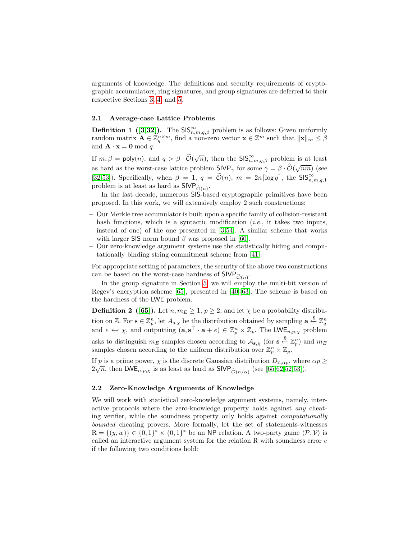arguments of knowledge. The definitions and security requirements of cryptographic accumulators, ring signatures, and group signatures are deferred to their respective Sections [3,](#page-6-0) [4,](#page-16-0) and [5.](#page-20-0)

#### 2.1 Average-case Lattice Problems

**Definition 1** ([\[3,](#page-26-10)[32\]](#page-28-9)). The  $\text{SIS}_{n,m,q,\beta}^{\infty}$  problem is as follows: Given uniformly random matrix  $\mathbf{A} \in \mathbb{Z}_q^{n \times m}$ , find a non-zero vector  $\mathbf{x} \in \mathbb{Z}^m$  such that  $\|\mathbf{x}\|_{\infty} \leq \beta$ and  $\mathbf{A} \cdot \mathbf{x} = \mathbf{0} \bmod q$ .

If  $m, \beta = \text{poly}(n)$ , and  $q > \beta \cdot \widetilde{\mathcal{O}}(\sqrt{n})$ , then the  $\text{SIS}_{n,m,q,\beta}^{\infty}$  problem is at least as hard as the worst-case lattice problem  $SIVP_{\gamma}$  for some  $\gamma = \beta \cdot \tilde{\mathcal{O}}(\sqrt{nm})$  (see [\[32](#page-28-9)[,53\]](#page-29-16)). Specifically, when  $\beta = 1$ ,  $q = \tilde{\mathcal{O}}(n)$ ,  $m = 2n \lceil \log q \rceil$ , the SIS<sup>∞</sup><sub>n,m,q,1</sub> problem is at least as hard as  $\mathsf{SIVP}_{\widetilde{\mathcal{O}}(n)}$ .

In the last decade, numerous SIS-based cryptographic primitives have been proposed. In this work, we will extensively employ 2 such constructions:

- Our Merkle tree accumulator is built upon a specific family of collision-resistant hash functions, which is a syntactic modification *(i.e.*, it takes two inputs, instead of one) of the one presented in [\[3](#page-26-10)[,54\]](#page-29-11). A similar scheme that works with larger SIS norm bound  $\beta$  was proposed in [\[60\]](#page-29-5).
- Our zero-knowledge argument systems use the statistically hiding and computationally binding string commitment scheme from [\[41\]](#page-28-11).

For appropriate setting of parameters, the security of the above two constructions can be based on the worst-case hardness of  $\mathsf{SIVP}_{\widetilde{\mathcal{O}}(n)}$ .

In the group signature in Section [5,](#page-20-0) we will employ the multi-bit version of Regev's encryption scheme [\[65\]](#page-29-14), presented in [\[40\]](#page-28-14)[\[63\]](#page-29-17). The scheme is based on the hardness of the LWE problem.

**Definition 2** ([\[65\]](#page-29-14)). Let  $n, m_E \geq 1, p \geq 2$ , and let  $\chi$  be a probability distribution on Z. For  $\mathbf{s} \in \mathbb{Z}_p^n$ , let  $A_{\mathbf{s},\chi}$  be the distribution obtained by sampling  $\mathbf{a} \stackrel{\$}{\leftarrow} \mathbb{Z}_q^n$ and  $e \leftrightarrow \chi$ , and outputting  $(\mathbf{a}, \mathbf{s}^{\top} \cdot \mathbf{a} + e) \in \mathbb{Z}_p^n \times \mathbb{Z}_p$ . The LWE<sub>n, p,  $\chi$ </sub> problem asks to distinguish  $m_E$  samples chosen according to  $\mathcal{A}_{s,\chi}$  (for  $s \stackrel{\$}{\leftarrow} \mathbb{Z}_p^n$ ) and  $m_E$ samples chosen according to the uniform distribution over  $\mathbb{Z}_p^n \times \mathbb{Z}_p$ .

If p is a prime power,  $\chi$  is the discrete Gaussian distribution  $D_{\mathbb{Z},\alpha p}$ , where  $\alpha p \geq$  $2\sqrt{n}$ , then LWE<sub>n,p,x</sub> is as least as hard as SIVP<sub> $\tilde{\mathcal{O}}(n/\alpha)$ </sub> (see [\[65,](#page-29-14)[62,](#page-29-18)[52,](#page-29-19)[53\]](#page-29-16)).

## 2.2 Zero-Knowledge Arguments of Knowledge

We will work with statistical zero-knowledge argument systems, namely, interactive protocols where the zero-knowledge property holds against any cheating verifier, while the soundness property only holds against computationally bounded cheating provers. More formally, let the set of statements-witnesses  $R = \{(y, w)\}\in \{0, 1\}^* \times \{0, 1\}^*$  be an NP relation. A two-party game  $\langle \mathcal{P}, \mathcal{V} \rangle$  is called an interactive argument system for the relation  $R$  with soundness error  $e$ if the following two conditions hold: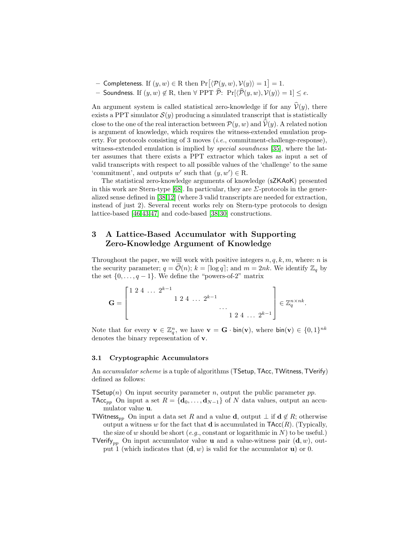- − Completeness. If  $(y, w) \in R$  then  $Pr[\langle \mathcal{P}(y, w), \mathcal{V}(y) \rangle = 1] = 1$ .
- Soundness. If  $(y, w) \notin R$ , then  $\forall$  PPT  $\hat{\mathcal{P}}$ :  $Pr[\langle \hat{\mathcal{P}}(y, w), \mathcal{V}(y) \rangle = 1] \leq e$ .

An argument system is called statistical zero-knowledge if for any  $\hat{V}(y)$ , there exists a PPT simulator  $\mathcal{S}(y)$  producing a simulated transcript that is statistically close to the one of the real interaction between  $\mathcal{P}(y, w)$  and  $\mathcal{V}(y)$ . A related notion is argument of knowledge, which requires the witness-extended emulation property. For protocols consisting of 3 moves  $(i.e.,$  commitment-challenge-response), witness-extended emulation is implied by *special soundness* [\[35\]](#page-28-15), where the latter assumes that there exists a PPT extractor which takes as input a set of valid transcripts with respect to all possible values of the 'challenge' to the same 'commitment', and outputs w' such that  $(y, w') \in R$ .

The statistical zero-knowledge arguments of knowledge (sZKAoK) presented in this work are Stern-type [\[68\]](#page-29-12). In particular, they are  $\Sigma$ -protocols in the generalized sense defined in [\[38,](#page-28-16)[12\]](#page-27-8) (where 3 valid transcripts are needed for extraction, instead of just 2). Several recent works rely on Stern-type protocols to design lattice-based [\[46,](#page-28-12)[43](#page-28-7)[,47\]](#page-28-8) and code-based [\[38,](#page-28-16)[30\]](#page-28-17) constructions.

# <span id="page-6-0"></span>3 A Lattice-Based Accumulator with Supporting Zero-Knowledge Argument of Knowledge

Throughout the paper, we will work with positive integers  $n, q, k, m$ , where: n is the security parameter;  $q = \mathcal{O}(n)$ ;  $k = \lceil \log q \rceil$ ; and  $m = 2nk$ . We identify  $\mathbb{Z}_q$  by the set  $\{0, \ldots, q-1\}$ . We define the "powers-of-2" matrix

$$
\mathbf{G} = \begin{bmatrix} 1 & 2 & 4 & \dots & 2^{k-1} & & & \\ & & 1 & 2 & 4 & \dots & 2^{k-1} & & \\ & & & & \ddots & & \\ & & & & & 1 & 2 & 4 & \dots & 2^{k-1} \end{bmatrix} \in \mathbb{Z}_q^{n \times nk}.
$$

Note that for every  $\mathbf{v} \in \mathbb{Z}_q^n$ , we have  $\mathbf{v} = \mathbf{G} \cdot \text{bin}(\mathbf{v})$ , where  $\text{bin}(\mathbf{v}) \in \{0,1\}^{nk}$ denotes the binary representation of v.

## 3.1 Cryptographic Accumulators

An *accumulator scheme* is a tuple of algorithms (TSetup, TAcc, TWitness, TVerify) defined as follows:

**TSetup**(n) On input security parameter n, output the public parameter pp.

TAcc<sub>pp</sub> On input a set  $R = {\bf{d_0}, \ldots, \bf{d}_{N-1}}$  of N data values, output an accumulator value u.

- TWitness<sub>pp</sub> On input a data set R and a value **d**, output  $\perp$  if **d**  $\notin$  R; otherwise output a witness w for the fact that **d** is accumulated in  $\textsf{TAcc}(R)$ . (Typically, the size of w should be short (e.g., constant or logarithmic in  $N$ ) to be useful.)
- TVerify<sub>pp</sub> On input accumulator value **u** and a value-witness pair  $(d, w)$ , output 1 (which indicates that  $(d, w)$  is valid for the accumulator **u**) or 0.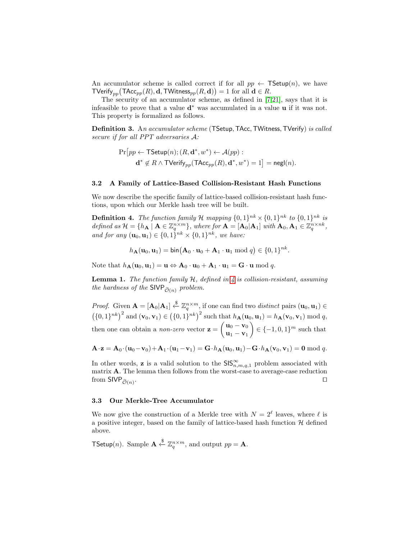An accumulator scheme is called correct if for all  $pp \leftarrow \textsf{TSetup}(n)$ , we have  $\mathsf{TV}$ erify $_{pp} \big( \mathsf{TAcc}_{pp}(R), \mathbf{d}, \mathsf{TW}$ itness $_{pp}(R, \mathbf{d}) \big) = 1 \text{ for all } \mathbf{d} \in R.$ 

The security of an accumulator scheme, as defined in [\[7,](#page-26-1)[21\]](#page-27-0), says that it is infeasible to prove that a value  $\mathbf{d}^*$  was accumulated in a value  $\mathbf{u}$  if it was not. This property is formalized as follows.

Definition 3. An accumulator scheme (TSetup, TAcc, TWitness, TVerify) is called secure if for all PPT adversaries A:

<span id="page-7-1"></span>
$$
\Pr\big[pp \leftarrow \mathsf{TSetup}(n); (R, \mathbf{d}^*, w^*) \leftarrow \mathcal{A}(pp):
$$
  

$$
\mathbf{d}^* \notin R \land \mathsf{TVerify}_{pp}(\mathsf{TAcc}_{pp}(R), \mathbf{d}^*, w^*) = 1\big] = \mathsf{negl}(n).
$$

## 3.2 A Family of Lattice-Based Collision-Resistant Hash Functions

We now describe the specific family of lattice-based collision-resistant hash functions, upon which our Merkle hash tree will be built.

**Definition 4.** The function family H mapping  $\{0,1\}^{nk} \times \{0,1\}^{nk}$  to  $\{0,1\}^{nk}$  is defined as  $\mathcal{H} = \{h_{\mathbf{A}} \mid \mathbf{A} \in \mathbb{Z}_q^{n \times m}\},\$  where for  $\mathbf{A} = [\mathbf{A}_0 | \mathbf{A}_1]$  with  $[\mathbf{A}_0, \mathbf{A}_1] \in \mathbb{Z}_q^{n \times nk},$ and for any  $(\mathbf{u}_0, \mathbf{u}_1) \in \{0, 1\}^{nk} \times \{0, 1\}^{nk}$ , we have:

<span id="page-7-0"></span>
$$
h_{\mathbf{A}}(\mathbf{u}_0, \mathbf{u}_1) = \text{bin}(\mathbf{A}_0 \cdot \mathbf{u}_0 + \mathbf{A}_1 \cdot \mathbf{u}_1 \bmod q) \in \{0, 1\}^{nk}.
$$

<span id="page-7-2"></span>Note that  $h_{\mathbf{A}}(\mathbf{u}_0, \mathbf{u}_1) = \mathbf{u} \Leftrightarrow \mathbf{A}_0 \cdot \mathbf{u}_0 + \mathbf{A}_1 \cdot \mathbf{u}_1 = \mathbf{G} \cdot \mathbf{u} \bmod q.$ 

**Lemma 1.** The function family  $H$ , defined in  $\ddot{A}$  is collision-resistant, assuming the hardness of the  $\mathsf{SIVP}_{\widetilde{\mathcal{O}}(n)}$  problem.

*Proof.* Given  $\mathbf{A} = [\mathbf{A}_0 | \mathbf{A}_1] \overset{\$}{\leftarrow} \mathbb{Z}_q^{n \times m}$ , if one can find two *distinct* pairs  $(\mathbf{u}_0, \mathbf{u}_1) \in$  $(\{0,1\}^{nk})^2$  and  $(\mathbf{v}_0,\mathbf{v}_1) \in (\{0,1\}^{nk})^2$  such that  $h_{\mathbf{A}}(\mathbf{u}_0,\mathbf{u}_1) = h_{\mathbf{A}}(\mathbf{v}_0,\mathbf{v}_1) \bmod q$ , then one can obtain a *non-zero* vector  $\mathbf{z} = \begin{pmatrix} \mathbf{u}_0 - \mathbf{v}_0 \\ \vdots \end{pmatrix}$  $\mathbf{u}_1 - \mathbf{v}_1$  $\Big\} \in \{-1,0,1\}^m$  such that

$$
\mathbf{A}\cdot\mathbf{z}=\mathbf{A}_0\cdot(\mathbf{u}_0-\mathbf{v}_0)+\mathbf{A}_1\cdot(\mathbf{u}_1-\mathbf{v}_1)=\mathbf{G}\cdot h_\mathbf{A}(\mathbf{u}_0,\mathbf{u}_1)-\mathbf{G}\cdot h_\mathbf{A}(\mathbf{v}_0,\mathbf{v}_1)=\mathbf{0}\bmod q.
$$

In other words, **z** is a valid solution to the  $\text{SIS}_{n,m,q,1}^{\infty}$  problem associated with matrix **A**. The lemma then follows from the worst-case to average-case reduction from  $\textsf{SIVP}_{\tilde{\mathcal{O}}(n)}$ . . The contract of the contract of the contract of the contract of  $\Box$ 

## 3.3 Our Merkle-Tree Accumulator

We now give the construction of a Merkle tree with  $N = 2^{\ell}$  leaves, where  $\ell$  is a positive integer, based on the family of lattice-based hash function  $H$  defined above.

TSetup(n). Sample  $\mathbf{A} \stackrel{\$}{\leftarrow} \mathbb{Z}_q^{n \times m}$ , and output  $pp = \mathbf{A}$ .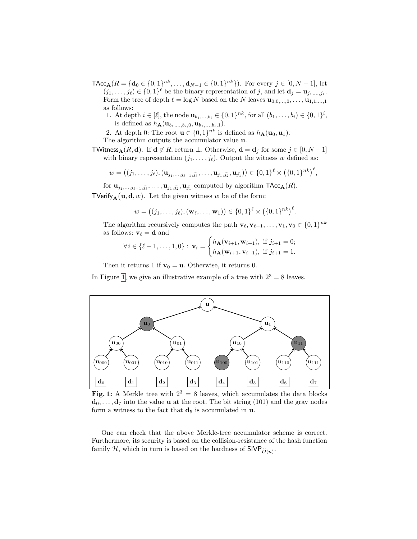- $\mathsf{TAcc}_{\mathbf{A}}(R = {\mathbf{d}_0 \in \{0,1\}^{nk}, \dots, \mathbf{d}_{N-1} \in \{0,1\}^{nk}}).$  For every  $j \in [0, N-1]$ , let  $(j_1, \ldots, j_\ell) \in \{0, 1\}^\ell$  be the binary representation of j, and let  $\mathbf{d}_j = \mathbf{u}_{j_1, \ldots, j_\ell}$ . Form the tree of depth  $\ell = \log N$  based on the N leaves  $\mathbf{u}_{0,0,...,0}, \ldots, \mathbf{u}_{1,1,...,1}$ as follows:
	- 1. At depth  $i \in [\ell],$  the node  $\mathbf{u}_{b_1,...,b_i} \in \{0,1\}^{nk}$ , for all  $(b_1,...,b_i) \in \{0,1\}^i$ , is defined as  $h_{\mathbf{A}}(\mathbf{u}_{b_1,...,b_i,0}, \mathbf{u}_{b_1,...,b_i,1}).$

2. At depth 0: The root  $\mathbf{u} \in \{0,1\}^{nk}$  is defined as  $h_{\mathbf{A}}(\mathbf{u}_0, \mathbf{u}_1)$ .

The algorithm outputs the accumulator value u.

TWitness<sub>A</sub>(R, d). If  $d \notin R$ , return  $\bot$ . Otherwise,  $d = d_j$  for some  $j \in [0, N - 1]$ with binary representation  $(j_1, \ldots, j_\ell)$ . Output the witness w defined as:

$$
w = \big((j_1, \ldots, j_\ell), (\mathbf{u}_{j_1, \ldots, j_{\ell-1}, \bar{j_\ell}}, \ldots, \mathbf{u}_{j_1, \bar{j_2}}, \mathbf{u}_{\bar{j_1}})\big) \in \{0, 1\}^\ell \times \big(\{0, 1\}^{nk}\big)^\ell,
$$

for  $\mathbf{u}_{j_1,\ldots,j_{\ell-1},\bar{j_\ell},\ldots,\mathbf{u}_{j_1,\bar{j_2}},\mathbf{u}_{j_1}$  computed by algorithm  $\mathsf{TAcc}_{\mathbf{A}}(R)$ . TVerify<sub>A</sub> (**u**, **d**, *w*). Let the given witness *w* be of the form:

$$
w = \big((j_1,\ldots,j_\ell),(\mathbf{w}_\ell,\ldots,\mathbf{w}_1)\big) \in \{0,1\}^\ell \times \big(\{0,1\}^{nk}\big)^\ell.
$$

The algorithm recursively computes the path  $\mathbf{v}_{\ell}, \mathbf{v}_{\ell-1}, \ldots, \mathbf{v}_1, \mathbf{v}_0 \in \{0, 1\}^{nk}$ as follows:  $\mathbf{v}_{\ell} = \mathbf{d}$  and

$$
\forall i \in \{\ell-1,\ldots,1,0\}: \mathbf{v}_i = \begin{cases} h_{\mathbf{A}}(\mathbf{v}_{i+1},\mathbf{w}_{i+1}), & \text{if } j_{i+1} = 0; \\ h_{\mathbf{A}}(\mathbf{w}_{i+1},\mathbf{v}_{i+1}), & \text{if } j_{i+1} = 1. \end{cases}
$$

Then it returns 1 if  $\mathbf{v}_0 = \mathbf{u}$ . Otherwise, it returns 0.

In Figure [1,](#page-8-0) we give an illustrative example of a tree with  $2^3 = 8$  leaves.

<span id="page-8-0"></span>

Fig. 1: A Merkle tree with  $2^3 = 8$  leaves, which accumulates the data blocks  $\mathbf{d}_0, \ldots, \mathbf{d}_7$  into the value **u** at the root. The bit string (101) and the gray nodes form a witness to the fact that  $\mathbf{d}_5$  is accumulated in  $\mathbf{u}$ .

One can check that the above Merkle-tree accumulator scheme is correct. Furthermore, its security is based on the collision-resistance of the hash function family H, which in turn is based on the hardness of  $\textsf{SIVP}_{\widetilde{\mathcal{O}}(n)}$ .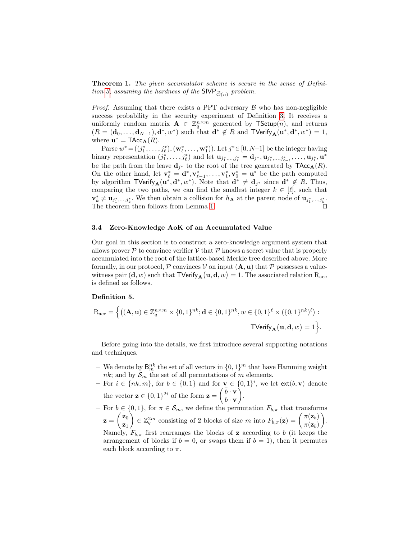Theorem 1. The given accumulator scheme is secure in the sense of Defini-tion [3,](#page-7-1) assuming the hardness of the SIVP  $_{\widetilde{\mathcal{O}}(n)}$  problem.

*Proof.* Assuming that there exists a PPT adversary  $\beta$  who has non-negligible success probability in the security experiment of Definition [3.](#page-7-1) It receives a uniformly random matrix  $\mathbf{A} \in \mathbb{Z}_q^{n \times m}$  generated by TSetup $(n)$ , and returns  $(R = (\mathbf{d}_0, \dots, \mathbf{d}_{N-1}), \mathbf{d}^*, w^*)$  such that  $\mathbf{d}^* \notin R$  and  $\mathsf{TVerify}_{\mathbf{A}}(\mathbf{u}^*, \mathbf{d}^*, w^*) = 1$ , where  $\mathbf{u}^* = \textsf{TAcc}_{\mathbf{A}}(R)$ .

Parse  $w^* = ((j_1^*, \ldots, j_\ell^*), (\mathbf{w}_\ell^*, \ldots, \mathbf{w}_1^*)$ ). Let  $j^* \in [0, N-1]$  be the integer having binary representation  $(j_1^*,...,j_\ell^*)$  and let  $\mathbf{u}_{j_1^*,...,j_\ell^*} = \mathbf{d}_{j^*}, \mathbf{u}_{j_1^*,...,j_{\ell-1}^*},..., \mathbf{u}_{j_1^*}, \mathbf{u}^*$ be the path from the leave  $\mathbf{d}_{j^*}$  to the root of the tree generated by  $\mathsf{TAcc}_{\mathbf{A}}(R)$ . On the other hand, let  $\mathbf{v}_{\ell}^* = \mathbf{d}^*, \mathbf{v}_{\ell-1}^*, \ldots, \mathbf{v}_1^*, \mathbf{v}_0^* = \mathbf{u}^*$  be the path computed by algorithm  $\mathsf{TVerify}_{\mathbf{A}}(\mathbf{u}^*, \mathbf{d}^*, w^*)$ . Note that  $\mathbf{d}^* \neq \mathbf{d}_{j^*}$  since  $\mathbf{d}^* \notin R$ . Thus, comparing the two paths, we can find the smallest integer  $k \in [\ell]$ , such that  $\mathbf{v}_k^* \neq \mathbf{u}_{j_1^*,...,j_k^*}$ . We then obtain a collision for  $h_{\mathbf{A}}$  at the parent node of  $\mathbf{u}_{j_1^*,...,j_k^*}$ . The theorem then follows from Lemma [1.](#page-7-2)

## 3.4 Zero-Knowledge AoK of an Accumulated Value

Our goal in this section is to construct a zero-knowledge argument system that allows prover  $P$  to convince verifier  $V$  that  $P$  knows a secret value that is properly accumulated into the root of the lattice-based Merkle tree described above. More formally, in our protocol,  $P$  convinces  $V$  on input  $(A, u)$  that  $P$  possesses a valuewitness pair  $(\mathbf{d}, w)$  such that  $\mathsf{TVerify}_{\mathbf{A}}(\mathbf{u}, \mathbf{d}, w) = 1$ . The associated relation  $\mathrm{R}_{\mathrm{acc}}$ is defined as follows.

## Definition 5.

$$
\mathcal{R}_{\text{acc}} = \Big\{ \big((\mathbf{A}, \mathbf{u}) \in \mathbb{Z}_q^{n \times m} \times \{0, 1\}^{nk}; \mathbf{d} \in \{0, 1\}^{nk}, w \in \{0, 1\}^{\ell} \times (\{0, 1\}^{nk})^{\ell} \big) : \text{}
$$
  
 
$$
\mathsf{TVerify}_{\mathbf{A}}(\mathbf{u}, \mathbf{d}, w) = 1 \Big\}.
$$

Before going into the details, we first introduce several supporting notations and techniques.

- We denote by  $\mathsf{B}_m^{nk}$  the set of all vectors in  $\{0,1\}^m$  that have Hamming weight nk; and by  $S_m$  the set of all permutations of m elements.
- For  $i \in \{nk, m\}$ , for  $b \in \{0, 1\}$  and for  $\mathbf{v} \in \{0, 1\}^i$ , we let  $ext(b, \mathbf{v})$  denote the vector  $\mathbf{z} \in \{0,1\}^{2i}$  of the form  $\mathbf{z} = \begin{pmatrix} \bar{b} \cdot \mathbf{v} \\ b \end{pmatrix}$  $b \cdot \mathbf{v}$ .
- For  $b \in \{0,1\}$ , for  $\pi \in \mathcal{S}_m$ , we define the permutation  $F_{b,\pi}$  that transforms  $\mathbf{z} = \begin{pmatrix} \mathbf{z}_0 \ 0 \end{pmatrix}$  $\mathbf{z}_1$  $\mathcal{L} \in \mathbb{Z}_q^{2m}$  consisting of 2 blocks of size m into  $F_{b,\pi}(\mathbf{z}) = \begin{pmatrix} \pi(\mathbf{z}_b) \\ \pi(\mathbf{z}_b) \end{pmatrix}$  $\pi(\mathbf{z}_{\bar{b}})$  . Namely,  $F_{b,\pi}$  first rearranges the blocks of **z** according to b (it keeps the arrangement of blocks if  $b = 0$ , or swaps them if  $b = 1$ , then it permutes each block according to  $\pi$ .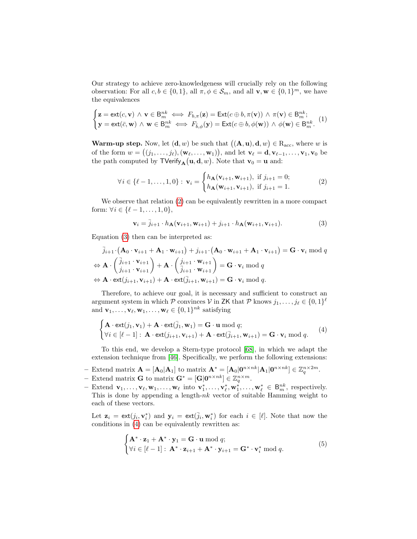Our strategy to achieve zero-knowledgeness will crucially rely on the following observation: For all  $c, b \in \{0, 1\}$ , all  $\pi, \phi \in S_m$ , and all  $\mathbf{v}, \mathbf{w} \in \{0, 1\}^m$ , we have the equivalences

<span id="page-10-4"></span>
$$
\begin{cases}\n\mathbf{z} = \text{ext}(c, \mathbf{v}) \land \mathbf{v} \in \mathbf{B}_{m}^{nk} \iff F_{b,\pi}(\mathbf{z}) = \text{Ext}(c \oplus b, \pi(\mathbf{v})) \land \pi(\mathbf{v}) \in \mathbf{B}_{m}^{nk}; \\
\mathbf{y} = \text{ext}(\bar{c}, \mathbf{w}) \land \mathbf{w} \in \mathbf{B}_{m}^{nk} \iff F_{\bar{b},\phi}(\mathbf{y}) = \text{Ext}(c \oplus b, \phi(\mathbf{w})) \land \phi(\mathbf{w}) \in \mathbf{B}_{m}^{nk}.\n\end{cases} (1)
$$

**Warm-up step.** Now, let  $(d, w)$  be such that  $((A, u), d, w) \in R_{acc}$ , where w is of the form  $w = ((j_1, \ldots, j_\ell), (\mathbf{w}_\ell, \ldots, \mathbf{w}_1)),$  and let  $\mathbf{v}_\ell = \mathbf{d}, \mathbf{v}_{\ell-1}, \ldots, \mathbf{v}_1, \mathbf{v}_0$  be the path computed by  $\mathsf{TVerify}_{\mathbf{A}}(\mathbf{u}, \mathbf{d}, w)$ . Note that  $\mathbf{v}_0 = \mathbf{u}$  and:

<span id="page-10-0"></span>
$$
\forall i \in \{\ell - 1, ..., 1, 0\}: \mathbf{v}_i = \begin{cases} h_{\mathbf{A}}(\mathbf{v}_{i+1}, \mathbf{w}_{i+1}), & \text{if } j_{i+1} = 0; \\ h_{\mathbf{A}}(\mathbf{w}_{i+1}, \mathbf{v}_{i+1}), & \text{if } j_{i+1} = 1. \end{cases}
$$
(2)

We observe that relation [\(2\)](#page-10-0) can be equivalently rewritten in a more compact form:  $\forall i \in \{\ell - 1, \ldots, 1, 0\},\$ 

<span id="page-10-1"></span>
$$
\mathbf{v}_{i} = \overline{j}_{i+1} \cdot h_{\mathbf{A}}(\mathbf{v}_{i+1}, \mathbf{w}_{i+1}) + j_{i+1} \cdot h_{\mathbf{A}}(\mathbf{w}_{i+1}, \mathbf{v}_{i+1}). \tag{3}
$$

Equation [\(3\)](#page-10-1) then can be interpreted as:

$$
\overline{j}_{i+1} \cdot (\mathbf{A}_0 \cdot \mathbf{v}_{i+1} + \mathbf{A}_1 \cdot \mathbf{w}_{i+1}) + j_{i+1} \cdot (\mathbf{A}_0 \cdot \mathbf{w}_{i+1} + \mathbf{A}_1 \cdot \mathbf{v}_{i+1}) = \mathbf{G} \cdot \mathbf{v}_i \bmod q
$$
\n
$$
\Leftrightarrow \mathbf{A} \cdot \begin{pmatrix} \overline{j}_{i+1} \cdot \mathbf{v}_{i+1} \\ j_{i+1} \cdot \mathbf{v}_{i+1} \end{pmatrix} + \mathbf{A} \cdot \begin{pmatrix} j_{i+1} \cdot \mathbf{w}_{i+1} \\ \overline{j}_{i+1} \cdot \mathbf{w}_{i+1} \end{pmatrix} = \mathbf{G} \cdot \mathbf{v}_i \bmod q
$$
\n
$$
\Leftrightarrow \mathbf{A} \cdot \text{ext}(j_{i+1}, \mathbf{v}_{i+1}) + \mathbf{A} \cdot \text{ext}(\overline{j}_{i+1}, \mathbf{w}_{i+1}) = \mathbf{G} \cdot \mathbf{v}_i \bmod q.
$$

Therefore, to achieve our goal, it is necessary and sufficient to construct an argument system in which  $P$  convinces  $V$  in ZK that  $P$  knows  $j_1, \ldots, j_\ell \in \{0, 1\}^\ell$ and  $\mathbf{v}_1, \ldots, \mathbf{v}_{\ell}, \mathbf{w}_1, \ldots, \mathbf{w}_{\ell} \in \{0, 1\}^{nk}$  satisfying

<span id="page-10-2"></span>
$$
\begin{cases}\n\mathbf{A} \cdot \text{ext}(j_1, \mathbf{v}_1) + \mathbf{A} \cdot \text{ext}(\overline{j}_1, \mathbf{w}_1) = \mathbf{G} \cdot \mathbf{u} \bmod q; \\
\forall i \in [\ell - 1]: \mathbf{A} \cdot \text{ext}(j_{i+1}, \mathbf{v}_{i+1}) + \mathbf{A} \cdot \text{ext}(\overline{j}_{i+1}, \mathbf{w}_{i+1}) = \mathbf{G} \cdot \mathbf{v}_i \bmod q.\n\end{cases} (4)
$$

To this end, we develop a Stern-type protocol [\[68\]](#page-29-12), in which we adapt the extension technique from [\[46\]](#page-28-12). Specifically, we perform the following extensions:

- Extend matrix  $\mathbf{A} = [\mathbf{A}_0 | \mathbf{A}_1]$  to matrix  $\mathbf{A}^* = [\mathbf{A}_0 | \mathbf{0}^{n \times nk} | \mathbf{A}_1 | \mathbf{0}^{n \times nk}] \in \mathbb{Z}_q^{n \times 2m}$ .
- Extend matrix **G** to matrix  $\mathbf{G}^* = [\mathbf{G} | \mathbf{0}^{n \times nk}] \in \mathbb{Z}_q^{n \times m}$ .
- Extend  $\mathbf{v}_1, \ldots, \mathbf{v}_{\ell}, \mathbf{w}_1, \ldots, \mathbf{w}_{\ell}$  into  $\mathbf{v}_1^*, \ldots, \mathbf{v}_{\ell}^*, \mathbf{w}_1^*, \ldots, \mathbf{w}_{\ell}^* \in B_m^{nk}$ , respectively. This is done by appending a length- $nk$  vector of suitable Hamming weight to each of these vectors.

Let  $\mathbf{z}_i = \text{ext}(j_i, \mathbf{v}_i^*)$  and  $\mathbf{y}_i = \text{ext}(\bar{j}_i, \mathbf{w}_i^*)$  for each  $i \in [\ell]$ . Note that now the conditions in [\(4\)](#page-10-2) can be equivalently rewritten as:

<span id="page-10-3"></span>
$$
\begin{cases} \mathbf{A}^* \cdot \mathbf{z}_1 + \mathbf{A}^* \cdot \mathbf{y}_1 = \mathbf{G} \cdot \mathbf{u} \bmod q; \\ \forall i \in [\ell - 1] : \mathbf{A}^* \cdot \mathbf{z}_{i+1} + \mathbf{A}^* \cdot \mathbf{y}_{i+1} = \mathbf{G}^* \cdot \mathbf{v}_i^* \bmod q. \end{cases} \tag{5}
$$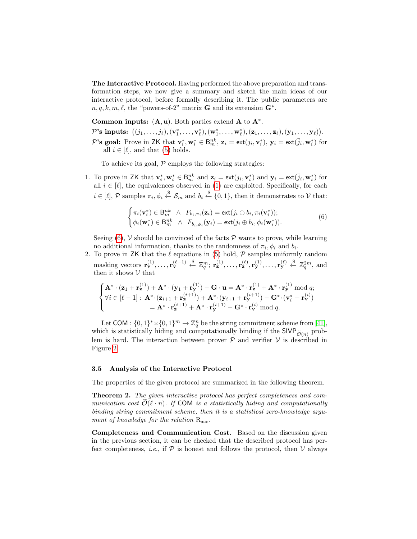The Interactive Protocol. Having performed the above preparation and transformation steps, we now give a summary and sketch the main ideas of our interactive protocol, before formally describing it. The public parameters are  $n, q, k, m, \ell$ , the "powers-of-2" matrix **G** and its extension  $\mathbf{G}^*$ .

Common inputs:  $(A, u)$ . Both parties extend  $A$  to  $A^*$ .

 $\mathcal{P} \text{'s inputs: } \big( (j_1,\ldots,j_\ell),(\mathbf{v}_1^*,\ldots,\mathbf{v}_\ell^*),(\mathbf{w}_1^*,\ldots,\mathbf{w}_\ell^*),(\mathbf{z}_1,\ldots,\mathbf{z}_\ell),(\mathbf{y}_1,\ldots,\mathbf{y}_\ell) \big).$ 

P's goal: Prove in ZK that  $\mathbf{v}_i^*, \mathbf{w}_i^* \in \mathsf{B}_{m}^{nk}$ ,  $\mathbf{z}_i = \text{ext}(j_i, \mathbf{v}_i^*)$ ,  $\mathbf{y}_i = \text{ext}(\overline{j}_i, \mathbf{w}_i^*)$  for all  $i \in [\ell]$ , and that [\(5\)](#page-10-3) holds.

To achieve its goal,  $P$  employs the following strategies:

1. To prove in ZK that  $\mathbf{v}_i^*, \mathbf{w}_i^* \in \mathsf{B}_{m}^{nk}$  and  $\mathbf{z}_i = \mathsf{ext}(j_i, \mathbf{v}_i^*)$  and  $\mathbf{y}_i = \mathsf{ext}(\bar{j}_i, \mathbf{w}_i^*)$  for all  $i \in [\ell]$ , the equivalences observed in [\(1\)](#page-10-4) are exploited. Specifically, for each  $i \in [\ell], \mathcal{P}$  samples  $\pi_i, \phi_i \stackrel{\$}{\leftarrow} \mathcal{S}_m$  and  $b_i \stackrel{\$}{\leftarrow} \{0, 1\}$ , then it demonstrates to  $\mathcal{V}$  that:

<span id="page-11-0"></span>
$$
\begin{cases}\n\pi_i(\mathbf{v}_i^*) \in \mathsf{B}_m^{nk} \quad \wedge \quad F_{b_i, \pi_i}(\mathbf{z}_i) = \mathsf{ext}(j_i \oplus b_i, \pi_i(\mathbf{v}_i^*)); \\
\phi_i(\mathbf{w}_i^*) \in \mathsf{B}_m^{nk} \quad \wedge \quad F_{\bar{b}_i, \phi_i}(\mathbf{y}_i) = \mathsf{ext}(j_i \oplus b_i, \phi_i(\mathbf{w}_i^*)). \n\end{cases} \tag{6}
$$

Seeing  $(6)$ , V should be convinced of the facts  $P$  wants to prove, while learning no additional information, thanks to the randomness of  $\pi_i$ ,  $\phi_i$  and  $b_i$ .

2. To prove in ZK that the  $\ell$  equations in [\(5\)](#page-10-3) hold,  $\mathcal P$  samples uniformly random masking vectors  $\mathbf{r}_{\mathbf{v}}^{(1)}, \ldots, \mathbf{r}_{\mathbf{v}}^{(\ell-1)} \stackrel{\$}{\leftarrow} \mathbb{Z}_q^m$ ;  $\mathbf{r}_{\mathbf{z}}^{(1)}, \ldots, \mathbf{r}_{\mathbf{z}}^{(\ell)}, \mathbf{r}_{\mathbf{y}}^{(1)}, \ldots, \mathbf{r}_{\mathbf{y}}^{(\ell)} \stackrel{\$}{\leftarrow} \mathbb{Z}_q^{2m}$ , and then it shows  $\mathcal V$  that

$$
\begin{cases}\n\mathbf{A}^* \cdot (\mathbf{z}_1 + \mathbf{r}_\mathbf{z}^{(1)}) + \mathbf{A}^* \cdot (\mathbf{y}_1 + \mathbf{r}_\mathbf{y}^{(1)}) - \mathbf{G} \cdot \mathbf{u} = \mathbf{A}^* \cdot \mathbf{r}_\mathbf{z}^{(1)} + \mathbf{A}^* \cdot \mathbf{r}_\mathbf{y}^{(1)} \bmod q; \\
\forall i \in [\ell - 1] : \mathbf{A}^* \cdot (\mathbf{z}_{i+1} + \mathbf{r}_\mathbf{z}^{(i+1)}) + \mathbf{A}^* \cdot (\mathbf{y}_{i+1} + \mathbf{r}_\mathbf{y}^{(i+1)}) - \mathbf{G}^* \cdot (\mathbf{v}_i^* + \mathbf{r}_\mathbf{v}^{(i)}) \\
= \mathbf{A}^* \cdot \mathbf{r}_\mathbf{z}^{(i+1)} + \mathbf{A}^* \cdot \mathbf{r}_\mathbf{y}^{(i+1)} - \mathbf{G}^* \cdot \mathbf{r}_\mathbf{v}^{(i)} \bmod q.\n\end{cases}
$$

Let COM :  $\{0,1\}^* \times \{0,1\}^m \to \mathbb{Z}_q^n$  be the string commitment scheme from [\[41\]](#page-28-11), which is statistically hiding and computationally binding if the  $SIVP_{\tilde{O}(n)}$  problem is hard. The interaction between prover  $P$  and verifier  $V$  is described in Figure [2.](#page-12-0)

## 3.5 Analysis of the Interactive Protocol

The properties of the given protocol are summarized in the following theorem.

Theorem 2. The given interactive protocol has perfect completeness and communication cost  $\tilde{\mathcal{O}}(\ell \cdot n)$ . If COM is a statistically hiding and computationally binding string commitment scheme, then it is a statistical zero-knowledge argument of knowledge for the relation  $R_{\text{acc}}$ .

Completeness and Communication Cost. Based on the discussion given in the previous section, it can be checked that the described protocol has perfect completeness, *i.e.*, if  $P$  is honest and follows the protocol, then  $V$  always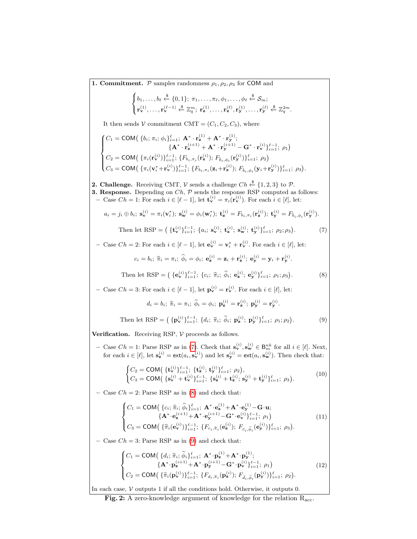<span id="page-12-2"></span><span id="page-12-1"></span><span id="page-12-0"></span>**1. Commitment.**  $P$  samples randomness  $\rho_1, \rho_2, \rho_3$  for COM and  $\sqrt{ }$ J  $\mathcal{L}$  $b_1, \ldots, b_\ell \stackrel{\$}{\leftarrow} \{0, 1\}; \ \pi_1, \ldots, \pi_\ell, \phi_1, \ldots, \phi_\ell \stackrel{\$}{\leftarrow} \mathcal{S}_m;$  $\mathbf{r}_{\mathbf{v}}^{(1)},\ldots,\mathbf{r}_{\mathbf{v}}^{(\ell-1)} \overset{\$}{\leftarrow} {\mathbb{Z}}_q^m; \; \mathbf{r}_{\mathbf{z}}^{(1)},\ldots,\mathbf{r}_{\mathbf{z}}^{(\ell)},\mathbf{r}_{\mathbf{y}}^{(1)},\ldots,\mathbf{r}_{\mathbf{y}}^{(\ell)} \overset{\$}{\leftarrow} {\mathbb{Z}}_q^{2m}.$ It then sends V commitment CMT =  $(C_1, C_2, C_3)$ , where  $\sqrt{ }$  $\int$  $\overline{\mathcal{L}}$  $C_1 = \textsf{COM}\big(\left.\left\{b_i ; \pi_i ; \phi_i \right\}_{i=1}^\ell; \ \mathbf{A^*}\cdot \mathbf{r}_\mathbf{z}^{(1)} + \mathbf{A^*}\cdot \mathbf{r}_\mathbf{y}^{(1)};\right.$  $\{{\bf A}^* \cdot {\bf r}^{(i+1)}_{\bf z} + {\bf A}^* \cdot {\bf r}^{(i+1)}_{\bf y} - {\bf G}^* \cdot {\bf r}^{(i)}_{\bf v} \}_{i=1}^{\ell-1; \,\,\rho_{1}} \big)$  $C_2 = \text{COM}\left(\{\pi_i(\mathbf{r}_{\mathbf{v}}^{(i)})\}_{i=1}^{\ell-1}; \{F_{b_i,\pi_i}(\mathbf{r}_{\mathbf{z}}^{(i)}); F_{\bar{b}_i,\phi_i}(\mathbf{r}_{\mathbf{y}}^{(i)})\}_{i=1}^{\ell}; \ \rho_2\right)$  $C_3 = \textsf{COM} \left( \{ \pi_i (\mathbf{v}_i^* + \mathbf{r}_\mathbf{v}^{(i)}) \}_{i=1}^{l-1}; \{ F_{b_i, \pi_i} (\mathbf{z}_i + \mathbf{r}_\mathbf{z}^{(i)}) ; F_{\bar{b}_i, \phi_i} (\mathbf{y}_i + \mathbf{r}_\mathbf{y}^{(i)}) \}_{i=1}^l; \ \rho_3 \right).$ **2. Challenge.** Receiving CMT,  $V$  sends a challenge  $Ch \xleftarrow{\$} \{1,2,3\}$  to  $\mathcal{P}$ . **3. Response.** Depending on  $Ch$ ,  $\mathcal{P}$  sends the response RSP computed as follows: – Case *Ch* = 1: For each  $i \in [\ell - 1]$ , let  $\mathbf{t}_{\mathbf{v}}^{(i)} = \pi_i(\mathbf{r}_{\mathbf{v}}^{(i)})$ . For each  $i \in [\ell]$ , let:  $a_i = j_i \oplus b_i; \; \mathbf{s}_{\mathbf{v}}^{(i)} = \pi_i(\mathbf{v}_i^*); \; \mathbf{s}_{\mathbf{w}}^{(i)} = \phi_i(\mathbf{w}_i^*); \; \mathbf{t}_{\mathbf{z}}^{(i)} = F_{b_i, \pi_i}(\mathbf{r}_{\mathbf{z}}^{(i)}); \; \mathbf{t}_{\mathbf{y}}^{(i)} = F_{\bar{b}_i, \phi_i}(\mathbf{r}_{\mathbf{y}}^{(i)}).$ Then let RSP =  $\left( \{ {\bf t}_{\bf v}^{(i)} \}_{i=1}^{l-1}; \{ a_i; \,{\bf s}_{\bf v}^{(i)}; \,{\bf t}_{\bf z}^{(i)}; \,{\bf s}_{\bf w}^{(i)}; \,{\bf t}_{\bf y}^{(i)} \}_{i=1}^{l}; \,\rho_2; \rho_3 \right)$  $(7)$ - Case  $Ch = 2$ : For each  $i \in [\ell - 1]$ , let  $\mathbf{e}_{\mathbf{v}}^{(i)} = \mathbf{v}_i^* + \mathbf{r}_{\mathbf{v}}^{(i)}$ . For each  $i \in [\ell]$ , let:  $c_i = b_i; \; \widehat{\pi}_i = \pi_i; \; \widehat{\phi}_i = \phi_i; \; \mathbf{e}_{\mathbf{z}}^{(i)} = \mathbf{z}_i + \mathbf{r}_{\mathbf{z}}^{(i)}; \; \mathbf{e}_{\mathbf{y}}^{(i)} = \mathbf{y}_i + \mathbf{r}_{\mathbf{y}}^{(i)}$ Then let RSP =  $\left( \{ e_{\mathbf{v}}^{(i)} \}_{i=1}^{l-1}; \{ c_i; \hat{\pi}_i; \hat{\phi}_i; e_{\mathbf{z}}^{(i)}; e_{\mathbf{y}}^{(i)} \}_{i=1}^{l}; \rho_1; \rho_3 \right)$ . (8) - Case *Ch* = 3: For each  $i \in [\ell - 1]$ , let  $\mathbf{p}_{\mathbf{v}}^{(i)} = \mathbf{r}_{\mathbf{v}}^{(i)}$ . For each  $i \in [\ell]$ , let:  $d_i = b_i; \; \widetilde{\pi}_i = \pi_i; \; \widetilde{\phi}_i = \phi_i; \; \mathbf{p}_{\mathbf{z}}^{(i)} = \mathbf{r}_{\mathbf{z}}^{(i)}; \; \mathbf{p}_{\mathbf{y}}^{(i)} = \mathbf{r}_{\mathbf{y}}^{(i)}.$ Then let RSP =  $({\mathbf{p}_{\mathbf{v}}^{(i)}})_{i=1}^{\ell-1}; {\mathbf{d}_i}; \tilde{\pi}_i; \tilde{\phi}_i; {\mathbf{p}_{\mathbf{z}}^{(i)}}; {\mathbf{p}_{\mathbf{y}}^{(i)}}_{i=1}; \rho_1; \rho_2)$ . (9) **Verification.** Receiving RSP,  $V$  proceeds as follows. - Case  $Ch = 1$ : Parse RSP as in [\(7\)](#page-12-1). Check that  $\mathbf{s}_{\mathbf{v}}^{(i)}$ ,  $\mathbf{s}_{\mathbf{w}}^{(i)} \in \mathsf{B}_{m}^{nk}$  for all  $i \in [\ell]$ . Next, for each  $i \in [\ell],$  let  $\mathbf{s}_{\mathbf{z}}^{(i)} = \text{ext}(a_i, \mathbf{s}_{\mathbf{v}}^{(i)})$  and let  $\mathbf{s}_{\mathbf{y}}^{(i)} = \text{ext}(a_i, \mathbf{s}_{\mathbf{w}}^{(i)})$ . Then check that:  $\int C_2 = \text{COM} \left( \{ \mathbf{t}_{\mathbf{v}}^{(i)} \}_{i=1}^{\ell-1}; \ \{ \mathbf{t}_{\mathbf{z}}^{(i)}; \ \mathbf{t}_{\mathbf{y}}^{(i)} \}_{i=1}^{\ell}; \ \rho_2 \right),$  $C_3 = \textsf{COM} \big( \left\{ \mathbf{s}_{\mathbf{v}}^{(i)} + \mathbf{t}_{\mathbf{v}}^{(i)} \right\}_{i=1}^{\ell-1}; \ \left\{ \mathbf{s}_{\mathbf{z}}^{(i)} + \mathbf{t}_{\mathbf{z}}^{(i)} ; \mathbf{s}_{\mathbf{y}}^{(i)} + \mathbf{t}_{\mathbf{y}}^{(i)} \right\}_{i=1}^{\ell}; \ \rho_3 \big).$ (10) – Case  $Ch = 2$ : Parse RSP as in [\(8\)](#page-12-2) and check that:  $\sqrt{ }$  $\int$  $\overline{a}$  $C_1 = \text{COM}(\{c_i; \hat{\pi}_i; \hat{\phi}_i\}_{i=1}^{\ell}; \mathbf{A}^* \cdot \mathbf{e}_{\mathbf{x}}^{(1)} + \mathbf{A}^* \cdot \mathbf{e}_{\mathbf{y}}^{(1)} - \mathbf{G} \cdot \mathbf{u};$  $\{{\bf A}^*{\cdot}{\bf e}^{(i+1)}_{\bf z} \!+\! {\bf A}^*{\cdot}{\bf e}^{(i+1)}_{\bf y}\!-\! {\bf G}^*{\cdot}{\bf e}^{(i)}_{\bf v}\}_{i=1}^{\ell-1};~\rho_1\big)$  $C_3 = \textsf{COM} \big( \{ \widehat{\pi}_i(\mathbf{e}_{\mathbf{v}}^{(i)}) \}_{i=1}^{\ell-1}; \ \{ F_{c_i, \widehat{\pi}_i}(\mathbf{e}_{\mathbf{z}}^{(i)}) ; \ F_{\bar{c}_i, \widehat{\phi}_i}(\mathbf{e}_{\mathbf{y}}^{(i)}) \}_{i=1}^{\ell}; \ \rho_3 \big).$ (11) – Case  $Ch = 3$ : Parse RSP as in [\(9\)](#page-12-3) and check that:  $\sqrt{ }$  $\int$  $\overline{a}$  $C_1 = \text{COM}(\{d_i; \tilde{\pi}_i; \tilde{\phi}_i\}_{i=1}^{\ell}; \mathbf{A}^* \cdot \mathbf{p}_2^{(1)} + \mathbf{A}^* \cdot \mathbf{p}_3^{(1)};$  $\{{\bf A}^*{\cdot}{\bf p}^{(i+1)}_{\bf z}{\bf + A}^*{\cdot}{\bf p}^{(i+1)}_{\bf y}{\bf - G}^*{\cdot}{\bf p}^{(i)}_{{\bf v}}\}_{i=1}^{\ell-1}; \ \rho_1\big)$  $C_2 = \text{COM}\left(\{\widetilde{\pi}_i(\mathbf{p}_{\mathbf{v}}^{(i)})\}_{i=1}^{\ell-1}; \{F_{d_i, \widetilde{\pi}_i}(\mathbf{p}_{\mathbf{z}}^{(i)}); F_{\bar{d}_i, \widetilde{\phi}_i}(\mathbf{p}_{\mathbf{y}}^{(i)})\}_{i=1}^{\ell}; \rho_2\right).$ (12)

<span id="page-12-5"></span><span id="page-12-4"></span><span id="page-12-3"></span>In each case,  $\mathcal V$  outputs 1 if all the conditions hold. Otherwise, it outputs 0.

<span id="page-12-6"></span>Fig. 2: A zero-knowledge argument of knowledge for the relation  $R_{\text{acc}}$ .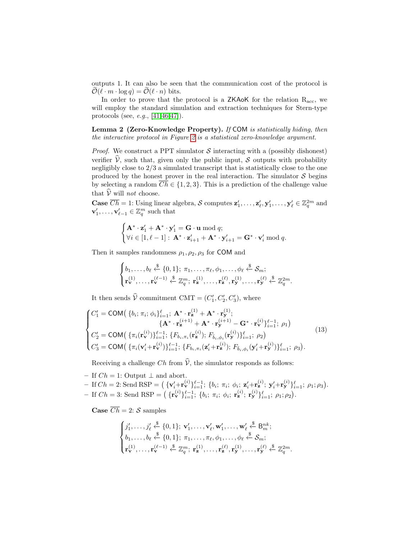outputs 1. It can also be seen that the communication cost of the protocol is  $\widetilde{\mathcal{O}}(\ell \cdot m \cdot \log q) = \mathcal{O}(\ell \cdot n)$  bits.

In order to prove that the protocol is a  $ZKAoK$  for the relation  $R_{acc}$ , we will employ the standard simulation and extraction techniques for Stern-type protocols (see, e.g., [\[41,](#page-28-11)[46](#page-28-12)[,47\]](#page-28-8)).

<span id="page-13-1"></span>Lemma 2 (Zero-Knowledge Property). If COM is statistically hiding, then the interactive protocol in Figure [2](#page-12-0) is a statistical zero-knowledge argument.

*Proof.* We construct a PPT simulator  $S$  interacting with a (possibly dishonest) verifier  $\hat{V}$ , such that, given only the public input, S outputs with probability negligibly close to 2/3 a simulated transcript that is statistically close to the one produced by the honest prover in the real interaction. The simulator  $S$  begins by selecting a random  $\overline{Ch} \in \{1,2,3\}$ . This is a prediction of the challenge value that  $\hat{\mathcal{V}}$  will not choose.

**Case**  $\overline{Ch} = 1$ : Using linear algebra, S computes  $z'_1, \ldots, z'_{\ell}, y'_1, \ldots, y'_{\ell} \in \mathbb{Z}_q^{2m}$  and  $\mathbf{v}'_1, \ldots, \mathbf{v}'_{\ell-1} \in \mathbb{Z}_q^m$  such that

$$
\begin{cases}\n\mathbf{A}^* \cdot \mathbf{z}'_1 + \mathbf{A}^* \cdot \mathbf{y}'_1 = \mathbf{G} \cdot \mathbf{u} \bmod q; \\
\forall i \in [1, \ell - 1] : \mathbf{A}^* \cdot \mathbf{z}'_{i+1} + \mathbf{A}^* \cdot \mathbf{y}'_{i+1} = \mathbf{G}^* \cdot \mathbf{v}'_i \bmod q.\n\end{cases}
$$

Then it samples randomness  $\rho_1, \rho_2, \rho_3$  for COM and

$$
\begin{cases}\nb_1, \ldots, b_\ell \stackrel{\$}{\leftarrow} \{0,1\}; \ \pi_1, \ldots, \pi_\ell, \phi_1, \ldots, \phi_\ell \stackrel{\$}{\leftarrow} \mathcal{S}_m; \\
\mathbf{r}_{\mathbf{v}}^{(1)}, \ldots, \mathbf{r}_{\mathbf{v}}^{(\ell-1)} \stackrel{\$}{\leftarrow} \mathbb{Z}_q^m; \ \mathbf{r}_{\mathbf{z}}^{(1)}, \ldots, \mathbf{r}_{\mathbf{z}}^{(\ell)}, \mathbf{r}_{\mathbf{y}}^{(1)}, \ldots, \mathbf{r}_{\mathbf{y}}^{(\ell)} \stackrel{\$}{\leftarrow} \mathbb{Z}_q^{2m}.\n\end{cases}
$$

It then sends  $\hat{V}$  commitment CMT =  $(C'_1, C'_2, C'_3)$ , where

<span id="page-13-0"></span>
$$
\begin{cases}\nC'_{1} = \text{COM}(\{b_{i}; \pi_{i}; \phi_{i}\}_{i=1}^{l}; \mathbf{A}^{*} \cdot \mathbf{r}_{\mathbf{z}}^{(1)} + \mathbf{A}^{*} \cdot \mathbf{r}_{\mathbf{y}}^{(1)}; \\
\{\mathbf{A}^{*} \cdot \mathbf{r}_{\mathbf{z}}^{(i+1)} + \mathbf{A}^{*} \cdot \mathbf{r}_{\mathbf{y}}^{(i+1)} - \mathbf{G}^{*} \cdot \mathbf{r}_{\mathbf{v}}^{(i)}\}_{i=1}^{l-1}; \rho_{1}) \\
C'_{2} = \text{COM}(\{\pi_{i}(\mathbf{r}_{\mathbf{v}}^{(i)})\}_{i=1}^{l-1}; \{F_{b_{i},\pi_{i}}(\mathbf{r}_{\mathbf{z}}^{(i)}); F_{\bar{b}_{i},\phi_{i}}(\mathbf{r}_{\mathbf{y}}^{(i)})\}_{i=1}^{l}; \rho_{2}) \\
C'_{3} = \text{COM}(\{\pi_{i}(\mathbf{v}_{i}^{(i)} + \mathbf{r}_{\mathbf{v}}^{(i)})\}_{i=1}^{l-1}; \{F_{b_{i},\pi_{i}}(\mathbf{z}_{i}^{(i)} + \mathbf{r}_{\mathbf{z}}^{(i)}); F_{\bar{b}_{i},\phi_{i}}(\mathbf{y}_{i}^{(i)} + \mathbf{r}_{\mathbf{y}}^{(i)})\}_{i=1}^{l}; \rho_{3}).\n\end{cases} (13)
$$

Receiving a challenge Ch from  $\hat{V}$ , the simulator responds as follows:

– If  $Ch = 1$ : Output  $\perp$  and abort.

- If 
$$
Ch = 2
$$
: Send RSP =  $(\{v'_i + r_v^{(i)}\}_{i=1}^{\ell-1}; \{b_i; \pi_i; \phi_i; z'_i + r_z^{(i)}; y'_i + r_y^{(i)}\}_{i=1}^{\ell}; \rho_1; \rho_3)$ .  
- If  $Ch = 3$ : Send RSP =  $(\{r_v^{(i)}\}_{i=1}^{\ell-1}; \{b_i; \pi_i; \phi_i; r_z^{(i)}; r_y^{(i)}\}_{i=1}^{\ell}; \rho_1; \rho_2)$ .

**Case**  $\overline{Ch} = 2$ :  $S$  samples

$$
\begin{cases} j'_1, \ldots, j'_{\ell} \stackrel{\$}{\leftarrow} \{0,1\}; \mathbf{v}'_1, \ldots, \mathbf{v}'_{\ell}, \mathbf{w}'_1, \ldots, \mathbf{w}'_{\ell} \stackrel{\$}{\leftarrow} B_m^{nk};\\ b_1, \ldots, b_{\ell} \stackrel{\$}{\leftarrow} \{0,1\}; \pi_1, \ldots, \pi_{\ell}, \phi_1, \ldots, \phi_{\ell} \stackrel{\$}{\leftarrow} \mathcal{S}_m;\\ \mathbf{r}^{(1)}_{\mathbf{v}}, \ldots, \mathbf{r}^{(\ell-1)}_{\mathbf{v}} \stackrel{\$}{\leftarrow} \mathbb{Z}_q^m; \mathbf{r}^{(1)}_{\mathbf{z}}, \ldots, \mathbf{r}^{(\ell)}_{\mathbf{z}}, \mathbf{r}^{(1)}_{\mathbf{y}}, \ldots, \mathbf{r}^{(\ell)}_{\mathbf{y}} \stackrel{\$}{\leftarrow} \mathbb{Z}_q^{2m} \end{cases}
$$

.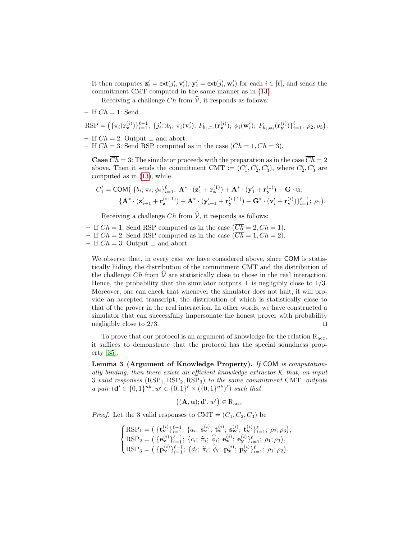It then computes  $\mathbf{z}'_i = \text{ext}(j'_i, \mathbf{v}'_i)$ ,  $\mathbf{y}'_i = \text{ext}(\bar{j}'_i, \mathbf{w}'_i)$  for each  $i \in [\ell]$ , and sends the commitment CMT computed in the same manner as in [\(13\)](#page-13-0).

Receiving a challenge Ch from  $\hat{\mathcal{V}}$ , it responds as follows:

– If  $Ch = 1$ : Send

$$
RSP = \big(\{\pi_i(\mathbf{r}_{\mathbf{v}}^{(i)})\}_{i=1}^{\ell-1};\ \{j_i'\oplus b_i;\ \pi_i(\mathbf{v}_i');\ F_{b_i,\pi_i}(\mathbf{r}_{\mathbf{z}}^{(i)});\ \phi_i(\mathbf{w}_i');\ F_{\bar{b}_i,\phi_i}(\mathbf{r}_{\mathbf{y}}^{(i)})\}_{i=1}^{\ell};\ \rho_2;\rho_3\big).
$$

- If  $Ch = 2$ : Output  $\perp$  and abort.
- If  $Ch = 3$ : Send RSP computed as in the case  $(\overline{Ch} = 1, Ch = 3)$ .

**Case**  $\overline{Ch} = 3$ : The simulator proceeds with the preparation as in the case  $\overline{Ch} = 2$ above. Then it sends the commitment CMT :=  $(C'_1, C'_2, C'_3)$ , where  $C'_2, C'_3$  are computed as in [\(13\)](#page-13-0), while

$$
C'_1 = \text{COM}\big(\left\{b_i; \pi_i; \phi_i\right\}_{i=1}^{\ell}; \ \mathbf{A}^* \cdot (\mathbf{z}'_1 + \mathbf{r}_\mathbf{z}^{(1)}) + \mathbf{A}^* \cdot (\mathbf{y}'_1 + \mathbf{r}_\mathbf{y}^{(1)}) - \mathbf{G} \cdot \mathbf{u}; \{\mathbf{A}^* \cdot (\mathbf{z}'_{i+1} + \mathbf{r}_\mathbf{z}^{(i+1)}) + \mathbf{A}^* \cdot (\mathbf{y}'_{i+1} + \mathbf{r}_\mathbf{y}^{(i+1)}) - \mathbf{G}^* \cdot (\mathbf{v}'_i + \mathbf{r}_\mathbf{v}^{(i)})\}_{i=1}^{\ell-1}; \ \rho_1\big).
$$

Receiving a challenge Ch from  $\hat{\mathcal{V}}$ , it responds as follows:

- If  $Ch = 1$ : Send RSP computed as in the case  $(\overline{Ch} = 2, Ch = 1)$ . – If  $Ch = 2$ : Send RSP computed as in the case  $(\overline{Ch} = 1, Ch = 2)$ .
- If  $Ch = 3$ : Output  $\perp$  and abort.

We observe that, in every case we have considered above, since COM is statistically hiding, the distribution of the commitment CMT and the distribution of the challenge Ch from  $\mathcal{V}$  are statistically close to those in the real interaction. Hence, the probability that the simulator outputs  $\perp$  is negligibly close to 1/3. Moreover, one can check that whenever the simulator does not halt, it will provide an accepted transcript, the distribution of which is statistically close to that of the prover in the real interaction. In other words, we have constructed a simulator that can successfully impersonate the honest prover with probability negligibly close to  $2/3$ .

<span id="page-14-0"></span>To prove that our protocol is an argument of knowledge for the relation  $R_{\text{acc}}$ , it suffices to demonstrate that the protocol has the special soundness property [\[35\]](#page-28-15).

Lemma 3 (Argument of Knowledge Property). If COM is computationally binding, then there exists an efficient knowledge extractor  $K$  that, on input 3 valid responses  $(RSP<sub>1</sub>, RSP<sub>2</sub>, RSP<sub>3</sub>)$  to the same commitment CMT, outputs a pair  $(\mathbf{d}' \in \{0,1\}^{nk}, w' \in \{0,1\}^{\ell} \times (\{0,1\}^{nk})^{\ell})$  such that

$$
((\mathbf{A},\mathbf{u});\mathbf{d}',w')\in R_{\rm acc}.
$$

*Proof.* Let the 3 valid responses to  $CMT = (C_1, C_2, C_3)$  be

 $\sqrt{ }$  $\int$  $\overline{a}$  $\text{RSP}_1=\big(\ \{\mathbf{t_v^{(i)}}\}_{i=1}^{\ell-1};\ \{a_i;\ \mathbf{s_v^{(i)}};\ \mathbf{t_z^{(i)}};\ \mathbf{s_w^{(i)}};\ \mathbf{t_y^{(i)}}\}_{i=1}^{\ell};\ \rho_2;\rho_3\big),$  $\text{RSP}_2 = \left( \{ \mathbf{e}_{\mathbf{v}}^{(i)} \}_{i=1}^{l=1}; \{ c_i; \hat{\pi}_i; \hat{\phi}_i; \mathbf{e}_{\mathbf{z}}^{(i)}; \mathbf{e}_{\mathbf{y}}^{(i)} \}_{i=1}^{l=1}; \rho_1; \rho_3 \right),$  $\text{RSP}_3 = \left( \{ \mathbf{p}_{\mathbf{v}}^{(i)} \}_{i=1}^{l} ; \{ d_i; \ \widetilde{\pi}_i; \ \widetilde{\phi}_i; \ \mathbf{p}_{\mathbf{z}}^{(i)}; \ \mathbf{p}_{\mathbf{y}}^{(i)} \}_{i=1}^{l} ; \ \rho_1; \rho_2 \right).$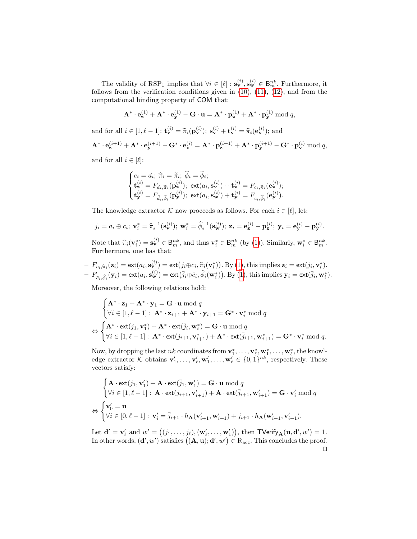The validity of RSP<sub>1</sub> implies that  $\forall i \in [\ell] : \mathbf{s}_{\mathbf{v}}^{(i)}, \mathbf{s}_{\mathbf{w}}^{(i)} \in \mathsf{B}_{m}^{nk}$ . Furthermore, it follows from the verification conditions given in [\(10\)](#page-12-4), [\(11\)](#page-12-5), [\(12\)](#page-12-6), and from the computational binding property of COM that:

$$
\mathbf{A}^* \cdot \mathbf{e}^{(1)}_{\mathbf{z}} + \mathbf{A}^* \cdot \mathbf{e}^{(1)}_{\mathbf{y}} - \mathbf{G} \cdot \mathbf{u} = \mathbf{A}^* \cdot \mathbf{p}^{(1)}_{\mathbf{z}} + \mathbf{A}^* \cdot \mathbf{p}^{(1)}_{\mathbf{y}} \bmod q,
$$

and for all  $i \in [1, \ell - 1]$ :  $\mathbf{t}_{\mathbf{v}}^{(i)} = \tilde{\pi}_i(\mathbf{p}_{\mathbf{v}}^{(i)})$ ;  $\mathbf{s}_{\mathbf{v}}^{(i)} + \mathbf{t}_{\mathbf{v}}^{(i)} = \hat{\pi}_i(\mathbf{e}_{\mathbf{v}}^{(i)})$ ; and

$$
\mathbf{A}^* \cdot \mathbf{e}_{\mathbf{z}}^{(i+1)} + \mathbf{A}^* \cdot \mathbf{e}_{\mathbf{y}}^{(i+1)} - \mathbf{G}^* \cdot \mathbf{e}_{\mathbf{v}}^{(i)} = \mathbf{A}^* \cdot \mathbf{p}_{\mathbf{z}}^{(i+1)} + \mathbf{A}^* \cdot \mathbf{p}_{\mathbf{y}}^{(i+1)} - \mathbf{G}^* \cdot \mathbf{p}_{\mathbf{v}}^{(i)}
$$
 mod  $q$ ,

and for all  $i \in [\ell]:$ 

$$
\begin{cases} c_i = d_i; \; \widehat{\pi}_i = \widetilde{\pi}_i; \; \widehat{\phi}_i = \widetilde{\phi}_i; \\ \mathbf{t}_{\mathbf{z}}^{(i)} = F_{d_i, \widetilde{\pi}_i}(\mathbf{p}_{\mathbf{z}}^{(i)}); \; \mathsf{ext}(a_i, \mathbf{s}_{\mathbf{v}}^{(i)}) + \mathbf{t}_{\mathbf{z}}^{(i)} = F_{c_i, \widehat{\pi}_i}(\mathbf{e}_{\mathbf{z}}^{(i)}); \\ \mathbf{t}_{\mathbf{y}}^{(i)} = F_{\bar{d}_i, \widetilde{\phi}_i}(\mathbf{p}_{\mathbf{y}}^{(i)}); \; \mathsf{ext}(a_i, \mathbf{s}_{\mathbf{w}}^{(i)}) + \mathbf{t}_{\mathbf{y}}^{(i)} = F_{\bar{c}_i, \widehat{\phi}_i}(\mathbf{e}_{\mathbf{y}}^{(i)}). \end{cases}
$$

The knowledge extractor K now proceeds as follows. For each  $i \in [\ell]$ , let:

$$
j_i = a_i \oplus c_i; \mathbf{v}_i^* = \hat{\pi}_i^{-1}(\mathbf{s}_{\mathbf{v}}^{(i)}); \mathbf{w}_i^* = \hat{\phi}_i^{-1}(\mathbf{s}_{\mathbf{w}}^{(i)}); \mathbf{z}_i = \mathbf{e}_{\mathbf{z}}^{(i)} - \mathbf{p}_{\mathbf{z}}^{(i)}; \mathbf{y}_i = \mathbf{e}_{\mathbf{y}}^{(i)} - \mathbf{p}_{\mathbf{y}}^{(i)}.
$$

Note that  $\hat{\pi}_i(\mathbf{v}_i^*) = \mathbf{s}_{m}^{(i)} \in \mathsf{B}_{m}^{nk}$ , and thus  $\mathbf{v}_i^* \in \mathsf{B}_{m}^{nk}$  (by [\(1\)](#page-10-4)). Similarly,  $\mathbf{w}_i^* \in \mathsf{B}_{m}^{nk}$ .<br>Furthermore, one has that: Furthermore, one has that:

- 
$$
F_{c_i, \widehat{\pi}_i}(\mathbf{z}_i) = \text{ext}(a_i, \mathbf{s}_{\mathbf{v}}^{(i)}) = \text{ext}(j_i \oplus c_i, \widehat{\pi}_i(\mathbf{v}_i^*))
$$
. By (1), this implies  $\mathbf{z}_i = \text{ext}(j_i, \mathbf{v}_i^*)$ .  
\n-  $F_{\bar{c}_i, \widehat{\phi}_i}(\mathbf{y}_i) = \text{ext}(a_i, \mathbf{s}_{\mathbf{w}}^{(i)}) = \text{ext}(\overline{j}_i \oplus \overline{c}_i, \widehat{\phi}_i(\mathbf{w}_i^*))$ . By (1), this implies  $\mathbf{y}_i = \text{ext}(\overline{j}_i, \mathbf{w}_i^*)$ .

Moreover, the following relations hold:

$$
\begin{cases}\n\mathbf{A}^* \cdot \mathbf{z}_1 + \mathbf{A}^* \cdot \mathbf{y}_1 = \mathbf{G} \cdot \mathbf{u} \bmod q \\
\forall i \in [1, \ell - 1]: \mathbf{A}^* \cdot \mathbf{z}_{i+1} + \mathbf{A}^* \cdot \mathbf{y}_{i+1} = \mathbf{G}^* \cdot \mathbf{v}_i^* \bmod q \\
\Leftrightarrow \begin{cases}\n\mathbf{A}^* \cdot \text{ext}(j_1, \mathbf{v}_1^*) + \mathbf{A}^* \cdot \text{ext}(\bar{j}_i, \mathbf{w}_i^*) = \mathbf{G} \cdot \mathbf{u} \bmod q \\
\forall i \in [1, \ell - 1]: \mathbf{A}^* \cdot \text{ext}(j_{i+1}, \mathbf{v}_{i+1}^*) + \mathbf{A}^* \cdot \text{ext}(\bar{j}_{i+1}, \mathbf{w}_{i+1}^*) = \mathbf{G}^* \cdot \mathbf{v}_i^* \bmod q.\n\end{cases}
$$

Now, by dropping the last  $nk$  coordinates from  $\mathbf{v}_1^*, \ldots, \mathbf{v}_\ell^*, \mathbf{w}_1^*, \ldots, \mathbf{w}_\ell^*,$  the knowledge extractor K obtains  $\mathbf{v}'_1, \ldots, \mathbf{v}'_\ell, \mathbf{w}'_1, \ldots, \mathbf{w}'_\ell \in \{0, 1\}^{nk}$ , respectively. These vectors satisfy:

$$
\begin{cases}\n\mathbf{A} \cdot \text{ext}(j_1, \mathbf{v}_1') + \mathbf{A} \cdot \text{ext}(\overline{j}_1, \mathbf{w}_1') = \mathbf{G} \cdot \mathbf{u} \bmod q \\
\forall i \in [1, \ell - 1]: \mathbf{A} \cdot \text{ext}(j_{i+1}, \mathbf{v}_{i+1}') + \mathbf{A} \cdot \text{ext}(\overline{j}_{i+1}, \mathbf{w}_{i+1}') = \mathbf{G} \cdot \mathbf{v}_i' \bmod q \\
\Leftrightarrow \begin{cases}\n\mathbf{v}_0' = \mathbf{u} \\
\forall i \in [0, \ell - 1]: \mathbf{v}_i' = \overline{j}_{i+1} \cdot h_\mathbf{A}(\mathbf{v}_{i+1}', \mathbf{w}_{i+1}') + j_{i+1} \cdot h_\mathbf{A}(\mathbf{w}_{i+1}', \mathbf{v}_{i+1}').\n\end{cases}
$$

Let  $\mathbf{d}' = \mathbf{v}'_\ell$  and  $w' = ((j_1, \ldots, j_\ell), (\mathbf{w}'_\ell, \ldots, \mathbf{w}'_1)),$  then  $\mathsf{TVerify}_{\mathbf{A}}(\mathbf{u}, \mathbf{d}', w') = 1$ . In other words,  $(d', w')$  satisfies  $((\mathbf{A}, \mathbf{u}); d', w') \in R_{\text{acc}}$ . This concludes the proof.  $\Box$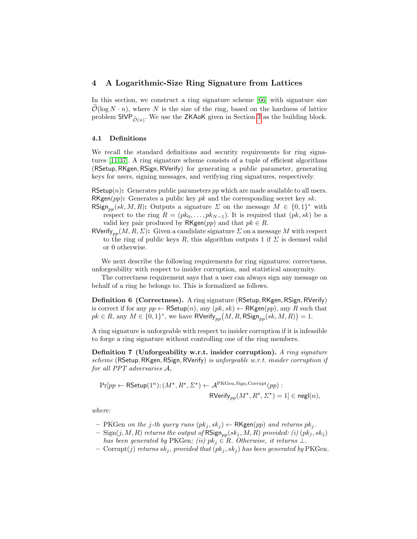## <span id="page-16-0"></span>4 A Logarithmic-Size Ring Signature from Lattices

In this section, we construct a ring signature scheme [\[66\]](#page-29-15) with signature size  $\mathcal{O}(\log N \cdot n)$ , where N is the size of the ring, based on the hardness of lattice problem  $\mathsf{SIVP}_{\widetilde{\mathcal{O}}(n)}$ . We use the ZKAoK given in Section [3](#page-6-0) as the building block.

## 4.1 Definitions

We recall the standard definitions and security requirements for ring signatures [\[11,](#page-26-5)[37\]](#page-28-13). A ring signature scheme consists of a tuple of efficient algorithms (RSetup, RKgen, RSign, RVerify) for generating a public parameter, generating keys for users, signing messages, and verifying ring signatures, respectively.

RSetup $(n)$ : Generates public parameters pp which are made available to all users.  $RKgen(pp)$ : Generates a public key pk and the corresponding secret key sk.

- RSign<sub>pp</sub>(sk, M, R): Outputs a signature  $\Sigma$  on the message  $M \in \{0,1\}^*$  with respect to the ring  $R = (pk_0, \ldots, pk_{N-1})$ . It is required that  $(pk, sk)$  be a valid key pair produced by  $\mathsf{RKgen}(pp)$  and that  $pk \in R$ .
- RVerify<sub>pp</sub> $(M, R, \Sigma)$ : Given a candidate signature  $\Sigma$  on a message M with respect to the ring of public keys R, this algorithm outputs 1 if  $\Sigma$  is deemed valid or 0 otherwise.

We next describe the following requirements for ring signatures: correctness, unforgeability with respect to insider corruption, and statistical anonymity.

The correctness requirement says that a user can always sign any message on behalf of a ring he belongs to. This is formalized as follows.

Definition 6 (Correctness). A ring signature (RSetup, RKgen, RSign, RVerify) is correct if for any  $pp \leftarrow \textsf{RSetup}(n)$ , any  $(pk, sk) \leftarrow \textsf{RKgen}(pp)$ , any R such that  $pk \in R$ , any  $M \in \{0,1\}^*$ , we have  $\mathsf{RVerify}_{pp}(M, R, \mathsf{RSign}_{pp}(sk, M, R)) = 1$ .

A ring signature is unforgeable with respect to insider corruption if it is infeasible to forge a ring signature without controlling one of the ring members.

Definition 7 (Unforgeability w.r.t. insider corruption). A ring signature scheme (RSetup, RKgen, RSign, RVerify) is unforgeable  $w.r.t.$  insider corruption if for all PPT adversaries A,

<span id="page-16-1"></span>
$$
\Pr[pp \leftarrow \mathsf{RSetup}(1^n); (M^{\star}, R^{\star}, \Sigma^{\star}) \leftarrow \mathcal{A}^{\mathsf{PKGen}, \mathsf{Sign}, \mathsf{Corrupt}}(pp) : \\ \mathsf{RVerify}_{pp}(M^{\star}, R^{\star}, \Sigma^{\star}) = 1] \in \mathsf{negl}(n),
$$

where:

- PKGen on the j-th query runs  $(pk_j, sk_j) \leftarrow \mathsf{RKgen}(pp)$  and returns  $pk_j$ .
- $-$  Sign(j, M, R) returns the output of  $\mathsf{RSign}_{pp}(sk_j, M, R)$  provided: (i)  $(pk_j, sk_j)$ has been generated by PKGen; (ii)  $pk_j \in R$ . Otherwise, it returns  $\perp$ .
- Corrupt(j) returns skj, provided that  $(pk_j, sk_j)$  has been generated by PKGen.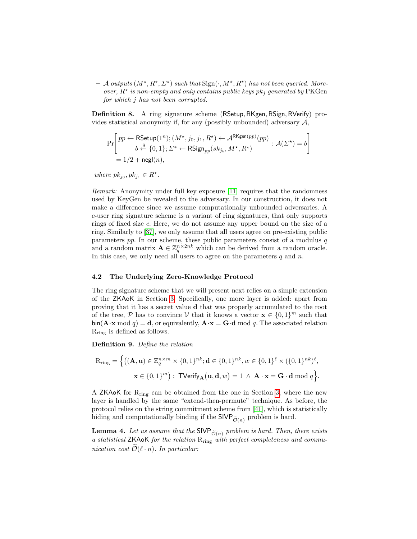$-$  A outputs  $(M^{\star}, R^{\star}, \Sigma^{\star})$  such that  $Sign(\cdot, M^{\star}, R^{\star})$  has not been queried. Moreover,  $R^*$  is non-empty and only contains public keys pk<sub>j</sub> generated by PKGen for which j has not been corrupted.

Definition 8. A ring signature scheme (RSetup, RKgen, RSign, RVerify) provides statistical anonymity if, for any (possibly unbounded) adversary  $A$ ,

$$
\Pr\left[ \begin{aligned} &pp \leftarrow \mathsf{RSetup}(1^n); (M^\star, j_0, j_1, R^\star) \leftarrow \mathcal{A}^{\mathsf{RKgen}(pp)}(pp) \\ &b \stackrel{\hspace{0.1em}\mathsf{\scriptscriptstyle\$}}{\leftarrow} \{0, 1\}; \varSigma^* \leftarrow \mathsf{RSign}_{pp}(sk_{j_b}, M^\star, R^\star) \\ & = 1/2 + \mathsf{negl}(n), \end{aligned} \right. : \mathcal{A}(\varSigma^{\star}) = b \right]
$$

where  $pk_{j_0}, pk_{j_1} \in R^*$ .

Remark: Anonymity under full key exposure [\[11\]](#page-26-5) requires that the randomness used by KeyGen be revealed to the adversary. In our construction, it does not make a difference since we assume computationally unbounded adversaries. A c-user ring signature scheme is a variant of ring signatures, that only supports rings of fixed size c. Here, we do not assume any upper bound on the size of a ring. Similarly to [\[37\]](#page-28-13), we only assume that all users agree on pre-existing public parameters  $pp$ . In our scheme, these public parameters consist of a modulus  $q$ and a random matrix  $\mathbf{A} \in \mathbb{Z}_q^{n \times 2nk}$  which can be derived from a random oracle. In this case, we only need all users to agree on the parameters  $q$  and  $n$ .

## <span id="page-17-0"></span>4.2 The Underlying Zero-Knowledge Protocol

The ring signature scheme that we will present next relies on a simple extension of the ZKAoK in Section [3.](#page-6-0) Specifically, one more layer is added: apart from proving that it has a secret value d that was properly accumulated to the root of the tree, P has to convince V that it knows a vector  $\mathbf{x} \in \{0,1\}^m$  such that  $\sin(A \cdot x \mod q) = d$ , or equivalently,  $\mathbf{A} \cdot \mathbf{x} = \mathbf{G} \cdot d \mod q$ . The associated relation Rring is defined as follows.

Definition 9. Define the relation

$$
\begin{aligned} \mathbf{R}_{\mathrm{ring}} &= \Big\{ \big( (\mathbf{A}, \mathbf{u}) \in \mathbb{Z}_q^{n \times m} \times \{0, 1\}^{nk}; \mathbf{d} \in \{0, 1\}^{nk}, w \in \{0, 1\}^{\ell} \times (\{0, 1\}^{nk})^{\ell}, \\ &\mathbf{x} \in \{0, 1\}^m \big): \text{ TVerify}_{\mathbf{A}} \big( \mathbf{u}, \mathbf{d}, w \big) = 1 \ \wedge \ \mathbf{A} \cdot \mathbf{x} = \mathbf{G} \cdot \mathbf{d} \bmod q \Big\}. \end{aligned}
$$

A ZKA<sub>o</sub>K for  $R_{ring}$  can be obtained from the one in Section [3,](#page-6-0) where the new layer is handled by the same "extend-then-permute" technique. As before, the protocol relies on the string commitment scheme from [\[41\]](#page-28-11), which is statistically hiding and computationally binding if the  $\mathsf{SIVP}_{\widetilde{\mathcal{O}}(n)}$  problem is hard.

<span id="page-17-1"></span>**Lemma 4.** Let us assume that the SIVP  $_{\tilde{\mathcal{O}}(n)}$  problem is hard. Then, there exists a statistical ZKAoK for the relation Rring with perfect completeness and communication cost  $\widetilde{\mathcal{O}}(\ell \cdot n)$ . In particular: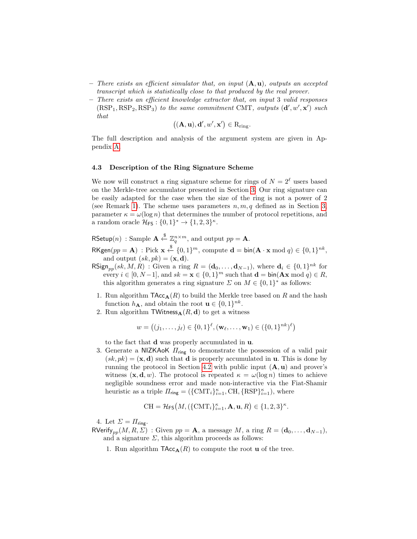- There exists an efficient simulator that, on input  $(A, u)$ , outputs an accepted transcript which is statistically close to that produced by the real prover.
- There exists an efficient knowledge extractor that, on input 3 valid responses  $(RSP<sub>1</sub>, RSP<sub>2</sub>, RSP<sub>3</sub>)$  to the same commitment CMT, outputs  $(d', w', x')$  such that

$$
((\mathbf{A},\mathbf{u}),\mathbf{d}',w',\mathbf{x}') \in R_{\mathrm{ring}}.
$$

The full description and analysis of the argument system are given in Appendix [A.](#page-30-0)

### <span id="page-18-0"></span>4.3 Description of the Ring Signature Scheme

We now will construct a ring signature scheme for rings of  $N = 2^{\ell}$  users based on the Merkle-tree accumulator presented in Section [3.](#page-6-0) Our ring signature can be easily adapted for the case when the size of the ring is not a power of 2 (see Remark [1\)](#page-19-0). The scheme uses parameters  $n, m, q$  defined as in Section [3,](#page-6-0) parameter  $\kappa = \omega(\log n)$  that determines the number of protocol repetitions, and a random oracle  $\mathcal{H}_{FS}: \{0,1\}^* \to \{1,2,3\}^{\kappa}.$ 

RSetup $(n)$ : Sample  $\mathbf{A} \stackrel{\$}{\leftarrow} \mathbb{Z}_q^{n \times m}$ , and output  $pp = \mathbf{A}$ .

 $\mathsf{RKgen}(pp = \mathbf{A}) : \mathrm{Pick} \times \stackrel{\$}{\leftarrow} \{0,1\}^m, \mathrm{compute} \ \mathbf{d} = \mathsf{bin}(\mathbf{A} \cdot \mathbf{x} \bmod q) \in \{0,1\}^{nk},$ and output  $(sk, pk) = (\mathbf{x}, \mathbf{d}).$ 

- $\mathsf{RSign}_{pp}(sk, M, R)$ : Given a ring  $R = (\mathbf{d}_0, \dots, \mathbf{d}_{N-1}),$  where  $\mathbf{d}_i \in \{0, 1\}^{nk}$  for every  $i \in [0, N-1]$ , and  $sk = \mathbf{x} \in \{0, 1\}^m$  such that  $\mathbf{d} = \text{bin}(\mathbf{A}\mathbf{x} \bmod q) \in R$ , this algorithm generates a ring signature  $\Sigma$  on  $M \in \{0,1\}^*$  as follows:
- 1. Run algorithm  $\mathsf{TAcc}_{\mathbf{A}}(R)$  to build the Merkle tree based on R and the hash function  $h_{\mathbf{A}}$ , and obtain the root  $\mathbf{u} \in \{0,1\}^{nk}$ .
- 2. Run algorithm  $TWitness_{\mathbf{A}}(R, d)$  to get a witness

$$
w = ((j_1, \ldots, j_\ell) \in \{0, 1\}^\ell, (\mathbf{w}_\ell, \ldots, \mathbf{w}_1) \in (\{0, 1\}^{nk})^\ell)
$$

to the fact that d was properly accumulated in u.

3. Generate a NIZKAoK  $\Pi_{\text{ring}}$  to demonstrate the possession of a valid pair  $(sk, pk) = (\mathbf{x}, \mathbf{d})$  such that **d** is properly accumulated in **u**. This is done by running the protocol in Section [4.2](#page-17-0) with public input  $(A, u)$  and prover's witness  $(\mathbf{x}, \mathbf{d}, w)$ . The protocol is repeated  $\kappa = \omega(\log n)$  times to achieve negligible soundness error and made non-interactive via the Fiat-Shamir heuristic as a triple  $\Pi_{\text{ring}} = (\{ \text{CMT}_i \}_{i=1}^{\kappa}, \text{CH}, \{ \text{RSP} \}_{i=1}^{\kappa}),$  where

$$
\mathrm{CH}=\mathcal{H}_{\mathsf{FS}}\big(M, (\{\mathrm{CMT}_i\}_{i=1}^{\kappa}, \mathbf{A}, \mathbf{u}, R)\in \{1, 2, 3\}^{\kappa}.
$$

4. Let  $\Sigma = \Pi_{\text{ring}}$ .

RVerify<sub>nn</sub> $(M, R, \Sigma)$ : Given  $pp = A$ , a message M, a ring  $R = (d_0, \ldots, d_{N-1}),$ and a signature  $\Sigma$ , this algorithm proceeds as follows:

1. Run algorithm  $\mathsf{TAcc}_{\mathbf{A}}(R)$  to compute the root **u** of the tree.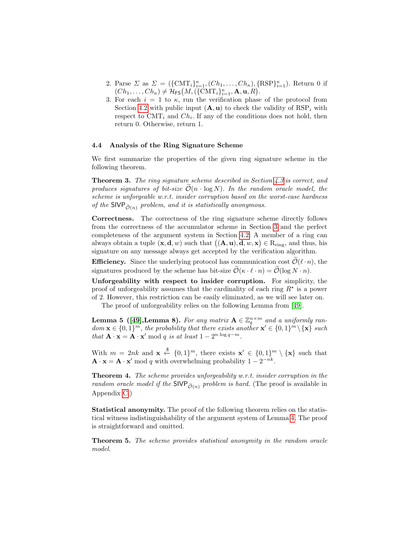- 2. Parse  $\Sigma$  as  $\Sigma = (\{CMT_i\}_{i=1}^{\kappa}, (Ch_1, \ldots, Ch_{\kappa}), \{RSP\}_{i=1}^{\kappa})$ . Return 0 if  $(Ch_1, \ldots, Ch_\kappa) \neq \mathcal{H}_{\textsf{FS}}\big(M, (\{\text{CMT}_i\}_{i=1}^\kappa, \mathbf{A}, \mathbf{u}, R\big).$
- 3. For each  $i = 1$  to  $\kappa$ , run the verification phase of the protocol from Section [4.2](#page-17-0) with public input  $(A, u)$  to check the validity of  $RSP_i$  with respect to  $\text{CMT}_i$  and  $\text{Ch}_i$ . If any of the conditions does not hold, then return 0. Otherwise, return 1.

## 4.4 Analysis of the Ring Signature Scheme

We first summarize the properties of the given ring signature scheme in the following theorem.

Theorem 3. The ring signature scheme described in Section [4.3](#page-18-0) is correct, and produces signatures of bit-size  $\mathcal{O}(n \cdot \log N)$ . In the random oracle model, the scheme is unforgeable w.r.t. insider corruption based on the worst-case hardness of the SIVP  $_{\widetilde{\mathcal{O}}(n)}$  problem, and it is statistically anonymous.

Correctness. The correctness of the ring signature scheme directly follows from the correctness of the accumulator scheme in Section [3](#page-6-0) and the perfect completeness of the argument system in Section [4.2:](#page-17-0) A member of a ring can always obtain a tuple  $(x, d, w)$  such that  $((A, u), d, w, x) \in R_{ring}$ , and thus, his signature on any message always get accepted by the verification algorithm.

**Efficiency.** Since the underlying protocol has communication cost  $\mathcal{O}(\ell \cdot n)$ , the signatures produced by the scheme has bit-size  $\widetilde{\mathcal{O}}(\kappa \cdot \ell \cdot n) = \widetilde{\mathcal{O}}(\log N \cdot n)$ .

Unforgeability with respect to insider corruption. For simplicity, the proof of unforgeability assumes that the cardinality of each ring  $R^*$  is a power of 2. However, this restriction can be easily eliminated, as we will see later on.

The proof of unforgeability relies on the following Lemma from [\[49\]](#page-28-18).

<span id="page-19-2"></span>**Lemma 5** ([\[49\]](#page-28-18), Lemma 8). For any matrix  $A \in \mathbb{Z}_q^{n \times m}$  and a uniformly ran $dom \mathbf{x} \in \{0,1\}^m$ , the probability that there exists another  $\mathbf{x}' \in \{0,1\}^m \setminus {\mathbf{x}}$  such that  $\mathbf{A} \cdot \mathbf{x} = \mathbf{A} \cdot \mathbf{x}' \bmod q$  is at least  $1 - 2^{n \cdot \log q - m}$ .

With  $m = 2nk$  and  $\mathbf{x} \leftarrow \{0,1\}^m$ , there exists  $\mathbf{x}' \in \{0,1\}^m \setminus {\mathbf{x}}$  such that  $\mathbf{A} \cdot \mathbf{x} = \mathbf{A} \cdot \mathbf{x}'$  mod q with overwhelming probability  $1 - 2^{-nk}$ .

<span id="page-19-1"></span>**Theorem 4.** The scheme provides unforgeability w.r.t. insider corruption in the random oracle model if the  $SIVP_{\tilde{O}(n)}$  problem is hard. (The proof is available in Appendix [C.](#page-43-0))

Statistical anonymity. The proof of the following theorem relies on the statistical witness indistinguishability of the argument system of Lemma [4.](#page-17-1) The proof is straightforward and omitted.

<span id="page-19-0"></span>Theorem 5. The scheme provides statistical anonymity in the random oracle model.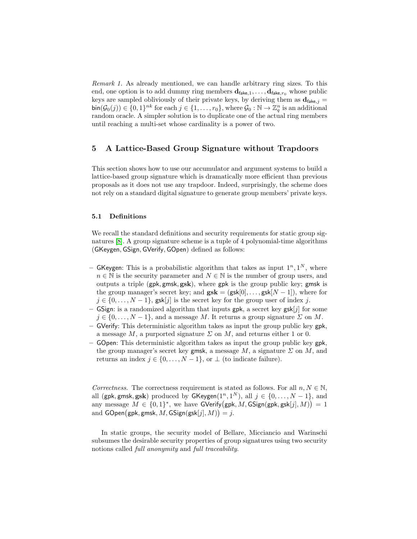Remark 1. As already mentioned, we can handle arbitrary ring sizes. To this end, one option is to add dummy ring members  $d_{\text{fake},1}, \ldots, d_{\text{fake},r_0}$  whose public keys are sampled obliviously of their private keys, by deriving them as  $d_{\text{fake},j} =$  $\text{bin}(\mathcal{G}_0(j)) \in \{0,1\}^{nk}$  for each  $j \in \{1,\ldots,r_0\}$ , where  $\mathcal{G}_0 : \mathbb{N} \to \mathbb{Z}_q^n$  is an additional random oracle. A simpler solution is to duplicate one of the actual ring members until reaching a multi-set whose cardinality is a power of two.

## <span id="page-20-0"></span>5 A Lattice-Based Group Signature without Trapdoors

This section shows how to use our accumulator and argument systems to build a lattice-based group signature which is dramatically more efficient than previous proposals as it does not use any trapdoor. Indeed, surprisingly, the scheme does not rely on a standard digital signature to generate group members' private keys.

## 5.1 Definitions

We recall the standard definitions and security requirements for static group signatures [\[8\]](#page-26-6). A group signature scheme is a tuple of 4 polynomial-time algorithms (GKeygen, GSign, GVerify, GOpen) defined as follows:

- GKeygen: This is a probabilistic algorithm that takes as input  $1^n, 1^N$ , where  $n \in \mathbb{N}$  is the security parameter and  $N \in \mathbb{N}$  is the number of group users, and outputs a triple (gpk, gmsk, gsk), where gpk is the group public key; gmsk is the group manager's secret key; and  $\mathbf{gsk} = (\mathbf{gsk}[0], \ldots, \mathbf{gsk}[N-1])$ , where for  $j \in \{0, \ldots, N-1\}$ , gsk[j] is the secret key for the group user of index j.
- GSign: is a randomized algorithm that inputs gpk, a secret key gsk[j] for some  $j \in \{0, \ldots, N-1\}$ , and a message M. It returns a group signature  $\Sigma$  on M.
- GVerify: This deterministic algorithm takes as input the group public key gpk, a message M, a purported signature  $\Sigma$  on M, and returns either 1 or 0.
- GOpen: This deterministic algorithm takes as input the group public key gpk, the group manager's secret key gmsk, a message  $M$ , a signature  $\Sigma$  on  $M$ , and returns an index  $j \in \{0, \ldots, N-1\}$ , or  $\perp$  (to indicate failure).

Correctness. The correctness requirement is stated as follows. For all  $n, N \in \mathbb{N}$ , all (gpk, gmsk, gsk) produced by  $GKeygen(1^n, 1^N)$ , all  $j \in \{0, ..., N-1\}$ , and any message  $M \in \{0,1\}^*$ , we have GVerify(gpk, M, GSign(gpk, gsk[j], M)) = 1 and  $\mathsf{GOpen}(\mathsf{gpk}, \mathsf{gmsk}, M, \mathsf{GSign}(\mathsf{gsk}[j], M)) = j.$ 

In static groups, the security model of Bellare, Micciancio and Warinschi subsumes the desirable security properties of group signatures using two security notions called full anonymity and full traceability.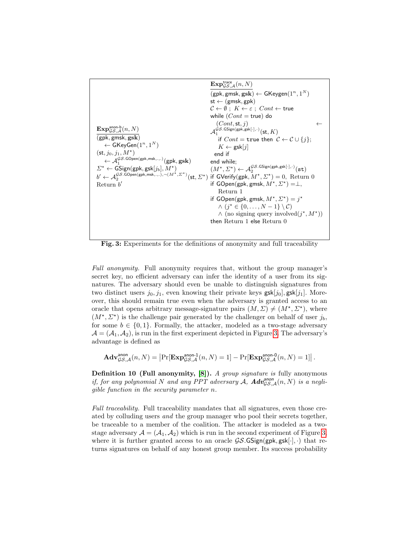<span id="page-21-0"></span>

Fig. 3: Experiments for the definitions of anonymity and full traceability

Full anonymity. Full anonymity requires that, without the group manager's secret key, no efficient adversary can infer the identity of a user from its signatures. The adversary should even be unable to distinguish signatures from two distinct users  $j_0, j_1$ , even knowing their private keys  $\mathsf{g}$ sk $[j_0], \mathsf{g}$ sk $[j_1]$ . Moreover, this should remain true even when the adversary is granted access to an oracle that opens arbitrary message-signature pairs  $(M, \Sigma) \neq (M^*, \Sigma^*)$ , where  $(M^{\star}, \Sigma^{\star})$  is the challenge pair generated by the challenger on behalf of user  $j_b$ , for some  $b \in \{0,1\}$ . Formally, the attacker, modeled as a two-stage adversary  $\mathcal{A} = (\mathcal{A}_1, \mathcal{A}_2)$ , is run in the first experiment depicted in Figure [3.](#page-21-0) The adversary's advantage is defined as

$$
\mathbf{Adv}_{\mathcal{GS},\mathcal{A}}^{\text{anon}}(n,N) = \left| \Pr[\mathbf{Exp}_{\mathcal{GS},\mathcal{A}}^{\text{anon-1}}(n,N) = 1] - \Pr[\mathbf{Exp}_{\mathcal{GS},\mathcal{A}}^{\text{anon-0}}(n,N) = 1] \right|.
$$

Definition 10 (Full anonymity, [\[8\]](#page-26-6)). A group signature is fully anonymous if, for any polynomial N and any PPT adversary A,  $\boldsymbol{Adv}^{anon}_{\mathcal{GS},\mathcal{A}}(n,N)$  is a negligible function in the security parameter n.

Full traceability. Full traceability mandates that all signatures, even those created by colluding users and the group manager who pool their secrets together, be traceable to a member of the coalition. The attacker is modeled as a twostage adversary  $\mathcal{A} = (\mathcal{A}_1, \mathcal{A}_2)$  which is run in the second experiment of Figure [3,](#page-21-0) where it is further granted access to an oracle  $\mathcal{GS}$ . GSign(gpk, gsk[.],.) that returns signatures on behalf of any honest group member. Its success probability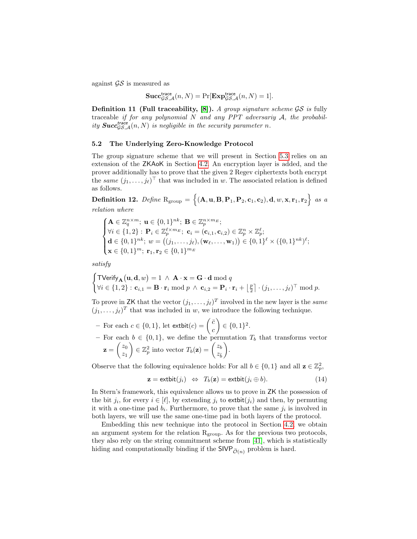against  $\mathcal{G}\mathcal{S}$  is measured as

$$
\mathbf{Succ}_{\mathcal{GS},\mathcal{A}}^{\mathsf{trace}}(n,N) = \Pr[\mathbf{Exp}_{\mathcal{GS},\mathcal{A}}^{\mathsf{trace}}(n,N) = 1].
$$

**Definition 11 (Full traceability, [\[8\]](#page-26-6)).** A group signature scheme  $\mathcal{GS}$  is fully traceable if for any polynomial  $N$  and any PPT adversariy  $A$ , the probability  $\textbf{Succ}_{\mathcal{GS},\mathcal{A}}^{\text{trace}}(n,N)$  is negligible in the security parameter n.

## <span id="page-22-0"></span>5.2 The Underlying Zero-Knowledge Protocol

The group signature scheme that we will present in Section [5.3](#page-23-0) relies on an extension of the ZKAoK in Section [4.2.](#page-17-0) An encryption layer is added, and the prover additionally has to prove that the given 2 Regev ciphertexts both encrypt the *same*  $(j_1, \ldots, j_\ell)^\top$  that was included in w. The associated relation is defined as follows.

<span id="page-22-1"></span>Definition 12. Define  $\text{R}_{\text{group}} = \left\{ (\mathbf{A}, \mathbf{u}, \mathbf{B}, \mathbf{P}_1, \mathbf{P}_2, \mathbf{c}_1, \mathbf{c}_2), \mathbf{d}, w, \mathbf{x}, \mathbf{r}_1, \mathbf{r}_2 \right\}$  as a relation where

$$
\begin{cases}\n\mathbf{A} \in \mathbb{Z}_q^{n \times m}; \ \mathbf{u} \in \{0, 1\}^{nk}; \ \mathbf{B} \in \mathbb{Z}_p^{n \times m_E}; \\
\forall i \in \{1, 2\} : \ \mathbf{P}_i \in \mathbb{Z}_p^{\ell \times m_E}; \ \mathbf{c}_i = (\mathbf{c}_{i,1}, \mathbf{c}_{i,2}) \in \mathbb{Z}_p^n \times \mathbb{Z}_p^{\ell}; \\
\mathbf{d} \in \{0, 1\}^{nk}; \ w = \big((j_1, \dots, j_\ell), (\mathbf{w}_\ell, \dots, \mathbf{w}_1)\big) \in \{0, 1\}^\ell \times (\{0, 1\}^{nk})^\ell; \\
\mathbf{x} \in \{0, 1\}^m; \ \mathbf{r}_1, \mathbf{r}_2 \in \{0, 1\}^{m_E}\n\end{cases}
$$

satisfy

$$
\begin{cases}\n\text{TVerify}_{\mathbf{A}}(\mathbf{u}, \mathbf{d}, w) = 1 \ \wedge \ \mathbf{A} \cdot \mathbf{x} = \mathbf{G} \cdot \mathbf{d} \bmod q \\
\forall i \in \{1, 2\} : \mathbf{c}_{i,1} = \mathbf{B} \cdot \mathbf{r}_i \bmod p \ \wedge \ \mathbf{c}_{i,2} = \mathbf{P}_i \cdot \mathbf{r}_i + \left\lfloor \frac{p}{2} \right\rfloor \cdot (j_1, \dots, j_\ell)^\top \bmod p.\n\end{cases}
$$

To prove in ZK that the vector  $(j_1, \ldots, j_\ell)^T$  involved in the new layer is the same  $(j_1, \ldots, j_\ell)^T$  that was included in w, we introduce the following technique.

- For each  $c \in \{0,1\}$ , let  $extbit(c) = \begin{pmatrix} \bar{c} & \bar{c} \\ 0 & \bar{c} \end{pmatrix}$ c  $\Big) \in \{0,1\}^2.$
- For each  $b \in \{0,1\}$ , we define the permutation  $T_b$  that transforms vector  $\mathbf{z} = \begin{pmatrix} z_0 \\ z \end{pmatrix}$  $z_1$  $\Big) \in \mathbb{Z}_p^2$  into vector  $T_b(\mathbf{z}) = \begin{pmatrix} z_b \\ z_c \end{pmatrix}$  $z_{\bar{b}}$ .

Observe that the following equivalence holds: For all  $b \in \{0, 1\}$  and all  $\mathbf{z} \in \mathbb{Z}_p^2$ ,

<span id="page-22-2"></span>
$$
\mathbf{z} = \text{extbit}(j_i) \Leftrightarrow T_b(\mathbf{z}) = \text{extbit}(j_i \oplus b). \tag{14}
$$

In Stern's framework, this equivalence allows us to prove in ZK the possession of the bit  $j_i$ , for every  $i \in [\ell]$ , by extending  $j_i$  to extbit $(j_i)$  and then, by permuting it with a one-time pad  $b_i$ . Furthermore, to prove that the same  $j_i$  is involved in both layers, we will use the same one-time pad in both layers of the protocol.

Embedding this new technique into the protocol in Section [4.2,](#page-17-0) we obtain an argument system for the relation  $R_{\text{group}}$ . As for the previous two protocols, they also rely on the string commitment scheme from [\[41\]](#page-28-11), which is statistically hiding and computationally binding if the  $\mathsf{SIVP}_{\widetilde{\mathcal{O}}(n)}$  problem is hard.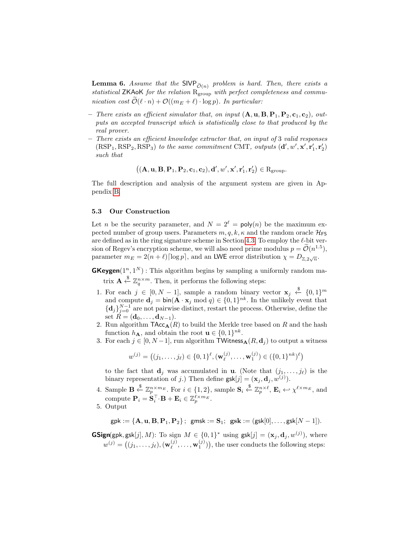**Lemma 6.** Assume that the SIVP  $_{\tilde{O}(n)}$  problem is hard. Then, there exists a statistical ZKAoK for the relation  $R_{group}$  with perfect completeness and communication cost  $\widetilde{\mathcal{O}}(\ell \cdot n) + \mathcal{O}((m_E + \ell) \cdot \log p)$ . In particular:

- There exists an efficient simulator that, on input  $(A, u, B, P_1, P_2, c_1, c_2)$ , outputs an accepted transcript which is statistically close to that produced by the real prover.
- There exists an efficient knowledge extractor that, on input of 3 valid responses  $(RSP<sub>1</sub>, RSP<sub>2</sub>, RSP<sub>3</sub>)$  to the same commitment CMT, outputs  $(d', w', x', r'_1, r'_2)$ such that

$$
\big((\mathbf{A},\mathbf{u},\mathbf{B},\mathbf{P}_1,\mathbf{P}_2,\mathbf{c}_1,\mathbf{c}_2),\mathbf{d}',w',\mathbf{x}',\mathbf{r}_1',\mathbf{r}_2'\big)\in R_{\text{group}}.
$$

The full description and analysis of the argument system are given in Appendix [B.](#page-35-0)

## <span id="page-23-0"></span>5.3 Our Construction

Let *n* be the security parameter, and  $N = 2^{\ell} = \text{poly}(n)$  be the maximum expected number of group users. Parameters  $m, q, k, \kappa$  and the random oracle  $\mathcal{H}_{FS}$ are defined as in the ring signature scheme in Section [4.3.](#page-18-0) To employ the  $\ell$ -bit version of Regev's encryption scheme, we will also need prime modulus  $p = \mathcal{O}(n^{1.5})$ , parameter  $m_E = 2(n + \ell) \lceil \log p \rceil$ , and an LWE error distribution  $\chi = D_{\mathbb{Z}, 2\sqrt{n}}$ .

**GKeygen** $(1^n, 1^N)$ : This algorithm begins by sampling a uniformly random matrix  $\mathbf{A} \stackrel{\$}{\leftarrow} \mathbb{Z}_q^{n \times m}$ . Then, it performs the following steps:

- 1. For each  $j \in [0, N-1]$ , sample a random binary vector  $\mathbf{x}_j \stackrel{\$}{\leftarrow} \{0,1\}^m$ and compute  $\mathbf{d}_j = \text{bin}(\mathbf{A} \cdot \mathbf{x}_j \mod q) \in \{0,1\}^{nk}$ . In the unlikely event that  ${d_j}_{j=0}^{N-1}$  are not pairwise distinct, restart the process. Otherwise, define the set  $\bar{R} = (\mathbf{d}_0, \dots, \mathbf{d}_{N-1}).$
- 2. Run algorithm  $\mathsf{TAcc}_{\mathbf{A}}(R)$  to build the Merkle tree based on R and the hash function  $h_{\mathbf{A}}$ , and obtain the root  $\mathbf{u} \in \{0,1\}^{nk}$ .
- 3. For each  $j \in [0, N-1]$ , run algorithm TWitness $_{\mathbf{A}}(R, \mathbf{d}_i)$  to output a witness

$$
w^{(j)} = ((j_1, \ldots, j_\ell) \in \{0, 1\}^\ell, (\mathbf{w}^{(j)}_\ell, \ldots, \mathbf{w}^{(j)}_1) \in (\{0, 1\}^{nk})^\ell)
$$

to the fact that  $\mathbf{d}_i$  was accumulated in **u**. (Note that  $(j_1, \ldots, j_\ell)$  is the binary representation of j.) Then define  $\text{gsk}[j] = (\mathbf{x}_j, \mathbf{d}_j, w^{(j)})$ .

- 4. Sample  $\mathbf{B} \stackrel{\$}{\leftarrow} \mathbb{Z}_p^{n \times m_E}$ . For  $i \in \{1, 2\}$ , sample  $\mathbf{S}_i \stackrel{\$}{\leftarrow} \mathbb{Z}_p^{n \times \ell}$ ,  $\mathbf{E}_i \leftarrow \chi^{\ell \times m_E}$ , and compute  $\mathbf{P}_i = \dot{\mathbf{S}}_i^{\top} \cdot \mathbf{B} + \mathbf{E}_i \in \mathbb{Z}_p^{\ell \times m_E}.$
- 5. Output

$$
\mathsf{gpk} := \{\mathbf{A}, \mathbf{u}, \mathbf{B}, \mathbf{P}_1, \mathbf{P}_2\}; \; \; \mathsf{gmsk} := \mathbf{S}_1; \; \; \mathsf{gsk} := (\mathsf{gsk}[0], \ldots, \mathsf{gsk}[N-1]).
$$

**GSign**(gpk, gsk[j], M): To sign  $M \in \{0,1\}^*$  using gsk[j] =  $(\mathbf{x}_j, \mathbf{d}_j, w^{(j)})$ , where  $w^{(j)} = \bigl((j_1,\ldots,j_\ell),(\mathbf{w}_\ell^{(j)})$  $(\mathbf{y}^{(j)}, \ldots, \mathbf{w}^{(j)}_1)$ , the user conducts the following steps: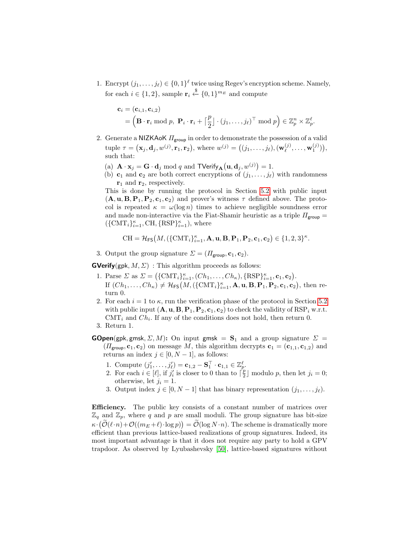1. Encrypt  $(j_1, \ldots, j_\ell) \in \{0, 1\}^\ell$  twice using Regev's encryption scheme. Namely, for each  $i \in \{1, 2\}$ , sample  $\mathbf{r}_i \stackrel{\$}{\leftarrow} \{0, 1\}^{m_E}$  and compute

$$
\mathbf{c}_i = (\mathbf{c}_{i,1}, \mathbf{c}_{i,2})
$$
  
=  $(\mathbf{B} \cdot \mathbf{r}_i \bmod p, \ \mathbf{P}_i \cdot \mathbf{r}_i + \lceil \frac{p}{2} \rceil \cdot (j_1, \ldots, j_\ell)^\top \bmod p) \in \mathbb{Z}_p^n \times \mathbb{Z}_p^\ell.$ 

- 2. Generate a NIZKAoK  $\Pi_{\text{group}}$  in order to demonstrate the possession of a valid tuple  $\tau = (\mathbf{x}_j, \mathbf{d}_j, w^{(j)}, \mathbf{r}_1, \mathbf{r}_2)$ , where  $w^{(j)} = ((j_1, \ldots, j_\ell), (\mathbf{w}_\ell^{(j)})$  $\binom{(j)}{\ell}, \ldots, \mathbf{w}_1^{(j)}),$ such that:
	- (a)  $\mathbf{A} \cdot \mathbf{x}_j = \mathbf{G} \cdot \mathbf{d}_j \bmod q$  and  $\mathsf{TVerify}_{\mathbf{A}}(\mathbf{u}, \mathbf{d}_j, w^{(j)}) = 1$ .
	- (b)  $\mathbf{c}_1$  and  $\mathbf{c}_2$  are both correct encryptions of  $(j_1, \ldots, j_\ell)$  with randomness  $\mathbf{r}_1$  and  $\mathbf{r}_2$ , respectively.

This is done by running the protocol in Section [5.2](#page-22-0) with public input  $(A, u, B, P_1, P_2, c_1, c_2)$  and prover's witness  $\tau$  defined above. The protocol is repeated  $\kappa = \omega(\log n)$  times to achieve negligible soundness error and made non-interactive via the Fiat-Shamir heuristic as a triple  $\Pi_{\text{group}} =$  $(\{CMT_i\}_{i=1}^{\kappa}, CH, {RSP}_{i=1}^{\kappa}),$  where

$$
\mathrm{CH}=\mathcal{H}_{\mathsf{FS}}\big(M, (\{\mathrm{CMT}_i\}_{i=1}^{\kappa}, \mathbf{A}, \mathbf{u}, \mathbf{B}, \mathbf{P}_1, \mathbf{P}_2, \mathbf{c}_1, \mathbf{c}_2) \in \{1, 2, 3\}^{\kappa}.
$$

3. Output the group signature  $\Sigma = (H_{\text{group}}, \mathbf{c}_1, \mathbf{c}_2)$ .

**GVerify**(gpk,  $M$ ,  $\Sigma$ ) : This algorithm proceeds as follows:

- 1. Parse  $\Sigma$  as  $\Sigma = (\{\text{CMT}_i\}_{i=1}^{\kappa}, (Ch_1, \ldots, Ch_{\kappa}), \{\text{RSP}\}_{i=1}^{\kappa}, \mathbf{c}_1, \mathbf{c}_2).$ If  $(Ch_1, \ldots, Ch_\kappa) \neq \mathcal{H}_{\textsf{FS}}\big(M, (\{\text{CMT}_i\}_{i=1}^\kappa, \mathbf{A}, \mathbf{u}, \mathbf{B}, \mathbf{P}_1, \mathbf{P}_2, \mathbf{c}_1, \mathbf{c}_2\big), \text{ then re-}$ turn 0.
- 2. For each  $i = 1$  to  $\kappa$ , run the verification phase of the protocol in Section [5.2](#page-22-0) with public input  $(A, u, B, P_1, P_2, c_1, c_2)$  to check the validity of RSP<sub>i</sub> w.r.t.  $\text{CMT}_i$  and  $\text{Ch}_i$ . If any of the conditions does not hold, then return 0.
- 3. Return 1.
- **GOpen**(gpk, gmsk,  $\Sigma$ , M): On input gmsk =  $S_1$  and a group signature  $\Sigma$  =  $(\Pi_{\text{group}}, \mathbf{c}_1, \mathbf{c}_2)$  on message M, this algorithm decrypts  $\mathbf{c}_1 = (\mathbf{c}_{1,1}, \mathbf{c}_{1,2})$  and returns an index  $j \in [0, N - 1]$ , as follows:
	- 1. Compute  $(j'_1, ..., j'_\ell) = \mathbf{c}_{1,2} \mathbf{S}_1^\top \cdot \mathbf{c}_{1,1} \in \mathbb{Z}_p^\ell$ .
	- 2. For each  $i \in [\ell],$  if  $j'_i$  is closer to 0 than to  $\lceil \frac{p}{2} \rfloor$  modulo p, then let  $j_i = 0$ ; otherwise, let  $j_i = 1$ .
	- 3. Output index  $j \in [0, N 1]$  that has binary representation  $(j_1, \ldots, j_\ell)$ .

Efficiency. The public key consists of a constant number of matrices over  $\mathbb{Z}_q$  and  $\mathbb{Z}_p$ , where q and p are small moduli. The group signature has bit-size  $\kappa \cdot (\mathcal{O}(\ell \cdot n) + \mathcal{O}((m_E + \ell) \cdot \log p)) = \mathcal{O}(\log N \cdot n)$ . The scheme is dramatically more efficient than previous lattice-based realizations of group signatures. Indeed, its most important advantage is that it does not require any party to hold a GPV trapdoor. As observed by Lyubashevsky [\[50\]](#page-29-10), lattice-based signatures without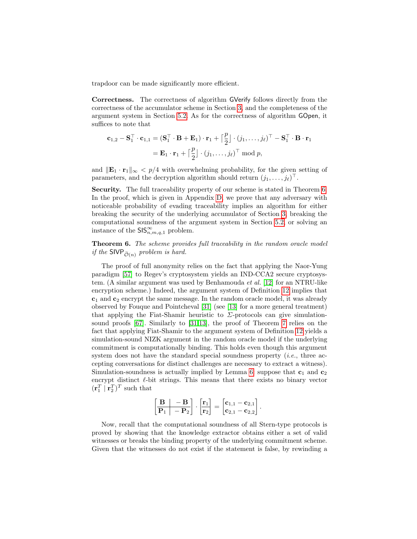trapdoor can be made significantly more efficient.

Correctness. The correctness of algorithm GVerify follows directly from the correctness of the accumulator scheme in Section [3,](#page-6-0) and the completeness of the argument system in Section [5.2.](#page-22-0) As for the correctness of algorithm GOpen, it suffices to note that

$$
\mathbf{c}_{1,2} - \mathbf{S}_1^{\top} \cdot \mathbf{c}_{1,1} = (\mathbf{S}_1^{\top} \cdot \mathbf{B} + \mathbf{E}_1) \cdot \mathbf{r}_1 + \left[\frac{p}{2}\right] \cdot (j_1, \dots, j_\ell)^{\top} - \mathbf{S}_1^{\top} \cdot \mathbf{B} \cdot \mathbf{r}_1
$$

$$
= \mathbf{E}_1 \cdot \mathbf{r}_1 + \left[\frac{p}{2}\right] \cdot (j_1, \dots, j_\ell)^{\top} \bmod p,
$$

and  $\|\mathbf{E}_1 \cdot \mathbf{r}_1\|_{\infty} < p/4$  with overwhelming probability, for the given setting of parameters, and the decryption algorithm should return  $(j_1, \ldots, j_\ell)^\top$ .

Security. The full traceability property of our scheme is stated in Theorem [6.](#page-25-0) In the proof, which is given in Appendix [D,](#page-44-0) we prove that any adversary with noticeable probability of evading traceability implies an algorithm for either breaking the security of the underlying accumulator of Section [3,](#page-6-0) breaking the computational soundness of the argument system in Section [5.2,](#page-22-0) or solving an instance of the  $\mathsf{SIS}_{n,m,q,1}^{\infty}$  problem.

<span id="page-25-0"></span>Theorem 6. The scheme provides full traceability in the random oracle model if the SIVP  $_{\tilde{O}(n)}$  problem is hard.

The proof of full anonymity relies on the fact that applying the Naor-Yung paradigm [\[57\]](#page-29-13) to Regev's cryptosystem yields an IND-CCA2 secure cryptosystem. (A similar argument was used by Benhamouda et al. [\[12\]](#page-27-8) for an NTRU-like encryption scheme.) Indeed, the argument system of Definition [12](#page-22-1) implies that  $c_1$  and  $c_2$  encrypt the same message. In the random oracle model, it was already observed by Fouque and Pointcheval [\[31\]](#page-28-19) (see [\[13\]](#page-27-16) for a more general treatment) that applying the Fiat-Shamir heuristic to  $\Sigma$ -protocols can give simulationsound proofs [\[67\]](#page-29-20). Similarly to [\[31,](#page-28-19)[13\]](#page-27-16), the proof of Theorem [7](#page-26-11) relies on the fact that applying Fiat-Shamir to the argument system of Definition [12](#page-22-1) yields a simulation-sound NIZK argument in the random oracle model if the underlying commitment is computationally binding. This holds even though this argument system does not have the standard special soundness property  $(i.e.,$  three accepting conversations for distinct challenges are necessary to extract a witness). Simulation-soundness is actually implied by Lemma [6:](#page-22-2) suppose that  $c_1$  and  $c_2$ encrypt distinct  $\ell$ -bit strings. This means that there exists no binary vector  $(\mathbf{r}_1^T | \mathbf{r}_2^T)^T$  such that

$$
\left[\begin{array}{c|c}\mathbf{B} & -\mathbf{B} \\ \hline \mathbf{P}_1 & -\mathbf{P}_2 \end{array}\right] \cdot \left[\begin{matrix} \mathbf{r}_1 \\ \mathbf{r}_2 \end{matrix}\right] = \left[\begin{matrix} \mathbf{c}_{1,1} - \mathbf{c}_{2,1} \\ \mathbf{c}_{2,1} - \mathbf{c}_{2,2} \end{matrix}\right].
$$

Now, recall that the computational soundness of all Stern-type protocols is proved by showing that the knowledge extractor obtains either a set of valid witnesses or breaks the binding property of the underlying commitment scheme. Given that the witnesses do not exist if the statement is false, by rewinding a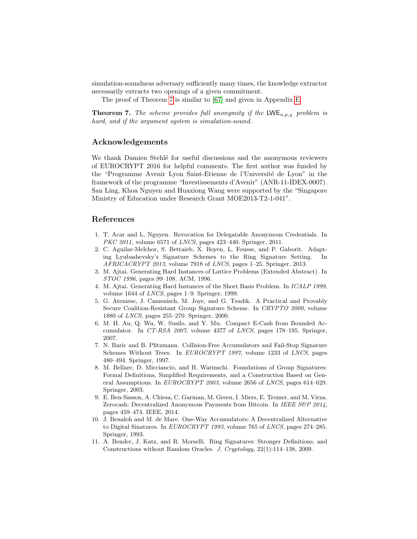simulation-soundness adversary sufficiently many times, the knowledge extractor necessarily extracts two openings of a given commitment.

The proof of Theorem [7](#page-26-11) is similar to [\[67\]](#page-29-20) and given in Appendix [E.](#page-46-0)

<span id="page-26-11"></span>**Theorem 7.** The scheme provides full anonymity if the  $LWE_{n,p,\chi}$  problem is hard, and if the argument system is simulation-sound.

## Acknowledgements

We thank Damien Stehlé for useful discussions and the anonymous reviewers of EUROCRYPT 2016 for helpful comments. The first author was funded by the "Programme Avenir Lyon Saint-Etienne de l'Université de Lyon" in the framework of the programme "Investissements d'Avenir" (ANR-11-IDEX-0007). San Ling, Khoa Nguyen and Huaxiong Wang were supported by the "Singapore Ministry of Education under Research Grant MOE2013-T2-1-041".

# References

- <span id="page-26-2"></span>1. T. Acar and L. Nguyen. Revocation for Delegatable Anonymous Credentials. In PKC 2011, volume 6571 of *LNCS*, pages 423-440. Springer, 2011.
- <span id="page-26-8"></span>2. C. Aguilar-Melchor, S. Bettaieb, X. Boyen, L. Fousse, and P. Gaborit. Adapting Lyubashevsky's Signature Schemes to the Ring Signature Setting. In AFRICACRYPT 2013, volume 7918 of LNCS, pages 1–25. Springer, 2013.
- <span id="page-26-10"></span>3. M. Ajtai. Generating Hard Instances of Lattice Problems (Extended Abstract). In STOC 1996, pages 99–108. ACM, 1996.
- <span id="page-26-7"></span>4. M. Ajtai. Generating Hard Instances of the Short Basis Problem. In ICALP 1999, volume 1644 of LNCS, pages 1–9. Springer, 1999.
- <span id="page-26-9"></span>5. G. Ateniese, J. Camenisch, M. Joye, and G. Tsudik. A Practical and Provably Secure Coalition-Resistant Group Signature Scheme. In CRYPTO 2000, volume 1880 of LNCS, pages 255–270. Springer, 2000.
- <span id="page-26-3"></span>6. M. H. Au, Q. Wu, W. Susilo, and Y. Mu. Compact E-Cash from Bounded Accumulator. In CT-RSA 2007, volume 4377 of LNCS, pages 178–195. Springer, 2007.
- <span id="page-26-1"></span>7. N. Baric and B. Pfitzmann. Collision-Free Accumulators and Fail-Stop Signature Schemes Without Trees. In EUROCRYPT 1997, volume 1233 of LNCS, pages 480–494. Springer, 1997.
- <span id="page-26-6"></span>8. M. Bellare, D. Micciancio, and B. Warinschi. Foundations of Group Signatures: Formal Definitions, Simplified Requirements, and a Construction Based on General Assumptions. In EUROCRYPT 2003, volume 2656 of LNCS, pages 614–629. Springer, 2003.
- <span id="page-26-4"></span>9. E. Ben-Sasson, A. Chiesa, C. Garman, M. Green, I. Miers, E. Tromer, and M. Virza. Zerocash: Decentralized Anonymous Payments from Bitcoin. In IEEE S&P 2014, pages 459–474. IEEE, 2014.
- <span id="page-26-0"></span>10. J. Benaloh and M. de Mare. One-Way Accumulators: A Decentralized Alternative to Digital Sinatures. In EUROCRYPT 1993, volume 765 of LNCS, pages 274–285. Springer, 1993.
- <span id="page-26-5"></span>11. A. Bender, J. Katz, and R. Morselli. Ring Signatures: Stronger Definitions, and Constructions without Random Oracles. J. Cryptology, 22(1):114–138, 2009.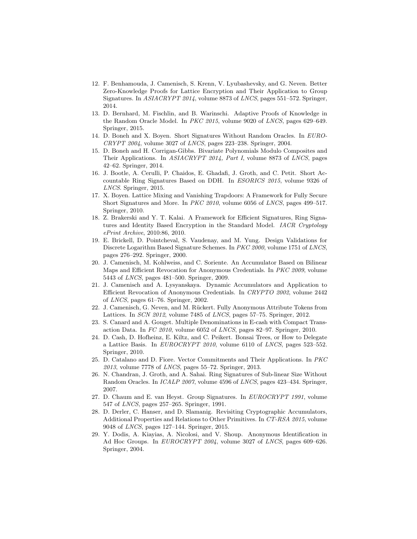- <span id="page-27-8"></span>12. F. Benhamouda, J. Camenisch, S. Krenn, V. Lyubashevsky, and G. Neven. Better Zero-Knowledge Proofs for Lattice Encryption and Their Application to Group Signatures. In ASIACRYPT 2014, volume 8873 of LNCS, pages 551–572. Springer, 2014.
- <span id="page-27-16"></span>13. D. Bernhard, M. Fischlin, and B. Warinschi. Adaptive Proofs of Knowledge in the Random Oracle Model. In PKC 2015, volume 9020 of LNCS, pages 629–649. Springer, 2015.
- <span id="page-27-6"></span>14. D. Boneh and X. Boyen. Short Signatures Without Random Oracles. In EURO- $CRYPT 2004$ , volume 3027 of *LNCS*, pages 223–238. Springer, 2004.
- <span id="page-27-5"></span>15. D. Boneh and H. Corrigan-Gibbs. Bivariate Polynomials Modulo Composites and Their Applications. In ASIACRYPT 2014, Part I, volume 8873 of LNCS, pages 42–62. Springer, 2014.
- <span id="page-27-13"></span>16. J. Bootle, A. Cerulli, P. Chaidos, E. Ghadafi, J. Groth, and C. Petit. Short Accountable Ring Signatures Based on DDH. In ESORICS 2015, volume 9326 of LNCS. Springer, 2015.
- <span id="page-27-10"></span>17. X. Boyen. Lattice Mixing and Vanishing Trapdoors: A Framework for Fully Secure Short Signatures and More. In PKC 2010, volume 6056 of LNCS, pages 499–517. Springer, 2010.
- <span id="page-27-12"></span>18. Z. Brakerski and Y. T. Kalai. A Framework for Efficient Signatures, Ring Signatures and Identity Based Encryption in the Standard Model. IACR Cryptology ePrint Archive, 2010:86, 2010.
- <span id="page-27-17"></span>19. E. Brickell, D. Pointcheval, S. Vaudenay, and M. Yung. Design Validations for Discrete Logarithm Based Signature Schemes. In PKC 2000, volume 1751 of LNCS, pages 276–292. Springer, 2000.
- <span id="page-27-1"></span>20. J. Camenisch, M. Kohlweiss, and C. Soriente. An Accumulator Based on Bilinear Maps and Efficient Revocation for Anonymous Credentials. In PKC 2009, volume 5443 of LNCS, pages 481–500. Springer, 2009.
- <span id="page-27-0"></span>21. J. Camenisch and A. Lysyanskaya. Dynamic Accumulators and Application to Efficient Revocation of Anonymous Credentials. In CRYPTO 2002, volume 2442 of LNCS, pages 61–76. Springer, 2002.
- <span id="page-27-9"></span>22. J. Camenisch, G. Neven, and M. R¨uckert. Fully Anonymous Attribute Tokens from Lattices. In SCN 2012, volume 7485 of LNCS, pages 57–75. Springer, 2012.
- <span id="page-27-3"></span>23. S. Canard and A. Gouget. Multiple Denominations in E-cash with Compact Transaction Data. In FC 2010, volume 6052 of LNCS, pages 82–97. Springer, 2010.
- <span id="page-27-15"></span>24. D. Cash, D. Hofheinz, E. Kiltz, and C. Peikert. Bonsai Trees, or How to Delegate a Lattice Basis. In EUROCRYPT 2010, volume 6110 of LNCS, pages 523–552. Springer, 2010.
- <span id="page-27-7"></span>25. D. Catalano and D. Fiore. Vector Commitments and Their Applications. In PKC 2013, volume 7778 of LNCS, pages 55–72. Springer, 2013.
- <span id="page-27-11"></span>26. N. Chandran, J. Groth, and A. Sahai. Ring Signatures of Sub-linear Size Without Random Oracles. In ICALP 2007, volume 4596 of LNCS, pages 423–434. Springer, 2007.
- <span id="page-27-14"></span>27. D. Chaum and E. van Heyst. Group Signatures. In EUROCRYPT 1991, volume 547 of LNCS, pages 257–265. Springer, 1991.
- <span id="page-27-4"></span>28. D. Derler, C. Hanser, and D. Slamanig. Revisiting Cryptographic Accumulators, Additional Properties and Relations to Other Primitives. In CT-RSA 2015, volume 9048 of LNCS, pages 127–144. Springer, 2015.
- <span id="page-27-2"></span>29. Y. Dodis, A. Kiayias, A. Nicolosi, and V. Shoup. Anonymous Identification in Ad Hoc Groups. In EUROCRYPT 2004, volume 3027 of LNCS, pages 609–626. Springer, 2004.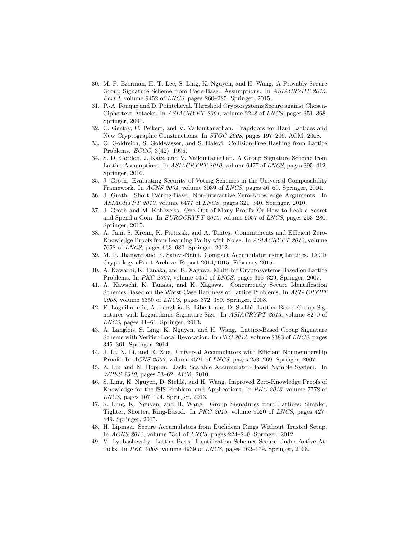- <span id="page-28-17"></span>30. M. F. Ezerman, H. T. Lee, S. Ling, K. Nguyen, and H. Wang. A Provably Secure Group Signature Scheme from Code-Based Assumptions. In ASIACRYPT 2015, Part I, volume 9452 of LNCS, pages 260–285. Springer, 2015.
- <span id="page-28-19"></span>31. P.-A. Fouque and D. Pointcheval. Threshold Cryptosystems Secure against Chosen-Ciphertext Attacks. In ASIACRYPT 2001, volume 2248 of LNCS, pages 351–368. Springer, 2001.
- <span id="page-28-9"></span>32. C. Gentry, C. Peikert, and V. Vaikuntanathan. Trapdoors for Hard Lattices and New Cryptographic Constructions. In STOC 2008, pages 197–206. ACM, 2008.
- <span id="page-28-10"></span>33. O. Goldreich, S. Goldwasser, and S. Halevi. Collision-Free Hashing from Lattice Problems. ECCC, 3(42), 1996.
- <span id="page-28-5"></span>34. S. D. Gordon, J. Katz, and V. Vaikuntanathan. A Group Signature Scheme from Lattice Assumptions. In ASIACRYPT 2010, volume 6477 of LNCS, pages 395–412. Springer, 2010.
- <span id="page-28-15"></span>35. J. Groth. Evaluating Security of Voting Schemes in the Universal Composability Framework. In ACNS 2004, volume 3089 of LNCS, pages 46–60. Springer, 2004.
- <span id="page-28-3"></span>36. J. Groth. Short Pairing-Based Non-interactive Zero-Knowledge Arguments. In ASIACRYPT 2010, volume 6477 of LNCS, pages 321–340. Springer, 2010.
- <span id="page-28-13"></span>37. J. Groth and M. Kohlweiss. One-Out-of-Many Proofs: Or How to Leak a Secret and Spend a Coin. In EUROCRYPT 2015, volume 9057 of LNCS, pages 253–280. Springer, 2015.
- <span id="page-28-16"></span>38. A. Jain, S. Krenn, K. Pietrzak, and A. Tentes. Commitments and Efficient Zero-Knowledge Proofs from Learning Parity with Noise. In ASIACRYPT 2012, volume 7658 of LNCS, pages 663–680. Springer, 2012.
- <span id="page-28-4"></span>39. M. P. Jhanwar and R. Safavi-Naini. Compact Accumulator using Lattices. IACR Cryptology ePrint Archive: Report 2014/1015, February 2015.
- <span id="page-28-14"></span>40. A. Kawachi, K. Tanaka, and K. Xagawa. Multi-bit Cryptosystems Based on Lattice Problems. In PKC 2007, volume 4450 of LNCS, pages 315–329. Springer, 2007.
- <span id="page-28-11"></span>41. A. Kawachi, K. Tanaka, and K. Xagawa. Concurrently Secure Identification Schemes Based on the Worst-Case Hardness of Lattice Problems. In ASIACRYPT 2008, volume 5350 of LNCS, pages 372–389. Springer, 2008.
- <span id="page-28-6"></span>42. F. Laguillaumie, A. Langlois, B. Libert, and D. Stehlé. Lattice-Based Group Signatures with Logarithmic Signature Size. In ASIACRYPT 2013, volume 8270 of LNCS, pages 41–61. Springer, 2013.
- <span id="page-28-7"></span>43. A. Langlois, S. Ling, K. Nguyen, and H. Wang. Lattice-Based Group Signature Scheme with Verifier-Local Revocation. In PKC 2014, volume 8383 of LNCS, pages 345–361. Springer, 2014.
- <span id="page-28-2"></span>44. J. Li, N. Li, and R. Xue. Universal Accumulators with Efficient Nonmembership Proofs. In ACNS 2007, volume 4521 of LNCS, pages 253–269. Springer, 2007.
- <span id="page-28-0"></span>45. Z. Lin and N. Hopper. Jack: Scalable Accumulator-Based Nymble System. In WPES 2010, pages 53–62. ACM, 2010.
- <span id="page-28-12"></span>46. S. Ling, K. Nguyen, D. Stehlé, and H. Wang. Improved Zero-Knowledge Proofs of Knowledge for the ISIS Problem, and Applications. In PKC 2013, volume 7778 of LNCS, pages 107–124. Springer, 2013.
- <span id="page-28-8"></span>47. S. Ling, K. Nguyen, and H. Wang. Group Signatures from Lattices: Simpler, Tighter, Shorter, Ring-Based. In PKC 2015, volume 9020 of LNCS, pages 427– 449. Springer, 2015.
- <span id="page-28-1"></span>48. H. Lipmaa. Secure Accumulators from Euclidean Rings Without Trusted Setup. In ACNS 2012, volume 7341 of LNCS, pages 224–240. Springer, 2012.
- <span id="page-28-18"></span>49. V. Lyubashevsky. Lattice-Based Identification Schemes Secure Under Active Attacks. In PKC 2008, volume 4939 of LNCS, pages 162–179. Springer, 2008.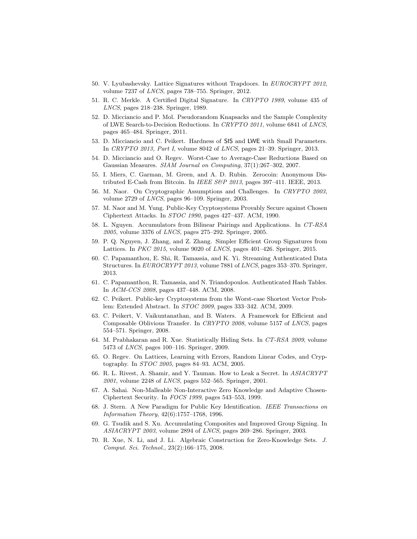- <span id="page-29-10"></span>50. V. Lyubashevsky. Lattice Signatures without Trapdoors. In EUROCRYPT 2012, volume 7237 of LNCS, pages 738–755. Springer, 2012.
- <span id="page-29-7"></span>51. R. C. Merkle. A Certified Digital Signature. In CRYPTO 1989, volume 435 of LNCS, pages 218–238. Springer, 1989.
- <span id="page-29-19"></span>52. D. Micciancio and P. Mol. Pseudorandom Knapsacks and the Sample Complexity of LWE Search-to-Decision Reductions. In CRYPTO 2011, volume 6841 of LNCS, pages 465–484. Springer, 2011.
- <span id="page-29-16"></span>53. D. Micciancio and C. Peikert. Hardness of SIS and LWE with Small Parameters. In CRYPTO 2013, Part I, volume 8042 of LNCS, pages 21–39. Springer, 2013.
- <span id="page-29-11"></span>54. D. Micciancio and O. Regev. Worst-Case to Average-Case Reductions Based on Gaussian Measures. SIAM Journal on Computing, 37(1):267–302, 2007.
- <span id="page-29-1"></span>55. I. Miers, C. Garman, M. Green, and A. D. Rubin. Zerocoin: Anonymous Distributed E-Cash from Bitcoin. In IEEE S&P 2013, pages 397-411. IEEE, 2013.
- <span id="page-29-8"></span>56. M. Naor. On Cryptographic Assumptions and Challenges. In CRYPTO 2003, volume 2729 of LNCS, pages 96–109. Springer, 2003.
- <span id="page-29-13"></span>57. M. Naor and M. Yung. Public-Key Cryptosystems Provably Secure against Chosen Ciphertext Attacks. In STOC 1990, pages 427–437. ACM, 1990.
- <span id="page-29-6"></span>58. L. Nguyen. Accumulators from Bilinear Pairings and Applications. In CT-RSA 2005, volume 3376 of LNCS, pages 275–292. Springer, 2005.
- <span id="page-29-9"></span>59. P. Q. Nguyen, J. Zhang, and Z. Zhang. Simpler Efficient Group Signatures from Lattices. In PKC 2015, volume 9020 of LNCS, pages 401–426. Springer, 2015.
- <span id="page-29-5"></span>60. C. Papamanthou, E. Shi, R. Tamassia, and K. Yi. Streaming Authenticated Data Structures. In EUROCRYPT 2013, volume 7881 of LNCS, pages 353–370. Springer, 2013.
- <span id="page-29-4"></span>61. C. Papamanthou, R. Tamassia, and N. Triandopoulos. Authenticated Hash Tables. In ACM-CCS 2008, pages 437–448. ACM, 2008.
- <span id="page-29-18"></span>62. C. Peikert. Public-key Cryptosystems from the Worst-case Shortest Vector Problem: Extended Abstract. In STOC 2009, pages 333–342. ACM, 2009.
- <span id="page-29-17"></span>63. C. Peikert, V. Vaikuntanathan, and B. Waters. A Framework for Efficient and Composable Oblivious Transfer. In CRYPTO 2008, volume 5157 of LNCS, pages 554–571. Springer, 2008.
- <span id="page-29-3"></span>64. M. Prabhakaran and R. Xue. Statistically Hiding Sets. In CT-RSA 2009, volume 5473 of LNCS, pages 100–116. Springer, 2009.
- <span id="page-29-14"></span>65. O. Regev. On Lattices, Learning with Errors, Random Linear Codes, and Cryptography. In STOC 2005, pages 84–93. ACM, 2005.
- <span id="page-29-15"></span>66. R. L. Rivest, A. Shamir, and Y. Tauman. How to Leak a Secret. In ASIACRYPT 2001, volume 2248 of LNCS, pages 552–565. Springer, 2001.
- <span id="page-29-20"></span>67. A. Sahai. Non-Malleable Non-Interactive Zero Knowledge and Adaptive Chosen-Ciphertext Security. In FOCS 1999, pages 543–553, 1999.
- <span id="page-29-12"></span>68. J. Stern. A New Paradigm for Public Key Identification. IEEE Transactions on Information Theory, 42(6):1757–1768, 1996.
- <span id="page-29-0"></span>69. G. Tsudik and S. Xu. Accumulating Composites and Improved Group Signing. In ASIACRYPT 2003, volume 2894 of LNCS, pages 269–286. Springer, 2003.
- <span id="page-29-2"></span>70. R. Xue, N. Li, and J. Li. Algebraic Construction for Zero-Knowledge Sets. J. Comput. Sci. Technol., 23(2):166–175, 2008.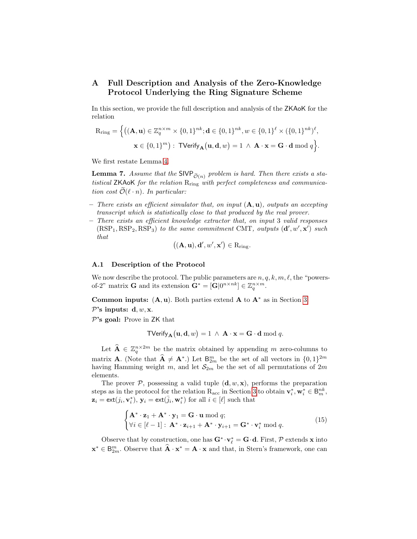# <span id="page-30-0"></span>A Full Description and Analysis of the Zero-Knowledge Protocol Underlying the Ring Signature Scheme

In this section, we provide the full description and analysis of the ZKAoK for the relation

$$
\begin{aligned} \mathbf{R}_{\mathrm{ring}} &= \Big\{ \big( (\mathbf{A}, \mathbf{u}) \in \mathbb{Z}_q^{n \times m} \times \{0, 1\}^{nk}; \mathbf{d} \in \{0, 1\}^{nk}, w \in \{0, 1\}^{\ell} \times (\{0, 1\}^{nk})^{\ell}, \\ &\mathbf{x} \in \{0, 1\}^m \big): \text{ TVerify}_{\mathbf{A}} \big( \mathbf{u}, \mathbf{d}, w \big) = 1 \ \wedge \ \mathbf{A} \cdot \mathbf{x} = \mathbf{G} \cdot \mathbf{d} \bmod q \Big\}. \end{aligned}
$$

We first restate Lemma [4.](#page-17-1)

**Lemma 7.** Assume that the SIVP  $_{\tilde{\mathcal{O}}(n)}$  problem is hard. Then there exists a statistical  $ZK$ AoK for the relation  $R_{ring}$  with perfect completeness and communication cost  $\mathcal{O}(\ell \cdot n)$ . In particular:

- There exists an efficient simulator that, on input  $(A, u)$ , outputs an accepting transcript which is statistically close to that produced by the real prover.
- There exists an efficient knowledge extractor that, on input 3 valid responses  $(RSP<sub>1</sub>, RSP<sub>2</sub>, RSP<sub>3</sub>)$  to the same commitment CMT, outputs  $(d', w', x')$  such that

$$
((\mathbf{A},\mathbf{u}),\mathbf{d}',w',\mathbf{x}') \in R_{\mathrm{ring}}.
$$

#### A.1 Description of the Protocol

We now describe the protocol. The public parameters are  $n, q, k, m, \ell$ , the "powersof-2" matrix **G** and its extension  $\mathbf{G}^* = [\mathbf{G}|0^{n \times nk}] \in \mathbb{Z}_q^{n \times m}$ .

Common inputs:  $(A, u)$ . Both parties extend A to  $A^*$  as in Section [3.](#page-6-0)

 $\mathcal{P}$ 's inputs: d, w, x.

 $\mathcal{P}$ 's goal: Prove in ZK that

$$
\mathsf{TVerify}_{\mathbf{A}}\big(\mathbf{u},\mathbf{d},w\big)=1 \;\wedge\; \mathbf{A}\cdot\mathbf{x}=\mathbf{G}\cdot\mathbf{d} \bmod q.
$$

Let  $\widehat{\mathbf{A}} \in \mathbb{Z}_q^{n \times 2m}$  be the matrix obtained by appending m zero-columns to matrix **A**. (Note that  $\widehat{A} \neq A^*$ .) Let  $B_{2m}^m$  be the set of all vectors in  $\{0, 1\}^{2m}$ having Hamming weight m, and let  $S_{2m}$  be the set of all permutations of  $2m$ elements.

The prover  $P$ , possessing a valid tuple  $(d, w, x)$ , performs the preparation steps as in the protocol for the relation  $R_{\text{acc}}$  in Section [3](#page-6-0) to obtain  $\mathbf{v}_i^*, \mathbf{w}_i^* \in \mathsf{B}_{m}^{nk}$ ,  $\mathbf{z}_i = \text{ext}(j_i, \mathbf{v}_i^*), \mathbf{y}_i = \text{ext}(\bar{j}_i, \mathbf{w}_i^*)$  for all  $i \in [\ell]$  such that

<span id="page-30-1"></span>
$$
\begin{cases} \mathbf{A}^* \cdot \mathbf{z}_1 + \mathbf{A}^* \cdot \mathbf{y}_1 = \mathbf{G} \cdot \mathbf{u} \bmod q; \\ \forall i \in [\ell - 1] : \mathbf{A}^* \cdot \mathbf{z}_{i+1} + \mathbf{A}^* \cdot \mathbf{y}_{i+1} = \mathbf{G}^* \cdot \mathbf{v}_i^* \bmod q. \end{cases}
$$
(15)

Observe that by construction, one has  $G^*\cdot v_\ell^* = G\cdot d$ . First,  $\mathcal P$  extends **x** into  $\mathbf{x}^* \in \mathsf{B}_{2m}^m$ . Observe that  $\hat{\mathbf{A}} \cdot \mathbf{x}^* = \mathbf{A} \cdot \mathbf{x}$  and that, in Stern's framework, one can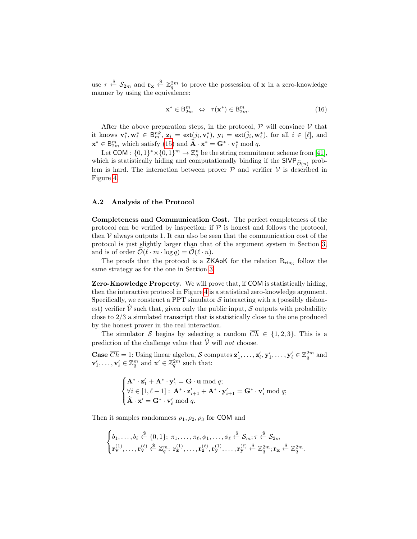use  $\tau \stackrel{\$}{\leftarrow} S_{2m}$  and  $\mathbf{r_x} \stackrel{\$}{\leftarrow} \mathbb{Z}_q^{2m}$  to prove the possession of **x** in a zero-knowledge manner by using the equivalence:

<span id="page-31-0"></span>
$$
\mathbf{x}^* \in \mathsf{B}_{2m}^m \Leftrightarrow \ \tau(\mathbf{x}^*) \in \mathsf{B}_{2m}^m. \tag{16}
$$

After the above preparation steps, in the protocol,  $P$  will convince  $V$  that it knows  $\mathbf{v}_i^*, \mathbf{w}_i^* \in \overline{\mathsf{B}_m^{nk}}$ ,  $\mathbf{z}_i = \text{ext}(j_i, \mathbf{v}_i^*)$ ,  $\mathbf{y}_i = \text{ext}(\overline{j}_i, \mathbf{w}_i^*)$ , for all  $i \in [\ell]$ , and  $\mathbf{x}^* \in \mathsf{B}_{2m}^m$  which satisfy [\(15\)](#page-30-1) and  $\hat{\mathbf{A}} \cdot \mathbf{x}^* = \mathbf{G}^* \cdot \mathbf{v}_{\ell}^*$  mod q.

Let COM :  $\{0,1\}^* \times \{0,1\}^m \to \mathbb{Z}_q^n$  be the string commitment scheme from [\[41\]](#page-28-11), which is statistically hiding and computationally binding if the  $SIVP_{\tilde{O}(n)}$  problem is hard. The interaction between prover  $P$  and verifier  $V$  is described in Figure [4.](#page-32-0)

## A.2 Analysis of the Protocol

Completeness and Communication Cost. The perfect completeness of the protocol can be verified by inspection: if  $P$  is honest and follows the protocol, then  $V$  always outputs 1. It can also be seen that the communication cost of the protocol is just slightly larger than that of the argument system in Section [3,](#page-6-0) and is of order  $\widetilde{\mathcal{O}}(\ell \cdot m \cdot \log q) = \widetilde{\mathcal{O}}(\ell \cdot n).$ 

The proofs that the protocol is a  $ZKAoK$  for the relation  $R_{ring}$  follow the same strategy as for the one in Section [3.](#page-6-0)

Zero-Knowledge Property. We will prove that, if COM is statistically hiding, then the interactive protocol in Figure [4](#page-32-0) is a statistical zero-knowledge argument. Specifically, we construct a PPT simulator  $\mathcal S$  interacting with a (possibly dishonest) verifier  $\hat{V}$  such that, given only the public input, S outputs with probability close to 2/3 a simulated transcript that is statistically close to the one produced by the honest prover in the real interaction.

The simulator S begins by selecting a random  $\overline{Ch} \in \{1,2,3\}$ . This is a prediction of the challenge value that  $\hat{\mathcal{V}}$  will not choose.

**Case**  $\overline{Ch} = 1$ : Using linear algebra, S computes  $z'_1, \ldots, z'_\ell, y'_1, \ldots, y'_\ell \in \mathbb{Z}_q^{2m}$  and  $\mathbf{v}'_1, \ldots, \mathbf{v}'_\ell \in \mathbb{Z}_q^m$  and  $\mathbf{x}' \in \mathbb{Z}_q^{2m}$  such that:

$$
\begin{cases}\n\mathbf{A}^* \cdot \mathbf{z}'_1 + \mathbf{A}^* \cdot \mathbf{y}'_1 = \mathbf{G} \cdot \mathbf{u} \bmod q; \\
\forall i \in [1, \ell - 1] : \mathbf{A}^* \cdot \mathbf{z}'_{i+1} + \mathbf{A}^* \cdot \mathbf{y}'_{i+1} = \mathbf{G}^* \cdot \mathbf{v}'_i \bmod q; \\
\widehat{\mathbf{A}} \cdot \mathbf{x}' = \mathbf{G}^* \cdot \mathbf{v}'_\ell \bmod q.\n\end{cases}
$$

Then it samples randomness  $\rho_1, \rho_2, \rho_3$  for COM and

$$
\begin{cases}\nb_1, \ldots, b_\ell \stackrel{\$}{\leftarrow} \{0,1\}; \ \pi_1, \ldots, \pi_\ell, \phi_1, \ldots, \phi_\ell \stackrel{\$}{\leftarrow} \mathcal{S}_m; \tau \stackrel{\$}{\leftarrow} \mathcal{S}_{2m} \\
\mathbf{r}_{\mathbf{v}}^{(1)}, \ldots, \mathbf{r}_{\mathbf{v}}^{(\ell)} \stackrel{\$}{\leftarrow} \mathbb{Z}_q^m; \ \mathbf{r}_{\mathbf{z}}^{(1)}, \ldots, \mathbf{r}_{\mathbf{z}}^{(\ell)}, \mathbf{r}_{\mathbf{y}}^{(1)}, \ldots, \mathbf{r}_{\mathbf{y}}^{(\ell)} \stackrel{\$}{\leftarrow} \mathbb{Z}_q^{2m}; \mathbf{r}_{\mathbf{x}} \stackrel{\$}{\leftarrow} \mathbb{Z}_q^{2m}.\n\end{cases}
$$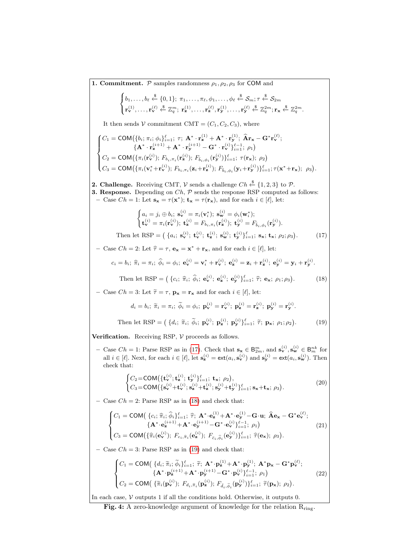<span id="page-32-2"></span><span id="page-32-1"></span><span id="page-32-0"></span>**1. Commitment.**  $P$  samples randomness  $\rho_1, \rho_2, \rho_3$  for COM and  $\sqrt{ }$ J  $\mathcal{L}$  $b_1, \ldots, b_\ell \stackrel{\$}{\leftarrow} \{0, 1\}; \ \pi_1, \ldots, \pi_\ell, \phi_1, \ldots, \phi_\ell \stackrel{\$}{\leftarrow} \mathcal{S}_m; \tau \stackrel{\$}{\leftarrow} \mathcal{S}_{2m}$  $\mathbf{r}_{\mathbf{v}}^{(1)},\ldots,\mathbf{r}_{\mathbf{v}}^{(\ell)} \stackrel{\$}{\leftarrow} \mathbb{Z}_q^m;\ \mathbf{r}_{\mathbf{z}}^{(1)},\ldots,\mathbf{r}_{\mathbf{z}}^{(\ell)},\mathbf{r}_{\mathbf{y}}^{(1)},\ldots,\mathbf{r}_{\mathbf{y}}^{(\ell)} \stackrel{\$}{\leftarrow} \mathbb{Z}_q^{2m}; \mathbf{r}_{\mathbf{x}} \stackrel{\$}{\leftarrow} \mathbb{Z}_q^{2m}.$ It then sends V commitment CMT =  $(C_1, C_2, C_3)$ , where  $\sqrt{ }$  $\int$  $\overline{\mathcal{L}}$  $C_1 = \textsf{COM}\big(\{b_i; \pi_i; \phi_i\}_{i=1}^\ell; \; \tau; \; {\mathbf{A}}^* \cdot {\mathbf{r}}^{(1)}_{\mathbf{z}} + {\mathbf{A}}^* \cdot {\mathbf{r}}^{(1)}_{\mathbf{y}}; \; \widehat{\mathbf{A}}{\mathbf{r}}_{\mathbf{x}} - {\mathbf{G}}^*{\mathbf{r}}^{(\ell)}_{\mathbf{y}};$  $\{{\bf A}^* \cdot {\bf r}^{(i+1)}_{\bf z} + {\bf A}^* \cdot {\bf r}^{(i+1)}_{\bf y} - {\bf G}^* \cdot {\bf r}^{(i)}_{\bf v} \}_{i=1}^{\ell-1; \,\,\rho_{1}} \big)$  $C_2 = \textsf{COM}\big(\{\pi_i(\mathbf{r}_{\mathbf{v}}^{(i)});\, F_{b_i,\pi_i}(\mathbf{r}_{\mathbf{z}}^{(i)});\, F_{\bar{b}_i,\phi_i}(\mathbf{r}_{\mathbf{y}}^{(i)})\}_{i=1}^{\ell};\;\tau(\mathbf{r}_{\mathbf{x}});\;\rho_2\big)$  $C_3 = \text{COM}\big(\{\pi_i(\mathbf{v}_i^*+\mathbf{r}_\mathbf{v}^{(i)}); F_{b_i,\pi_i}(\mathbf{z}_i+\mathbf{r}_\mathbf{z}^{(i)}); F_{\bar{b}_i,\phi_i}(\mathbf{y}_i+\mathbf{r}_\mathbf{y}^{(i)})\}_{i=1}^{\ell}; \tau(\mathbf{x}^*+\mathbf{r}_\mathbf{x}); \ \rho_3\big).$ **2. Challenge.** Receiving CMT,  $\mathcal V$  sends a challenge  $Ch \xleftarrow{\$} \{1,2,3\}$  to  $\mathcal P$ . **3. Response.** Depending on  $Ch$ ,  $P$  sends the response RSP computed as follows: - Case  $Ch = 1$ : Let  $\mathbf{s_x} = \tau(\mathbf{x}^*)$ ;  $\mathbf{t_x} = \tau(\mathbf{r_x})$ , and for each  $i \in [\ell]$ , let:  $a_i = j_i \oplus b_i; \; \mathbf{s}_{\mathbf{v}}^{(i)} = \pi_i(\mathbf{v}_i^*); \; \mathbf{s}_{\mathbf{w}}^{(i)} = \phi_i(\mathbf{w}_i^*);$  $\mathbf{t}_{\mathbf{v}}^{(i)} = \pi_i(\mathbf{r}_{\mathbf{v}}^{(i)}); \ \mathbf{t}_{\mathbf{z}}^{(i)} = F_{b_i, \pi_i}(\mathbf{r}_{\mathbf{z}}^{(i)}); \ \mathbf{t}_{\mathbf{y}}^{(i)} = F_{\bar{b}_i, \phi_i}(\mathbf{r}_{\mathbf{y}}^{(i)}).$ Then let RSP =  $(\{a_i; s_{\mathbf{v}}^{(i)}; \mathbf{t}_{\mathbf{v}}^{(i)}; \mathbf{t}_{\mathbf{z}}^{(i)}; s_{\mathbf{w}}^{(i)}; \mathbf{y}_{\mathbf{z}}^{(i)}; \mathbf{z}_{\mathbf{z}}^{(i)}; \mathbf{y}_{\mathbf{z}}^{(i)}\}_{i=1}^{\ell}; s_{\mathbf{x}}; \mathbf{t}_{\mathbf{x}}; \rho_2; \rho_3)$  $(17)$ - Case  $Ch = 2$ : Let  $\hat{\tau} = \tau$ ,  $\mathbf{e_x} = \mathbf{x}^* + \mathbf{r_x}$ , and for each  $i \in [\ell]$ , let:  $c_i = b_i; \; \widehat{\pi}_i = \pi_i; \; \widehat{\phi}_i = \phi_i; \; \mathbf{e}_{\mathbf{v}}^{(i)} = \mathbf{v}_i^* + \mathbf{r}_{\mathbf{v}}^{(i)}; \; \mathbf{e}_{\mathbf{z}}^{(i)} = \mathbf{z}_i + \mathbf{r}_{\mathbf{z}}^{(i)}; \; \mathbf{e}_{\mathbf{y}}^{(i)} = \mathbf{y}_i + \mathbf{r}_{\mathbf{y}}^{(i)}$ Then let RSP =  $(\lbrace c_i; \hat{\pi}_i; \hat{\phi}_i; \mathbf{e}_{\mathbf{v}}^{(i)}; \mathbf{e}_{\mathbf{z}}^{(i)}; \mathbf{e}_{\mathbf{y}}^{(i)} \rbrace_{i=1}^{\ell}; \hat{\tau}; \mathbf{e}_{\mathbf{x}}; \rho_1; \rho_3)$  $(18)$ – Case  $Ch = 3$ : Let  $\widetilde{\tau} = \tau$ ,  $\mathbf{p_x} = \mathbf{r_x}$  and for each  $i \in [\ell],$  let:  $d_i = b_i; \; \widetilde{\pi}_i = \pi_i; \; \widetilde{\phi}_i = \phi_i; \; \mathbf{p}_{\mathbf{v}}^{(i)} = \mathbf{r}_{\mathbf{v}}^{(i)}; \; \mathbf{p}_{\mathbf{z}}^{(i)} = \mathbf{r}_{\mathbf{z}}^{(i)}; \; \mathbf{p}_{\mathbf{y}}^{(i)} = \mathbf{r}_{\mathbf{y}}^{(i)}.$ Then let RSP =  $\left(\{d_i; \tilde{\pi}_i; \tilde{\phi}_i; \mathbf{p}_{\mathbf{v}}^{(i)}; \mathbf{p}_{\mathbf{z}}^{(i)}; \mathbf{p}_{\mathbf{y}}^{(i)}\}^{\ell}_{i=1}; \tilde{\tau}; \mathbf{p}_{\mathbf{x}}; \rho_1; \rho_2\right)$  $(19)$ Verification. Receiving RSP,  $V$  proceeds as follows. – Case  $Ch = 1$ : Parse RSP as in [\(17\)](#page-32-1). Check that  $\mathbf{s_x} \in \mathsf{B}_{2m}^m$ , and  $\mathbf{s_v}^{(i)}$ ,  $\mathbf{s_w}^{(i)} \in \mathsf{B}_{m}^{nk}$  for all  $i \in [\ell]$ . Next, for each  $i \in [\ell]$ , let  $\mathbf{s}_z^{(i)} = \text{ext}(a_i, \mathbf{s}_{\mathbf{v}}^{(i)})$  and  $\mathbf{s}_{\mathbf{y}}^{(i)} = \text{ext}(a_i, \mathbf{s}_{\mathbf{w}}^{(i)})$ . Then check that:  $\int C_2 = \text{COM}(\{\mathbf{t}_{\mathbf{v}}^{(i)}; \mathbf{t}_{\mathbf{z}}^{(i)}; \mathbf{t}_{\mathbf{y}}^{(i)}\}_{i=1}^{\ell}; \mathbf{t}_{\mathbf{x}}; \rho_2),$  $C_3 = \textsf{COM}\big(\{\mathbf{s}_{\mathbf{v}}^{(i)} + \mathbf{t}_{\mathbf{v}}^{(i)}; \mathbf{s}_{\mathbf{z}}^{(i)} + \mathbf{t}_{\mathbf{z}}^{(i)}; \mathbf{s}_{\mathbf{y}}^{(i)} + \mathbf{t}_{\mathbf{y}}^{(i)}\}_{i=1}^{\ell}; \mathbf{s}_{\mathbf{x}} + \mathbf{t}_{\mathbf{x}}; \rho_3\big).$ (20) – Case  $Ch = 2$ : Parse RSP as in [\(18\)](#page-32-2) and check that:  $\sqrt{ }$  $\int$  $\overline{\mathcal{L}}$  $C_1 = \text{COM}(\{c_i; \hat{\pi}_i; \hat{\phi}_i\}_{i=1}^{\ell}; \hat{\tau}; \mathbf{A}^* \cdot \mathbf{e}_{\mathbf{z}}^{(1)} + \mathbf{A}^* \cdot \mathbf{e}_{\mathbf{y}}^{(1)} - \mathbf{G} \cdot \mathbf{u}; \; \hat{\mathbf{A}} \mathbf{e}_{\mathbf{x}} - \mathbf{G}^* \mathbf{e}_{\mathbf{v}}^{(\ell)};$  $\{{\bf A}^*{\cdot}{\bf e}^{(i+1)}_{\bf z} \!+\! {\bf A}^*{\cdot}{\bf e}^{(i+1)}_{\bf y}\!-\!{\bf G}^*{\cdot}{\bf e}^{(i)}_{\bf v}\}_{i=1}^{\ell-1};\;\rho_1\big)$  $C_3 = \text{COM}\big(\{\widehat{\pi}_i(\mathbf{e}_{\mathbf{v}}^{(i)});\ F_{c_i,\widehat{\pi}_i}(\mathbf{e}_{\mathbf{z}}^{(i)});\ F_{\bar{c}_i,\widehat{\phi}_i}(\mathbf{e}_{\mathbf{y}}^{(i)})\}_{i=1}^{\ell}; \ \widehat{\tau}(\mathbf{e}_{\mathbf{x}});\ \rho_3\big).$ (21) – Case  $Ch = 3$ : Parse RSP as in [\(19\)](#page-32-3) and check that:  $\sqrt{ }$  $\int$  $\overline{a}$  $C_1 = \textsf{COM}(\{d_i; \widetilde{\pi}_i; \widetilde{\phi}_i\}_{i=1}^{\ell}; \widetilde{\tau}; \mathbf{A}^* \cdot \mathbf{p}_{\mathbf{z}}^{(1)} + \mathbf{A}^* \cdot \mathbf{p}_{\mathbf{y}}^{(1)}; \mathbf{A}^* \mathbf{p}_{\mathbf{x}} - \mathbf{G}^* \mathbf{p}_{\mathbf{y}}^{(\ell)};$  ${ {\bf A}^* \cdot {\bf p_z}^{(i+1)} + {\bf A}^* \cdot {\bf p_y}^{(i+1)} - {\bf G}^* \cdot {\bf p_v}^{(i)} }_{i=1}^{ \ell-1}; \; \rho_1} )$  $C_2 = \text{COM}(\{\widetilde{\pi}_i(\mathbf{p}_{\mathbf{v}}^{(i)}); F_{d_i, \widetilde{\pi}_i}(\mathbf{p}_{\mathbf{z}}^{(i)}); F_{\bar{d}_i, \widetilde{\phi}_i}(\mathbf{p}_{\mathbf{y}}^{(i)})\}_{i=1}^{\ell}; \ \widetilde{\tau}(\mathbf{p}_{\mathbf{x}}); \ \rho_2).$ (22)

<span id="page-32-6"></span><span id="page-32-5"></span><span id="page-32-4"></span><span id="page-32-3"></span>In each case,  $V$  outputs 1 if all the conditions hold. Otherwise, it outputs 0.

Fig. 4: A zero-knowledge argument of knowledge for the relation  $R_{ring}$ .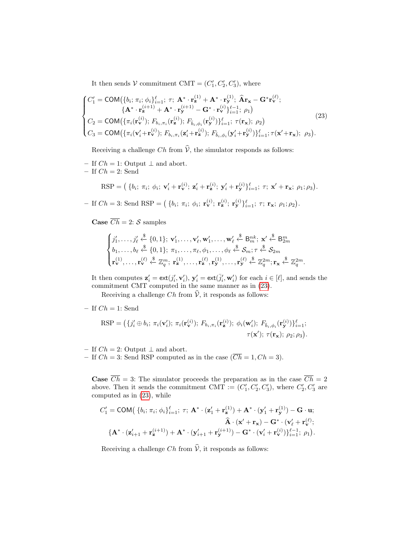It then sends  $V$  commitment CMT =  $(C'_1, C'_2, C'_3)$ , where

<span id="page-33-0"></span>
$$
\begin{cases}\nC'_{1} = \text{COM}(\{b_{i}; \pi_{i}; \phi_{i}\}_{i=1}^{l}; \tau; \mathbf{A}^{*} \cdot \mathbf{r}_{\mathbf{z}}^{(1)} + \mathbf{A}^{*} \cdot \mathbf{r}_{\mathbf{y}}^{(1)}; \widehat{\mathbf{A}}\mathbf{r}_{\mathbf{x}} - \mathbf{G}^{*}\mathbf{r}_{\mathbf{v}}^{(\ell)}; \\
\{\mathbf{A}^{*} \cdot \mathbf{r}_{\mathbf{z}}^{(i+1)} + \mathbf{A}^{*} \cdot \mathbf{r}_{\mathbf{y}}^{(i+1)} - \mathbf{G}^{*} \cdot \mathbf{r}_{\mathbf{v}}^{(i)}\}_{i=1}^{l} ; \rho_{1}\n\end{cases}
$$
\n
$$
C_{2} = \text{COM}(\{\pi_{i}(\mathbf{r}_{\mathbf{v}}^{(i)}); F_{b_{i}, \pi_{i}}(\mathbf{r}_{\mathbf{z}}^{(i)}); F_{\overline{b}_{i}, \phi_{i}}(\mathbf{r}_{\mathbf{y}}^{(i)})\}_{i=1}^{l}; \tau(\mathbf{r}_{\mathbf{x}}); \rho_{2}\n\tag{23}
$$
\n
$$
C_{3} = \text{COM}(\{\pi_{i}(\mathbf{v}_{i}^{\prime} + \mathbf{r}_{\mathbf{v}}^{(i)}); F_{b_{i}, \pi_{i}}(\mathbf{z}_{i}^{\prime} + \mathbf{r}_{\mathbf{z}}^{(i)}); F_{\overline{b}_{i}, \phi_{i}}(\mathbf{y}_{i}^{\prime} + \mathbf{r}_{\mathbf{y}}^{(i)})\}_{i=1}^{l}; \tau(\mathbf{x}^{\prime} + \mathbf{r}_{\mathbf{x}}); \rho_{3}).
$$
\n(23)

Receiving a challenge Ch from  $\hat{V}$ , the simulator responds as follows:

– If  $Ch = 1$ : Output  $\perp$  and abort. – If  $Ch = 2$ : Send

$$
\text{RSP} = \left( \left\{ b_i; \ \pi_i; \ \phi_i; \ \mathbf{v}_i' + \mathbf{r}_{\mathbf{v}}^{(i)}; \ \mathbf{z}_i' + \mathbf{r}_{\mathbf{z}}^{(i)}; \ \mathbf{y}_i' + \mathbf{r}_{\mathbf{y}}^{(i)} \right\}_{i=1}^{\ell}; \ \tau; \ \mathbf{x}' + \mathbf{r}_{\mathbf{x}}; \ \rho_1; \rho_3 \right).
$$

- If  $Ch = 3$ : Send RSP =  $(\{b_i; \pi_i; \phi_i; \mathbf{r}_v^{(i)}; \mathbf{r}_z^{(i)}; \mathbf{r}_y^{(i)}\}_{i=1}^{\ell}; \tau; \mathbf{r}_x; \rho_1; \rho_2)$ .

**Case**  $\overline{Ch} = 2$ : *S* samples

$$
\begin{cases}\nj'_1,\ldots,j'_\ell\stackrel{\$}{\leftarrow}\{0,1\};\ \mathbf{v}'_1,\ldots,\mathbf{v}'_\ell,\mathbf{w}'_1,\ldots,\mathbf{w}'_\ell\stackrel{\$}{\leftarrow}\mathsf{B}_m^{nk};\ \mathbf{x}'\stackrel{\$}{\leftarrow}\mathsf{B}_{2m}^m\\
b_1,\ldots,b_\ell\stackrel{\$}{\leftarrow}\{0,1\};\ \pi_1,\ldots,\pi_\ell,\phi_1,\ldots,\phi_\ell\stackrel{\$}{\leftarrow}\mathcal{S}_{m};\tau\stackrel{\$}{\leftarrow}\mathcal{S}_{2m}\\
\mathbf{r}^{(1)}_{\mathbf{v}},\ldots,\mathbf{r}^{(\ell)}_{\mathbf{v}}\stackrel{\$}{\leftarrow}\mathbb{Z}_q^m;\ \mathbf{r}^{(1)}_{\mathbf{z}},\ldots,\mathbf{r}^{(\ell)}_{\mathbf{z}},\mathbf{r}^{(1)}_{\mathbf{y}},\ldots,\mathbf{r}^{(\ell)}_{\mathbf{y}}\stackrel{\$}{\leftarrow}\mathbb{Z}_q^{2m};\mathbf{r}_{\mathbf{x}}\stackrel{\$}{\leftarrow}\mathbb{Z}_q^{2m}.\n\end{cases}
$$

It then computes  $\mathbf{z}'_i = \text{ext}(j'_i, \mathbf{v}'_i)$ ,  $\mathbf{y}'_i = \text{ext}(\bar{j}'_i, \mathbf{w}'_i)$  for each  $i \in [\ell]$ , and sends the commitment CMT computed in the same manner as in [\(23\)](#page-33-0).

Receiving a challenge Ch from  $\hat{V}$ , it responds as follows:

– If  $Ch = 1$ : Send

$$
\text{RSP} = \left( \{ j'_i \oplus b_i; \ \pi_i(\mathbf{v}'_i); \ \pi_i(\mathbf{r}_\mathbf{v}^{(i)}); \ F_{b_i, \pi_i}(\mathbf{r}_\mathbf{z}^{(i)}); \ \phi_i(\mathbf{w}'_i); \ F_{\bar{b}_i, \phi_i}(\mathbf{r}_\mathbf{y}^{(i)}) \}_{i=1}^{\ell};
$$
\n
$$
\tau(\mathbf{x}'); \ \tau(\mathbf{r}_\mathbf{x}); \ \rho_2; \rho_3 \right).
$$

– If  $Ch = 2$ : Output  $\perp$  and abort.

– If  $Ch = 3$ : Send RSP computed as in the case  $(\overline{Ch} = 1, Ch = 3)$ .

**Case**  $\overline{Ch} = 3$ : The simulator proceeds the preparation as in the case  $\overline{Ch} = 2$ above. Then it sends the commitment CMT :=  $(C'_1, C'_2, C'_3)$ , where  $C'_2, C'_3$  are computed as in [\(23\)](#page-33-0), while

$$
C'_{1} = \text{COM}\big(\left\{b_{i}; \pi_{i}; \phi_{i}\right\}_{i=1}^{\ell}; \tau; \mathbf{A}^{*} \cdot (\mathbf{z}'_{1} + \mathbf{r}_{\mathbf{z}}^{(1)}) + \mathbf{A}^{*} \cdot (\mathbf{y}'_{1} + \mathbf{r}_{\mathbf{y}}^{(1)}) - \mathbf{G} \cdot \mathbf{u};
$$

$$
\widehat{\mathbf{A}} \cdot (\mathbf{x}' + \mathbf{r}_{\mathbf{x}}) - \mathbf{G}^{*} \cdot (\mathbf{v}'_{\ell} + \mathbf{r}_{\mathbf{y}}^{(\ell)});
$$

$$
\left\{ \mathbf{A}^{*} \cdot (\mathbf{z}'_{i+1} + \mathbf{r}_{\mathbf{z}}^{(i+1)}) + \mathbf{A}^{*} \cdot (\mathbf{y}'_{i+1} + \mathbf{r}_{\mathbf{y}}^{(i+1)}) - \mathbf{G}^{*} \cdot (\mathbf{v}'_{i} + \mathbf{r}_{\mathbf{v}}^{(i)})\right\}_{i=1}^{\ell-1}; \rho_{1}.
$$

Receiving a challenge Ch from  $\hat{V}$ , it responds as follows: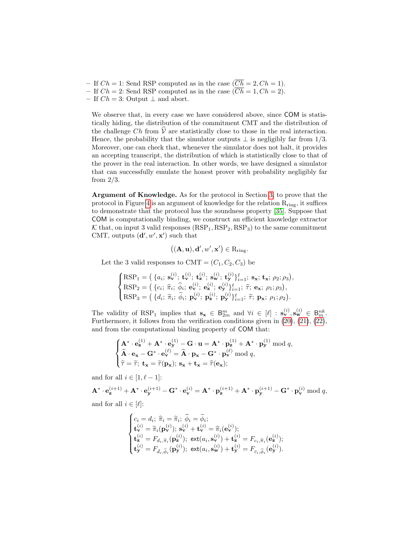– If  $Ch = 1$ : Send RSP computed as in the case  $(\overline{Ch} = 2, Ch = 1)$ . – If  $Ch = 2$ : Send RSP computed as in the case  $(\overline{Ch} = 1, Ch = 2)$ .

– If  $Ch = 3$ : Output  $\perp$  and abort.

We observe that, in every case we have considered above, since COM is statistically hiding, the distribution of the commitment CMT and the distribution of the challenge Ch from  $\dot{V}$  are statistically close to those in the real interaction. Hence, the probability that the simulator outputs  $\perp$  is negligibly far from 1/3. Moreover, one can check that, whenever the simulator does not halt, it provides an accepting transcript, the distribution of which is statistically close to that of the prover in the real interaction. In other words, we have designed a simulator that can successfully emulate the honest prover with probability negligibly far from  $2/3$ .

Argument of Knowledge. As for the protocol in Section [3,](#page-6-0) to prove that the protocol in Figure [4](#page-32-0) is an argument of knowledge for the relation  $R_{ring}$ , it suffices to demonstrate that the protocol has the soundness property [\[35\]](#page-28-15). Suppose that COM is computationally binding, we construct an efficient knowledge extractor  $K$  that, on input 3 valid responses  $(RSP<sub>1</sub>, RSP<sub>2</sub>, RSP<sub>3</sub>)$  to the same commitment CMT, outputs  $(d', w', x')$  such that

$$
((\mathbf{A},\mathbf{u}),\mathbf{d}',w',\mathbf{x}') \in R_{\text{ring}}.
$$

Let the 3 valid responses to CMT =  $(C_1, C_2, C_3)$  be

$$
\begin{cases}\n\text{RSP}_1 = \left( \{a_i; \; \mathbf{s}_{\mathbf{v}}^{(i)}; \; \mathbf{t}_{\mathbf{v}}^{(i)}; \; \mathbf{s}_{\mathbf{v}}^{(i)}; \; \mathbf{s}_{\mathbf{v}}^{(i)}; \; \mathbf{t}_{\mathbf{y}}^{(i)} \}_{i=1}^{\ell}, \; \mathbf{s}_{\mathbf{x}}; \; \mathbf{t}_{\mathbf{x}}; \; \rho_2; \rho_3 \right), \\
\text{RSP}_2 = \left( \{c_i; \; \hat{\pi}_i; \; \hat{\phi}_i; \; \mathbf{e}_{\mathbf{v}}^{(i)}; \; \mathbf{e}_{\mathbf{z}}^{(i)}; \; \mathbf{e}_{\mathbf{y}}^{(i)} \}_{i=1}^{\ell}, \; \hat{\tau}; \; \mathbf{e}_{\mathbf{x}}; \; \rho_1; \rho_3 \right), \\
\text{RSP}_3 = \left( \{d_i; \; \tilde{\pi}_i; \; \tilde{\phi}_i; \; \mathbf{p}_{\mathbf{v}}^{(i)}; \; \mathbf{p}_{\mathbf{z}}^{(i)}; \; \mathbf{p}_{\mathbf{y}}^{(i)} \}_{i=1}^{\ell}, \; \tilde{\tau}; \; \mathbf{p}_{\mathbf{x}}; \; \rho_1; \rho_2 \right).\n\end{cases}
$$

The validity of RSP<sub>1</sub> implies that  $\mathbf{s}_{\mathbf{x}} \in \mathsf{B}_{2m}^m$  and  $\forall i \in [\ell] : \mathbf{s}_{\mathbf{v}}^{(i)}, \mathbf{s}_{\mathbf{w}}^{(i)} \in \mathsf{B}_{m}^{nk}$ . Furthermore, it follows from the verification conditions given in [\(20\)](#page-32-4), [\(21\)](#page-32-5), [\(22\)](#page-32-6), and from the computational binding property of COM that:

$$
\begin{cases}\n\mathbf{A}^* \cdot \mathbf{e}_\mathbf{z}^{(1)} + \mathbf{A}^* \cdot \mathbf{e}_\mathbf{y}^{(1)} - \mathbf{G} \cdot \mathbf{u} = \mathbf{A}^* \cdot \mathbf{p}_\mathbf{z}^{(1)} + \mathbf{A}^* \cdot \mathbf{p}_\mathbf{y}^{(1)} \bmod q, \\
\mathbf{\hat{A}} \cdot \mathbf{e}_\mathbf{x} - \mathbf{G}^* \cdot \mathbf{e}_\mathbf{v}^{(\ell)} = \mathbf{\hat{A}} \cdot \mathbf{p}_\mathbf{x} - \mathbf{G}^* \cdot \mathbf{p}_\mathbf{v}^{(\ell)} \bmod q, \\
\hat{\tau} = \tilde{\tau}; \ \mathbf{t}_\mathbf{x} = \tilde{\tau}(\mathbf{p}_\mathbf{x}); \ \mathbf{s}_\mathbf{x} + \mathbf{t}_\mathbf{x} = \hat{\tau}(\mathbf{e}_\mathbf{x});\n\end{cases}
$$

and for all  $i \in [1, \ell - 1]$ :

$$
\mathbf{A}^* \cdot \mathbf{e}_{\mathbf{z}}^{(i+1)} + \mathbf{A}^* \cdot \mathbf{e}_{\mathbf{y}}^{(i+1)} - \mathbf{G}^* \cdot \mathbf{e}_{\mathbf{v}}^{(i)} = \mathbf{A}^* \cdot \mathbf{p}_{\mathbf{z}}^{(i+1)} + \mathbf{A}^* \cdot \mathbf{p}_{\mathbf{y}}^{(i+1)} - \mathbf{G}^* \cdot \mathbf{p}_{\mathbf{v}}^{(i)}
$$
 mod  $q$ ,

and for all  $i \in [\ell]:$ 

$$
\begin{cases} c_i=d_i;\ \widehat{\pi}_i=\widetilde{\pi}_i;\ \widehat{\phi}_i=\widetilde{\phi}_i; \\ \mathbf{t}^{(i)}_{\mathbf{v}}=\widetilde{\pi}_i(\mathbf{p}^{(i)}_{\mathbf{v}});\ \mathbf{s}^{(i)}_{\mathbf{v}}+\mathbf{t}^{(i)}_{\mathbf{v}}=\widehat{\pi}_i(\mathbf{e}^{(i)}_{\mathbf{v}}); \\ \mathbf{t}^{(i)}_{\mathbf{z}}=F_{d_i,\widetilde{\pi}_i}(\mathbf{p}^{(i)}_{\mathbf{z}});\ \mathbf{ext}(a_i,\mathbf{s}^{(i)}_{\mathbf{v}})+\mathbf{t}^{(i)}_{\mathbf{z}}=F_{c_i,\widehat{\pi}_i}(\mathbf{e}^{(i)}_{\mathbf{z}}); \\ \mathbf{t}^{(i)}_{\mathbf{y}}=F_{\bar{d}_i,\widetilde{\phi}_i}(\mathbf{p}^{(i)}_{\mathbf{y}});\ \mathbf{ext}(a_i,\mathbf{s}^{(i)}_{\mathbf{w}})+\mathbf{t}^{(i)}_{\mathbf{y}}=F_{\bar{c}_i,\widehat{\phi}_i}(\mathbf{e}^{(i)}_{\mathbf{y}}). \end{cases}
$$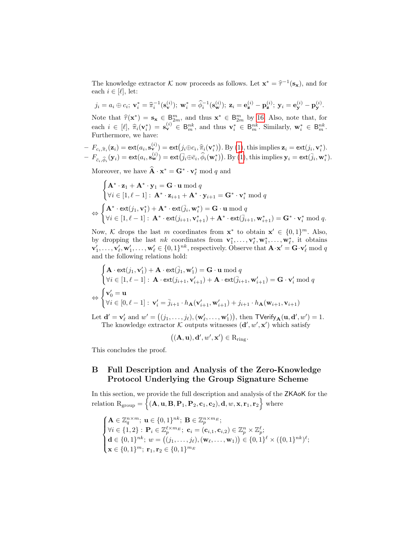The knowledge extractor K now proceeds as follows. Let  $\mathbf{x}^* = \hat{\tau}^{-1}(\mathbf{s}_\mathbf{x})$ , and for each  $i \in [\ell]$  lot. each  $i \in [\ell],$  let:

$$
j_i = a_i \oplus c_i; \mathbf{v}_i^* = \hat{\pi}_i^{-1}(\mathbf{s}_{\mathbf{v}}^{(i)}); \mathbf{w}_i^* = \hat{\phi}_i^{-1}(\mathbf{s}_{\mathbf{w}}^{(i)}); \mathbf{z}_i = \mathbf{e}_{\mathbf{z}}^{(i)} - \mathbf{p}_{\mathbf{z}}^{(i)}; \mathbf{y}_i = \mathbf{e}_{\mathbf{y}}^{(i)} - \mathbf{p}_{\mathbf{y}}^{(i)}.
$$

Note that  $\hat{\tau}(\mathbf{x}^*) = \mathbf{s}_{\mathbf{x}} \in \mathbb{B}_{2m}^m$ , and thus  $\mathbf{x}^* \in \mathbb{B}_{2m}^m$  by [16.](#page-31-0) Also, note that, for each  $i \in [\ell], \hat{\pi}_i(\mathbf{v}_i^*) = \mathbf{s}_{\mathbf{v}}^{(i)} \in \mathsf{B}_{m}^{nk}$ , and thus  $\mathbf{v}_i^* \in \mathsf{B}_{m}^{nk}$ . Similarly,  $\mathbf{w}_i^* \in \mathsf{B}_{m}^{nk}$ . Furthermore, we have:

$$
- F_{c_i, \widehat{\pi}_i}(\mathbf{z}_i) = \text{ext}(a_i, \mathbf{s}_{\mathbf{v}}^{(i)}) = \text{ext}(j_i \oplus c_i, \widehat{\pi}_i(\mathbf{v}_i^*)) \cdot \text{By (1), this implies } \mathbf{z}_i = \text{ext}(j_i, \mathbf{v}_i^*).
$$
  

$$
- F_{\bar{c}_i, \widehat{\phi}_i}(\mathbf{y}_i) = \text{ext}(a_i, \mathbf{s}_{\mathbf{w}}^{(i)}) = \text{ext}(\overline{j}_i \oplus \overline{c}_i, \widehat{\phi}_i(\mathbf{w}_i^*)) \cdot \text{By (1), this implies } \mathbf{y}_i = \text{ext}(\overline{j}_i, \mathbf{w}_i^*).
$$

Moreover, we have  $\hat{\mathbf{A}} \cdot \mathbf{x}^* = \mathbf{G}^* \cdot \mathbf{v}_{\ell}^* \text{ mod } q$  and

 $\langle \cdot \rangle$ 

$$
\begin{cases}\n\mathbf{A}^* \cdot \mathbf{z}_1 + \mathbf{A}^* \cdot \mathbf{y}_1 = \mathbf{G} \cdot \mathbf{u} \bmod q \\
\forall i \in [1, \ell - 1] : \mathbf{A}^* \cdot \mathbf{z}_{i+1} + \mathbf{A}^* \cdot \mathbf{y}_{i+1} = \mathbf{G}^* \cdot \mathbf{v}_i^* \bmod q \\
\Leftrightarrow \begin{cases}\n\mathbf{A}^* \cdot \text{ext}(j_1, \mathbf{v}_1^*) + \mathbf{A}^* \cdot \text{ext}(\overline{j}_i, \mathbf{w}_i^*) = \mathbf{G} \cdot \mathbf{u} \bmod q \\
\forall i \in [1, \ell - 1] : \mathbf{A}^* \cdot \text{ext}(j_{i+1}, \mathbf{v}_{i+1}^*) + \mathbf{A}^* \cdot \text{ext}(\overline{j}_{i+1}, \mathbf{w}_{i+1}^*) = \mathbf{G}^* \cdot \mathbf{v}_i^* \bmod q.\n\end{cases}
$$

Now, K drops the last m coordinates from  $\mathbf{x}^*$  to obtain  $\mathbf{x}' \in \{0,1\}^m$ . Also, by dropping the last nk coordinates from  $\mathbf{v}_1^*, \ldots, \mathbf{v}_{\ell}^*, \mathbf{w}_1^*, \ldots, \mathbf{w}_{\ell}^*$ , it obtains  $\mathbf{v}'_1,\ldots,\mathbf{v}'_\ell,\mathbf{w}'_1,\ldots,\mathbf{w}'_\ell\in\{0,1\}^{nk}$ , respectively. Observe that  $\mathbf{A}\cdot\mathbf{x}'=\mathbf{G}\cdot\mathbf{v}'_\ell\ \text{mod }q$ and the following relations hold:

$$
\begin{cases}\n\mathbf{A} \cdot \text{ext}(j_1, \mathbf{v}'_1) + \mathbf{A} \cdot \text{ext}(\bar{j}_1, \mathbf{w}'_1) = \mathbf{G} \cdot \mathbf{u} \bmod q \\
\forall i \in [1, \ell - 1]: \mathbf{A} \cdot \text{ext}(j_{i+1}, \mathbf{v}'_{i+1}) + \mathbf{A} \cdot \text{ext}(\bar{j}_{i+1}, \mathbf{w}'_{i+1}) = \mathbf{G} \cdot \mathbf{v}'_i \bmod q \\
\Leftrightarrow \begin{cases}\n\mathbf{v}'_0 = \mathbf{u} \\
\forall i \in [0, \ell - 1]: \mathbf{v}'_i = \bar{j}_{i+1} \cdot h_\mathbf{A}(\mathbf{v}'_{i+1}, \mathbf{w}'_{i+1}) + j_{i+1} \cdot h_\mathbf{A}(\mathbf{w}_{i+1}, \mathbf{v}_{i+1})\n\end{cases}\n\end{cases}
$$

Let  $\mathbf{d}' = \mathbf{v}'_\ell$  and  $w' = ((j_1, \ldots, j_\ell), (\mathbf{w}'_\ell, \ldots, \mathbf{w}'_1)),$  then  $\mathsf{TVerify}_{\mathbf{A}}(\mathbf{u}, \mathbf{d}', w') = 1$ . The knowledge extractor  $K$  outputs witnesses  $(d', w', x')$  which satisfy

$$
((\mathbf{A},\mathbf{u}),\mathbf{d}',w',\mathbf{x}')\in R_{\text{ring}}.
$$

This concludes the proof.

# <span id="page-35-0"></span>B Full Description and Analysis of the Zero-Knowledge Protocol Underlying the Group Signature Scheme

In this section, we provide the full description and analysis of the ZKAoK for the relation  $R_{\text{group}} = \{(\mathbf{A}, \mathbf{u}, \mathbf{B}, \mathbf{P}_1, \mathbf{P}_2, \mathbf{c}_1, \mathbf{c}_2), \mathbf{d}, w, \mathbf{x}, \mathbf{r}_1, \mathbf{r}_2\}$  where

$$
\begin{cases}\n\mathbf{A} \in \mathbb{Z}_q^{n \times m}; \ \mathbf{u} \in \{0, 1\}^{nk}; \ \mathbf{B} \in \mathbb{Z}_p^{n \times m_E}; \\
\forall i \in \{1, 2\} : \ \mathbf{P}_i \in \mathbb{Z}_p^{\ell \times m_E}; \ \mathbf{c}_i = (\mathbf{c}_{i,1}, \mathbf{c}_{i,2}) \in \mathbb{Z}_p^n \times \mathbb{Z}_p^{\ell}; \\
\mathbf{d} \in \{0, 1\}^{nk}; \ w = ((j_1, \dots, j_{\ell}), (\mathbf{w}_{\ell}, \dots, \mathbf{w}_1)) \in \{0, 1\}^{\ell} \times (\{0, 1\}^{nk})^{\ell}; \\
\mathbf{x} \in \{0, 1\}^m; \ \mathbf{r}_1, \mathbf{r}_2 \in \{0, 1\}^{m_E}\n\end{cases}
$$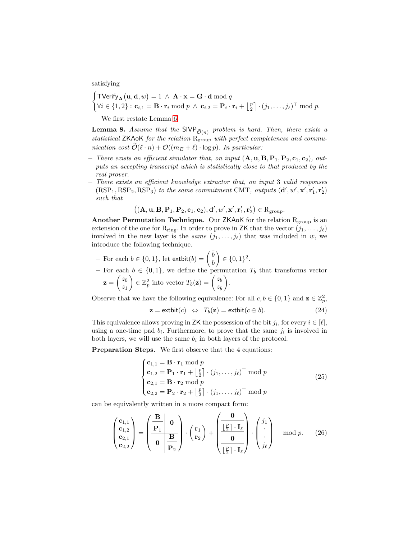satisfying

$$
\begin{cases}\n\text{TVerify}_{\mathbf{A}}(\mathbf{u}, \mathbf{d}, w) = 1 \, \wedge \, \mathbf{A} \cdot \mathbf{x} = \mathbf{G} \cdot \mathbf{d} \bmod q \\
\forall i \in \{1, 2\} : \mathbf{c}_{i, 1} = \mathbf{B} \cdot \mathbf{r}_i \bmod p \, \wedge \, \mathbf{c}_{i, 2} = \mathbf{P}_i \cdot \mathbf{r}_i + \left\lfloor \frac{p}{2} \right\rfloor \cdot (j_1, \dots, j_\ell)^\top \bmod p.\n\end{cases}
$$

We first restate Lemma [6.](#page-22-2)

**Lemma 8.** Assume that the SIVP  $\tilde{\sigma}(n)$  problem is hard. Then, there exists a statistical ZKAoK for the relation  $R_{\text{group}}$  with perfect completeness and communication cost  $\widetilde{\mathcal{O}}(\ell \cdot n) + \mathcal{O}((m_E + \ell) \cdot \log p)$ . In particular:

- There exists an efficient simulator that, on input  $(A, u, B, P_1, P_2, c_1, c_2)$ , outputs an accepting transcript which is statistically close to that produced by the real prover.
- There exists an efficient knowledge extractor that, on input 3 valid responses  $(RSP<sub>1</sub>, RSP<sub>2</sub>, RSP<sub>3</sub>)$  to the same commitment CMT, outputs  $(d', w', x', r'_1, r'_2)$ such that

 $\left(\left(\mathbf{A}, \mathbf{u}, \mathbf{B}, \mathbf{P}_1, \mathbf{P}_2, \mathbf{c}_1, \mathbf{c}_2), \mathbf{d}', w', \mathbf{x}', \mathbf{r}'_1, \mathbf{r}'_2\right) \in \mathrm{R}_{\mathrm{group}}.$ 

Another Permutation Technique. Our ZKA $\delta$ K for the relation  $R_{\text{group}}$  is an extension of the one for  $R_{ring}$ . In order to prove in ZK that the vector  $(j_1, \ldots, j_\ell)$ involved in the new layer is the *same*  $(j_1, \ldots, j_\ell)$  that was included in w, we introduce the following technique.

- For each 
$$
b \in \{0, 1\}
$$
, let  $\text{extbit}(b) = \begin{pmatrix} \overline{b} \\ b \end{pmatrix} \in \{0, 1\}^2$ .

– For each  $b \in \{0,1\}$ , we define the permutation  $T_b$  that transforms vector  $\mathbf{z} = \begin{pmatrix} z_0 \\ z \end{pmatrix}$  $\overline{z}_1$  $\Big\} \in \mathbb{Z}_p^2$  into vector  $T_b(\mathbf{z}) = \begin{pmatrix} z_b \\ z_c \end{pmatrix}$  $z_{\bar{b}}$ .

Observe that we have the following equivalence: For all  $c, b \in \{0, 1\}$  and  $\mathbf{z} \in \mathbb{Z}_p^2$ ,

<span id="page-36-1"></span>
$$
\mathbf{z} = \text{extbit}(c) \Leftrightarrow T_b(\mathbf{z}) = \text{extbit}(c \oplus b). \tag{24}
$$

This equivalence allows proving in ZK the possession of the bit  $j_i$ , for every  $i \in [\ell],$ using a one-time pad  $b_i$ . Furthermore, to prove that the same  $j_i$  is involved in both layers, we will use the same  $b_i$  in both layers of the protocol.

**Preparation Steps.** We first observe that the 4 equations:

<span id="page-36-2"></span>
$$
\begin{cases}\n\mathbf{c}_{1,1} = \mathbf{B} \cdot \mathbf{r}_1 \bmod p \\
\mathbf{c}_{1,2} = \mathbf{P}_1 \cdot \mathbf{r}_1 + \left\lfloor \frac{p}{2} \right\rfloor \cdot (j_1, \dots, j_\ell)^\top \bmod p \\
\mathbf{c}_{2,1} = \mathbf{B} \cdot \mathbf{r}_2 \bmod p \\
\mathbf{c}_{2,2} = \mathbf{P}_2 \cdot \mathbf{r}_2 + \left\lfloor \frac{p}{2} \right\rfloor \cdot (j_1, \dots, j_\ell)^\top \bmod p\n\end{cases}
$$
\n(25)

can be equivalently written in a more compact form:

<span id="page-36-0"></span>
$$
\begin{pmatrix} \mathbf{c}_{1,1} \\ \mathbf{c}_{1,2} \\ \mathbf{c}_{2,1} \\ \mathbf{c}_{2,2} \end{pmatrix} = \begin{pmatrix} \mathbf{B} & \mathbf{0} \\ \mathbf{P}_1 & \mathbf{0} \\ \mathbf{0} & \mathbf{B} \\ \mathbf{P}_2 \end{pmatrix} \cdot \begin{pmatrix} \mathbf{r}_1 \\ \mathbf{r}_2 \end{pmatrix} + \begin{pmatrix} \mathbf{0} \\ \frac{\lfloor \frac{p}{2} \rfloor \cdot \mathbf{I}_{\ell}}{\mathbf{0}} \\ \frac{\lfloor \frac{p}{2} \rfloor \cdot \mathbf{I}_{\ell}}{\lfloor \frac{p}{2} \rfloor \cdot \mathbf{I}_{\ell}} \end{pmatrix} \cdot \begin{pmatrix} j_1 \\ \vdots \\ j_{\ell} \end{pmatrix} \mod p. \tag{26}
$$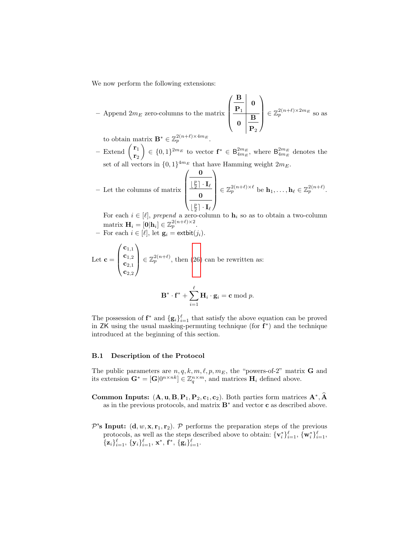We now perform the following extensions:

– Append  $2m_E$  zero-columns to the matrix

$$
x \left( \begin{array}{c|c} \mathbf{B} & \mathbf{0} \\ \hline \mathbf{P}_1 & \mathbf{B} \\ \hline \mathbf{0} & \mathbf{B} \\ \hline \mathbf{P}_2 \end{array} \right) \in \mathbb{Z}_p^{2(n+\ell) \times 2m_E} \text{ so as }
$$

to obtain matrix  $\mathbf{B}^* \in \mathbb{Z}_p^{2(n+\ell)\times 4m_E}$ .

– Extend  $\begin{pmatrix} \mathbf{r}_1 \\ - \end{pmatrix}$  $\mathbf{r}_2$  $\Big\} \in \{0,1\}^{2m_E}$  to vector  $\mathbf{f}^* \in \mathsf{B}^{2m_E}_{4m_E}$ , where  $\mathsf{B}^{2m_E}_{4m_E}$  denotes the set of all vectors in  $\{0,1\}^{4m_E}$  that have Hamming weight  $2m_E$ .

- Let the columns of matrix 
$$
\begin{pmatrix} \mathbf{0} \\ \frac{\lfloor \frac{p}{2} \rfloor \cdot \mathbf{I}_{\ell}}{\mathbf{0}} \\ \frac{\lfloor \frac{p}{2} \rfloor \cdot \mathbf{I}_{\ell}}{\lfloor \frac{p}{2} \rfloor \cdot \mathbf{I}_{\ell}} \end{pmatrix} \in \mathbb{Z}_p^{2(n+\ell)\times \ell}
$$
 be  $\mathbf{h}_1, \dots, \mathbf{h}_{\ell} \in \mathbb{Z}_p^{2(n+\ell)}$ .

For each  $i \in [\ell],$  prepend a zero-column to  $\mathbf{h}_i$  so as to obtain a two-column matrix  $\mathbf{H}_i = [\mathbf{0}|\mathbf{h}_i] \in \mathbb{Z}_p^{2(n+\ell) \times 2}$ .

– For each  $i \in [\ell]$ , let  $\mathbf{g}_i = \text{extbit}(j_i)$ .

Let 
$$
\mathbf{c} = \begin{pmatrix} \mathbf{c}_{1,1} \\ \mathbf{c}_{1,2} \\ \mathbf{c}_{2,1} \\ \mathbf{c}_{2,2} \end{pmatrix} \in \mathbb{Z}_p^{2(n+\ell)}
$$
, then (26) can be rewritten as:

$$
\mathbf{B}^* \cdot \mathbf{f}^* + \sum_{i=1}^{\ell} \mathbf{H}_i \cdot \mathbf{g}_i = \mathbf{c} \bmod p.
$$

The possession of  $f^*$  and  $\{g_i\}_{i=1}^{\ell}$  that satisfy the above equation can be proved in  $ZK$  using the usual masking-permuting technique (for  $f^*$ ) and the technique introduced at the beginning of this section.

#### B.1 Description of the Protocol

The public parameters are  $n, q, k, m, \ell, p, m_E$ , the "powers-of-2" matrix **G** and its extension  $\mathbf{G}^* = [\mathbf{G} | 0^{n \times nk}] \in \mathbb{Z}_q^{n \times m}$ , and matrices  $\mathbf{H}_i$  defined above.

- Common Inputs:  $(A, u, B, P_1, P_2, c_1, c_2)$ . Both parties form matrices  $A^*, \hat{A}$ as in the previous protocols, and matrix  $\mathbf{B}^*$  and vector **c** as described above.
- P's Input:  $(d, w, x, r_1, r_2)$ . P performs the preparation steps of the previous protocols, as well as the steps described above to obtain:  $\{v_i^*\}_{i=1}^{\ell}$ ,  $\{w_i^*\}_{i=1}^{\ell}$ ,  $\{{\bf z}_i\}_{i=1}^{\ell},\,\{{\bf y}_i\}_{i=1}^{\ell},\,{\bf x}^*,\,{\bf f}^*,\,\{{\bf g}_i\}_{i=1}^{\ell}.$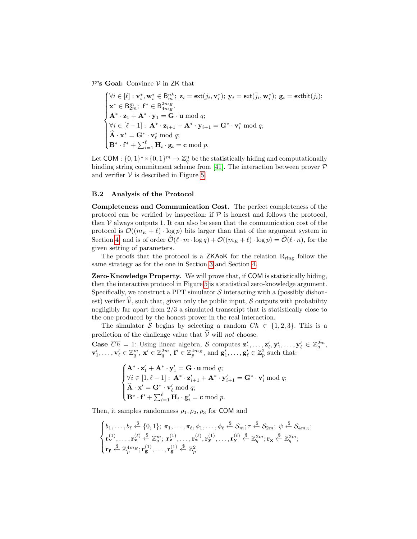$\mathcal{P}$ 's Goal: Convince  $\mathcal V$  in ZK that

$$
\begin{cases}\n\forall i \in [\ell]: \mathbf{v}_i^*, \mathbf{w}_i^* \in \mathsf{B}_{m}^{nk}; \ \mathbf{z}_i = \mathsf{ext}(j_i, \mathbf{v}_i^*); \ \mathbf{y}_i = \mathsf{ext}(\bar{j}_i, \mathbf{w}_i^*); \ \mathbf{g}_i = \mathsf{extbit}(j_i); \\
\mathbf{x}^* \in \mathsf{B}_{2m}^{2m}; \ \mathbf{f}^* \in \mathsf{B}_{4m_E}^{2m_E}.\n\mathbf{A}^* \cdot \mathbf{z}_1 + \mathbf{A}^* \cdot \mathbf{y}_1 = \mathbf{G} \cdot \mathbf{u} \bmod q; \\
\forall i \in [\ell-1]: \ \mathbf{A}^* \cdot \mathbf{z}_{i+1} + \mathbf{A}^* \cdot \mathbf{y}_{i+1} = \mathbf{G}^* \cdot \mathbf{v}_i^* \bmod q; \\
\widehat{\mathbf{A}} \cdot \mathbf{x}^* = \mathbf{G}^* \cdot \mathbf{v}_\ell^* \bmod q; \\
\mathbf{B}^* \cdot \mathbf{f}^* + \sum_{i=1}^\ell \mathbf{H}_i \cdot \mathbf{g}_i = \mathbf{c} \bmod p.\n\end{cases}
$$

Let COM :  $\{0,1\}^* \times \{0,1\}^m \to \mathbb{Z}_q^n$  be the statistically hiding and computationally binding string commitment scheme from [\[41\]](#page-28-11). The interaction between prover  $P$ and verifier  $V$  is described in Figure [5.](#page-39-0)

#### B.2 Analysis of the Protocol

Completeness and Communication Cost. The perfect completeness of the protocol can be verified by inspection: if  $P$  is honest and follows the protocol, then  $V$  always outputs 1. It can also be seen that the communication cost of the protocol is  $\mathcal{O}((m_E + \ell) \cdot \log p)$  bits larger than that of the argument system in Section [4,](#page-16-0) and is of order  $\widetilde{\mathcal{O}}(\ell \cdot m \cdot \log q) + \mathcal{O}((m_E + \ell) \cdot \log p) = \widetilde{\mathcal{O}}(\ell \cdot n)$ , for the given setting of parameters.

The proofs that the protocol is a **ZKAoK** for the relation  $R_{\text{ring}}$  follow the same strategy as for the one in Section [3](#page-6-0) and Section [4.](#page-16-0)

Zero-Knowledge Property. We will prove that, if COM is statistically hiding, then the interactive protocol in Figure [5](#page-39-0) is a statistical zero-knowledge argument. Specifically, we construct a PPT simulator  $S$  interacting with a (possibly dishonest) verifier  $\hat{V}$ , such that, given only the public input, S outputs with probability negligibly far apart from 2/3 a simulated transcript that is statistically close to the one produced by the honest prover in the real interaction.

The simulator S begins by selecting a random  $\overline{Ch} \in \{1,2,3\}$ . This is a prediction of the challenge value that  $\hat{\mathcal{V}}$  will not choose.

**Case**  $\overline{Ch} = 1$ : Using linear algebra, S computes  $\mathbf{z}'_1, \ldots, \mathbf{z}'_\ell, \mathbf{y}'_1, \ldots, \mathbf{y}'_\ell \in \mathbb{Z}_q^{2m}$ ,  $\mathbf{v}'_1,\ldots,\mathbf{v}'_\ell\in\mathbb{Z}_q^m,\ \mathbf{x}'\in\mathbb{Z}_q^{2m},\ \mathbf{f}'\in\mathbb{Z}_p^{4m_E},\ \text{and}\ \mathbf{g}'_1,\ldots,\mathbf{g}'_\ell\in\mathbb{Z}_p^2\ \text{such that:}\$ 

$$
\begin{cases}\n\mathbf{A}^* \cdot \mathbf{z}_1' + \mathbf{A}^* \cdot \mathbf{y}_1' = \mathbf{G} \cdot \mathbf{u} \bmod q; \\
\forall i \in [1, \ell - 1]: \ \mathbf{A}^* \cdot \mathbf{z}_{i+1}' + \mathbf{A}^* \cdot \mathbf{y}_{i+1}' = \mathbf{G}^* \cdot \mathbf{v}_i' \bmod q; \\
\hat{\mathbf{A}} \cdot \mathbf{x}' = \mathbf{G}^* \cdot \mathbf{v}_\ell' \bmod q; \\
\mathbf{B}^* \cdot \mathbf{f}' + \sum_{i=1}^{\ell} \mathbf{H}_i \cdot \mathbf{g}_i' = \mathbf{c} \bmod p.\n\end{cases}
$$

Then, it samples randomness  $\rho_1, \rho_2, \rho_3$  for COM and

$$
\begin{cases}\nb_1, \ldots, b_\ell \stackrel{\$}{\leftarrow} \{0, 1\}; \ \pi_1, \ldots, \pi_\ell, \phi_1, \ldots, \phi_\ell \stackrel{\$}{\leftarrow} \mathcal{S}_m; \tau \stackrel{\$}{\leftarrow} \mathcal{S}_{2m}; \ \psi \stackrel{\$}{\leftarrow} \mathcal{S}_{4m_E}; \\
\mathbf{r}_{\mathbf{v}}^{(1)}, \ldots, \mathbf{r}_{\mathbf{v}}^{(\ell)} \stackrel{\$}{\leftarrow} \mathbb{Z}_q^m; \mathbf{r}_\mathbf{z}^{(1)}, \ldots, \mathbf{r}_{\mathbf{z}}^{(\ell)}, \mathbf{r}_{\mathbf{y}}^{(1)}, \ldots, \mathbf{r}_{\mathbf{y}}^{(\ell)} \stackrel{\$}{\leftarrow} \mathbb{Z}_q^{2m}; \mathbf{r}_{\mathbf{x}} \stackrel{\$}{\leftarrow} \mathbb{Z}_q^{2m}; \\
\mathbf{r}_{\mathbf{f}} \stackrel{\$}{\leftarrow} \mathbb{Z}_p^{4m_E}; \mathbf{r}_{\mathbf{g}}^{(1)}, \ldots, \mathbf{r}_{\mathbf{g}}^{(\ell)} \stackrel{\$}{\leftarrow} \mathbb{Z}_p^2.\n\end{cases}
$$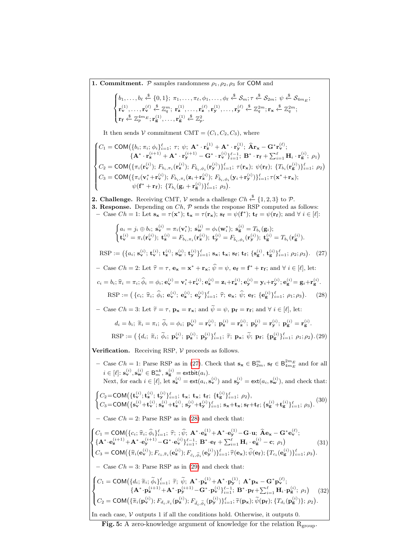<span id="page-39-2"></span><span id="page-39-1"></span><span id="page-39-0"></span>**1. Commitment.**  $P$  samples randomness  $\rho_1, \rho_2, \rho_3$  for COM and  $\sqrt{ }$  $\int$  $\mathcal{L}$  $b_1, \ldots, b_\ell \stackrel{\$}{\leftarrow} \{0, 1\}; \ \pi_1, \ldots, \pi_\ell, \phi_1, \ldots, \phi_\ell \stackrel{\$}{\leftarrow} \mathcal{S}_m; \tau \stackrel{\$}{\leftarrow} \mathcal{S}_{2m}; \ \psi \stackrel{\$}{\leftarrow} \mathcal{S}_{4m_E};$  $\mathbf{r}_{\mathbf{v}}^{(1)},\ldots,\mathbf{r}_{\mathbf{v}}^{(\ell)} \stackrel{\$}{\leftarrow} \mathbb{Z}_q^m;\ \mathbf{r}_{\mathbf{z}}^{(1)},\ldots,\mathbf{r}_{\mathbf{z}}^{(\ell)},\mathbf{r}_{\mathbf{y}}^{(1)},\ldots,\mathbf{r}_{\mathbf{y}}^{(\ell)} \stackrel{\$}{\leftarrow} \mathbb{Z}_q^{2m};\mathbf{r}_{\mathbf{x}} \stackrel{\$}{\leftarrow} \mathbb{Z}_q^{2m};$  $\mathbf{r_f} \overset{\$}{\leftarrow} \mathbb{Z}_p^{4m_E}; \mathbf{r_g^{(1)}}, \dots, \mathbf{r_g^{(1)}} \overset{\$}{\leftarrow} \mathbb{Z}_p^2.$ It then sends V commitment CMT =  $(C_1, C_2, C_3)$ , where  $\sqrt{ }$  $\int$  $\overline{\mathcal{L}}$  $C_1 = \textsf{COM}\big(\{b_i;\pi_i;\phi_i\}_{i=1}^\ell;\ \tau;\ \psi;\ \mathbf{A^*}\cdot\mathbf{r}_\mathbf{z}^{(1)} + \mathbf{A^*}\cdot\mathbf{r}_\mathbf{y}^{(1)};\ \mathbf{\widehat{A}r_x} - \mathbf{G^*r}_\mathbf{y}^{(\ell)};\$  $\{{\bf A}^* \cdot {\bf r}^{(i+1)}_{\bf z} + {\bf A}^* \cdot {\bf r}^{(i+1)}_{\bf y} - {\bf G}^* \cdot {\bf r}^{(i)}_{\bf v}\}_{i=1}^{\ell-1}; \; {\bf B}^* \cdot {\bf r}_{\bf f} + \sum_{i=1}^{\ell} {\bf H}_i \cdot {\bf r}^{(i)}_{\bf g}; \; \rho_1 \}$  $C_2 = \text{COM}\big(\{\pi_i(\mathbf{r}_\mathbf{v}^{(i)});\, F_{b_i,\pi_i}(\mathbf{r}_\mathbf{z}^{(i)});\, F_{\bar{b}_i,\phi_i}(\mathbf{r}_\mathbf{y}^{(i)})\}_{i=1}^{\ell}; \, \tau(\mathbf{r}_\mathbf{x}); \, \psi(\mathbf{r}_\mathbf{f}); \, \{T_{b_i}(\mathbf{r}_\mathbf{g}^{(i)})\}_{i=1}^{\ell}; \, \rho_2\big)$  $C_3 = \textsf{COM}\big(\{\pi_i(\mathbf{v}_i^*+\mathbf{r}_\mathbf{v}^{(i)}); \, F_{b_i,\pi_i}(\mathbf{z}_i+\mathbf{r}_\mathbf{z}^{(i)}); \, F_{\bar{b}_i,\phi_i}(\mathbf{y}_i+\mathbf{r}_\mathbf{y}^{(i)})\}_{i=1}^{\ell}; \tau(\mathbf{x}^*+\mathbf{r}_\mathbf{x});$  $\psi({\bf f}^*+{\bf r_f});\;\{T_{b_i}({\bf g}_i+{\bf r_g^{(i)}})\}_{i=1}^{\ell};\;\rho_3\big).$ **2. Challenge.** Receiving CMT,  $\mathcal V$  sends a challenge  $Ch \stackrel{\$}{\leftarrow} \{1,2,3\}$  to  $\mathcal P$ . **3. Response.** Depending on  $Ch$ ,  $P$  sends the response RSP computed as follows:  $- \text{ Case } Ch = 1: \text{ Let } \mathbf{s_x} = \tau(\mathbf{x}^*); \ \mathbf{t_x} = \tau(\mathbf{r_x}); \ \mathbf{s_f} = \psi(\mathbf{f}^*); \ \mathbf{t_f} = \psi(\mathbf{r_f}); \text{ and } \forall i \in [\ell]:$  $\int a_i = j_i \oplus b_i; \; \mathbf{s}_{\mathbf{v}}^{(i)} = \pi_i(\mathbf{v}_i^*); \; \mathbf{s}_{\mathbf{w}}^{(i)} = \phi_i(\mathbf{w}_i^*); \; \mathbf{s}_{\mathbf{g}}^{(i)} = T_{b_i}(\mathbf{g}_i);$  $\mathbf{t}_{\mathbf{v}}^{(i)} = \pi_i(\mathbf{r}_{\mathbf{v}}^{(i)}); \ \mathbf{t}_{\mathbf{z}}^{(i)} = F_{b_i,\pi_i}(\mathbf{r}_{\mathbf{z}}^{(i)}); \ \mathbf{t}_{\mathbf{y}}^{(i)} = F_{\bar{b}_i,\phi_i}(\mathbf{r}_{\mathbf{y}}^{(i)}); \ \mathbf{t}_{\mathbf{g}}^{(i)} = T_{b_i}(\mathbf{r}_{\mathbf{g}}^{(i)}).$  $\text{RSP} := (\{a_i; \mathbf{s}_{\mathbf{v}}^{(i)}; \mathbf{t}_{\mathbf{v}}^{(i)}; \mathbf{t}_{\mathbf{z}}^{(i)}; \mathbf{s}_{\mathbf{w}}^{(i)}; \mathbf{t}_{\mathbf{y}}^{(i)}\}_{i=1}^{\ell}; \mathbf{s}_{\mathbf{x}}; \mathbf{t}_{\mathbf{x}}; \mathbf{s}_{\mathbf{f}}; \mathbf{t}_{\mathbf{f}}; \{\mathbf{s}_{\mathbf{g}}^{(i)}, \mathbf{t}_{\mathbf{g}}^{(i)}\}_{i=1}^{\ell}; \rho_2; \rho_3).$  (27) - Case  $Ch = 2$ : Let  $\hat{\tau} = \tau$ ,  $\mathbf{e_x} = \mathbf{x}^* + \mathbf{r_x}$ ;  $\hat{\psi} = \psi$ ,  $\mathbf{e_f} = \mathbf{f}^* + \mathbf{r_f}$ ; and  $\forall i \in [\ell]$ , let:  $c_i = b_i; \hat{\pi}_i = \pi_i; \hat{\phi}_i = \phi_i; e_{\mathbf{v}}^{(i)} = \mathbf{v}_i^* + \mathbf{r}_{\mathbf{v}}^{(i)}; e_{\mathbf{z}}^{(i)} = \mathbf{z}_i + \mathbf{r}_{\mathbf{z}}^{(i)}; e_{\mathbf{y}}^{(i)} = \mathbf{y}_i + \mathbf{r}_{\mathbf{y}}^{(i)}; e_{\mathbf{g}}^{(i)} = \mathbf{g}_i + \mathbf{r}_{\mathbf{g}}^{(i)}$ RSP :=  $({c_i; \hat{\pi}_i; \hat{\phi}_i; e_{\mathbf{v}}^{(i)}; e_{\mathbf{z}}^{(i)}; e_{\mathbf{y}}^{(i)}\}_{i=1}^{\ell}; \hat{\tau}; e_{\mathbf{x}}; \hat{\psi}; e_f; {e_{\mathbf{g}}^{(i)}\}_{i=1}^{\ell}; \rho_1; \rho_3).$  (28) – Case  $Ch = 3$ : Let  $\widetilde{\tau} = \tau$ ,  $\mathbf{p_x} = \mathbf{r_x}$ ; and  $\widetilde{\psi} = \psi$ ,  $\mathbf{p_f} = \mathbf{r_f}$ ; and  $\forall i \in [\ell],$  let  $d_i = b_i; \; \widetilde{\pi}_i = \pi_i; \; \widetilde{\phi}_i = \phi_i; \; \mathbf{p}_{\mathbf{v}}^{(i)} = \mathbf{r}_{\mathbf{v}}^{(i)}; \; \mathbf{p}_{\mathbf{z}}^{(i)} = \mathbf{r}_{\mathbf{z}}^{(i)}; \; \mathbf{p}_{\mathbf{y}}^{(i)} = \mathbf{r}_{\mathbf{y}}^{(i)}; \; \mathbf{p}_{\mathbf{g}}^{(i)} = \mathbf{r}_{\mathbf{g}}^{(i)}.$  $RSP := (\{d_i; \tilde{\pi}_i; \tilde{\phi}_i; \mathbf{p}_{\mathbf{v}}^{(i)}; \mathbf{p}_{\mathbf{z}}^{(i)}; \mathbf{p}_{\mathbf{y}}^{(i)}\}_{i=1}^{\ell}; \tilde{\tau}; \mathbf{p}_{\mathbf{x}}; \tilde{\psi}; \mathbf{p}_{\mathbf{f}}; \{\mathbf{p}_{\mathbf{g}}^{(i)}\}_{i=1}^{\ell}; \rho_1; \rho_2)$  (29) **Verification.** Receiving RSP,  $V$  proceeds as follows. − Case  $Ch = 1$ : Parse RSP as in [\(27\)](#page-39-1). Check that  $\mathbf{s}_{\mathbf{x}} \in \mathsf{B}_{2m}^{m}$ ,  $\mathbf{s}_{\mathbf{f}} \in \mathsf{B}_{4m_E}^{2m_E}$  and for all  $i \in [\ell]; \,\mathbf{s}_{\mathbf{v}}^{(i)},\mathbf{s}_{\mathbf{w}}^{(i)} \in \mathsf{B}_m^{nk},\,\mathbf{s}_{\mathbf{g}}^{(i)} = \text{extbit}(a_i).$ Next, for each  $i \in [\ell],$  let  $\mathbf{s}_{\mathbf{z}}^{(i)} = \mathsf{ext}(a_i, \mathbf{s}_{\mathbf{v}}^{(i)})$  and  $\mathbf{s}_{\mathbf{y}}^{(i)} = \mathsf{ext}(a_i, \mathbf{s}_{\mathbf{w}}^{(i)})$ , and check that:  $\int C_2 = \text{COM}(\{\mathbf{t}_{\mathbf{v}}^{(i)}; \mathbf{t}_{\mathbf{z}}^{(i)}; \mathbf{t}_{\mathbf{y}}^{(i)}\}_{i=1}^{\ell}; \mathbf{t}_{\mathbf{x}}; \mathbf{t}_{\mathbf{x}}; \mathbf{t}_{\mathbf{f}}; \{\mathbf{t}_{\mathbf{g}}^{(i)}\}_{i=1}^{\ell}; \rho_2),$  $C_3 = \textsf{COM}\big(\{\mathbf{s}_{\mathbf{v}}^{(i)} + \mathbf{t}_{\mathbf{v}}^{(i)}; \mathbf{s}_{\mathbf{z}}^{(i)} + \mathbf{t}_{\mathbf{z}}^{(i)}; \mathbf{s}_{\mathbf{y}}^{(i)} + \mathbf{t}_{\mathbf{y}}^{(i)}\}_{i=1}^{\ell}; \mathbf{s}_{\mathbf{x}} + \mathbf{t}_{\mathbf{x}}; \mathbf{s}_{\mathbf{f}} + \mathbf{t}_{\mathbf{f}}; \{\mathbf{s}_{\mathbf{g}}^{(i)} + \mathbf{t}_{\mathbf{g}}^{(i)}\}_{i=1}^{\ell}; \rho_3\big)$ . (30) – Case  $Ch = 2$ : Parse RSP as in [\(28\)](#page-39-2) and check that:  $\sqrt{ }$  $\int$  $\mathcal{L}$  $C_1 = \text{COM}(\{c_i; \hat{\pi}_i; \hat{\phi}_i\}_{i=1}^{\ell}; \hat{\tau}; ; \hat{\psi}; \mathbf{A}^* \cdot \mathbf{e}_x^{(1)} + \mathbf{A}^* \cdot \mathbf{e}_y^{(1)} - \mathbf{G} \cdot \mathbf{u}; \hat{\mathbf{A}} \mathbf{e}_x - \mathbf{G}^* \mathbf{e}_y^{(\ell)};$  $\{{\bf A}^*{\cdot}{\bf e}^{(i+1)}_{\bf z} + {\bf A}^*{\cdot}{\bf e}^{(i+1)}_{\bf y} - {\bf G}^*{\cdot}{\bf e}^{(i)}_{\bf v}\}_{i=1}^{\ell-1};~ {\bf B}^*{\cdot}{\bf e}_{\bf f} + \sum_{i=1}^{\ell} {\bf H}_i\cdot{\bf e}^{(i)}_{\bf g} - {\bf c};~\rho_1 \}$  $C_3 = \text{COM}\big(\{\widehat{\pi}_i(\mathbf{e}_{\mathbf{v}}^{(i)}); F_{c_i, \widehat{\pi}_i}(\mathbf{e}_{\mathbf{z}}^{(i)}); F_{\bar{c}_i, \widehat{\phi}_i}(\mathbf{e}_{\mathbf{y}}^{(i)})\}_{i=1}^{\ell}; \widehat{\tau}(\mathbf{e}_{\mathbf{x}}); \widehat{\psi}(\mathbf{e}_{\mathbf{f}}); \{T_{c_i}(\mathbf{e}_{\mathbf{g}}^{(i)})\}_{i=1}^{\ell}; \rho_3\big).$ (31) – Case  $Ch = 3$ : Parse RSP as in [\(29\)](#page-39-3) and check that:  $\sqrt{ }$  $\int$  $\overline{\mathcal{L}}$  $C_1 = \text{COM}(\{d_i; \widetilde{\pi}_i; \widetilde{\phi}_i\}_{i=1}^{\ell}; \widetilde{\tau}; \widetilde{\psi}; \mathbf{A}^* \cdot \mathbf{p}_{\mathbf{z}}^{(1)} + \mathbf{A}^* \cdot \mathbf{p}_{\mathbf{y}}^{(1)}; \mathbf{A}^* \mathbf{p}_{\mathbf{x}} - \mathbf{G}^* \mathbf{p}_{\mathbf{y}}^{(\ell)};$  ${ {\bf A}^* \cdot {\bf p_z^{(i+1)}+ A^* \cdot p_y^{(i+1)}- G^* \cdot p_v^{(i)}}}_{i=1}^{\ell-1}; \; {\bf B}^* \cdot {\bf p_f} + \sum_{i=1}^{\ell} {\bf H}_i \cdot {\bf p_g^{(i)}}; \; \rho_1 \}$  $C_2 = \text{COM}\big(\{\widetilde{\pi}_i(\mathbf{p}_{\mathbf{v}}^{(i)}); F_{d_i, \widetilde{\pi}_i}(\mathbf{p}_{\mathbf{z}}^{(i)}); F_{\bar{d}_i, \widetilde{\phi}_i}(\mathbf{p}_{\mathbf{y}}^{(i)})\}_{i=1}^{\ell}; \widetilde{\tau}(\mathbf{p}_{\mathbf{x}}); \widetilde{\psi}(\mathbf{p}_{\mathbf{f}}); \{T_{d_i}(\mathbf{p}_{\mathbf{g}}^{(i)})\}; \rho_2\big)$ . (32)

<span id="page-39-6"></span><span id="page-39-5"></span><span id="page-39-4"></span><span id="page-39-3"></span>In each case,  $V$  outputs 1 if all the conditions hold. Otherwise, it outputs 0.

Fig. 5: A zero-knowledge argument of knowledge for the relation  $R_{\text{group}}$ .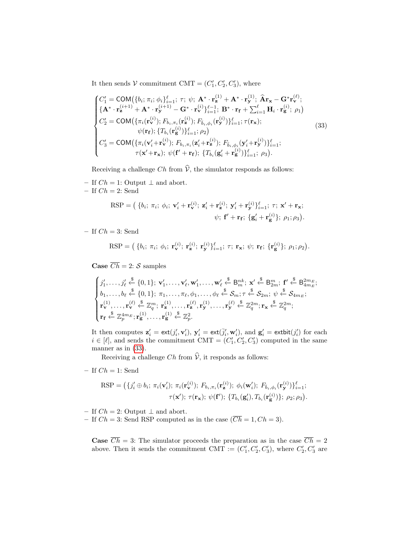It then sends  $V$  commitment CMT =  $(C'_1, C'_2, C'_3)$ , where

<span id="page-40-0"></span>
$$
\begin{cases}\nC'_{1} = \text{COM}(\{b_{i}; \pi_{i}; \phi_{i}\}_{i=1}^{\ell}; \tau; \psi; \mathbf{A}^{*} \cdot \mathbf{r}_{\mathbf{z}}^{(1)} + \mathbf{A}^{*} \cdot \mathbf{r}_{\mathbf{y}}^{(1)}; \widehat{\mathbf{A}}\mathbf{r}_{\mathbf{x}} - \mathbf{G}^{*}\mathbf{r}_{\mathbf{v}}^{(\ell)}; \\
\{\mathbf{A}^{*} \cdot \mathbf{r}_{\mathbf{z}}^{(i+1)} + \mathbf{A}^{*} \cdot \mathbf{r}_{\mathbf{y}}^{(i+1)} - \mathbf{G}^{*} \cdot \mathbf{r}_{\mathbf{v}}^{(i)}\}_{i=1}^{e-1}; \mathbf{B}^{*} \cdot \mathbf{r}_{\mathbf{f}} + \sum_{i=1}^{\ell} \mathbf{H}_{i} \cdot \mathbf{r}_{\mathbf{g}}^{(i)}; \rho_{1}\n\end{cases}
$$
\n
$$
C'_{2} = \text{COM}(\{\pi_{i}(\mathbf{r}_{\mathbf{v}}^{(i)}); F_{b_{i}, \pi_{i}}(\mathbf{r}_{\mathbf{z}}^{(i)}); F_{\overline{b}_{i}, \phi_{i}}(\mathbf{r}_{\mathbf{y}}^{(i)})\}_{i=1}^{\ell}; \tau(\mathbf{r}_{\mathbf{x}});
$$
\n
$$
\psi(\mathbf{r}_{\mathbf{f}}); \{T_{b_{i}}(\mathbf{r}_{\mathbf{g}}^{(i)})\}_{i=1}^{\ell}; \rho_{2}\n\tag{33}
$$
\n
$$
C'_{3} = \text{COM}(\{\pi_{i}(\mathbf{v}_{i}^{\prime} + \mathbf{r}_{\mathbf{v}}^{(i)}); F_{b_{i}, \pi_{i}}(\mathbf{z}_{i}^{\prime} + \mathbf{r}_{\mathbf{z}}^{(i)}); F_{\overline{b}_{i}, \phi_{i}}(\mathbf{y}_{i}^{\prime} + \mathbf{r}_{\mathbf{y}}^{(i)})\}_{i=1}^{\ell}; \rho_{3}.
$$
\n
$$
\tau(\mathbf{x}^{\prime} + \mathbf{r}_{\mathbf{x}}); \psi(\mathbf{f}^{\prime} + \mathbf{r}_{\mathbf{f}}); \{T_{b_{i}}(\mathbf{g}_{i}^{\prime} + \mathbf{r
$$

Receiving a challenge Ch from  $\hat{V}$ , the simulator responds as follows:

– If  $Ch = 1$ : Output  $\perp$  and abort.

 $-$  If  ${\sc Ch}=2;$  Send

$$
\begin{aligned} \text{RSP} &= \left( \begin{array}{c} \{b_i; \ \pi_i; \ \phi_i; \ \mathbf{v}_i' + \mathbf{r}_{\mathbf{v}}^{(i)}; \ \mathbf{z}_i' + \mathbf{r}_{\mathbf{z}}^{(i)}; \ \mathbf{y}_i' + \mathbf{r}_{\mathbf{y}}^{(i)} \}_{i=1}^{\ell}; \ \tau; \ \mathbf{x}' + \mathbf{r}_{\mathbf{x}}; \end{array} \right. \\ & \psi; \ \mathbf{f}' + \mathbf{r}_{\mathbf{f}}; \ \{\mathbf{g}_i' + \mathbf{r}_{\mathbf{g}}^{(i)}\}; \ \rho_1; \rho_3 \right). \end{aligned}
$$

– If  $Ch = 3$ : Send

$$
RSP = (\{b_i; \pi_i; \phi_i; \mathbf{r}_{\mathbf{v}}^{(i)}; \mathbf{r}_{\mathbf{z}}^{(i)}; \mathbf{r}_{\mathbf{y}}^{(i)}\}^{\ell}_{i=1}; \tau; \mathbf{r}_{\mathbf{x}}; \psi; \mathbf{r}_{\mathbf{f}}; \{\mathbf{r}_{\mathbf{g}}^{(i)}\}; \rho_1; \rho_2).
$$

**Case**  $\overline{Ch} = 2$ : S samples

$$
\begin{cases}\nj_1',\ldots,j_\ell' \stackrel{\$}{\leftarrow} \{0,1\};\ \mathbf{v}_1',\ldots,\mathbf{v}_\ell',\mathbf{w}_1',\ldots,\mathbf{w}_\ell' \stackrel{\$}{\leftarrow} \mathsf{B}_{m}^{nk};\ \mathbf{x}' \stackrel{\$}{\leftarrow} \mathsf{B}_{2m}^{m};\ \mathbf{f}' \stackrel{\$}{\leftarrow} \mathsf{B}_{4m_E}^{2m}; \\
b_1,\ldots,b_\ell \stackrel{\$}{\leftarrow} \{0,1\};\ \pi_1,\ldots,\pi_\ell,\phi_1,\ldots,\phi_\ell \stackrel{\$}{\leftarrow} \mathcal{S}_m;\ \tau \stackrel{\$}{\leftarrow} \mathcal{S}_{2m};\ \psi \stackrel{\$}{\leftarrow} \mathcal{S}_{4m_E}; \\
\mathbf{r}_\mathbf{v}^{(1)},\ldots,\mathbf{r}_\mathbf{v}' \stackrel{\$}{\leftarrow} \mathbb{Z}_q^m;\ \mathbf{r}_\mathbf{z}^{(1)},\ldots,\mathbf{r}_\mathbf{z}'^{\left(l\right)},\mathbf{r}_\mathbf{y}^{(1)},\ldots,\mathbf{r}_\mathbf{y}' \stackrel{\$}{\leftarrow} \mathbb{Z}_q^{2m};\ \mathbf{r}_\mathbf{x} \stackrel{\$}{\leftarrow} \mathbb{Z}_q^{2m}; \\
\mathbf{r}_\mathbf{f} \stackrel{\$}{\leftarrow} \mathbb{Z}_p^{4m_E};\mathbf{r}_\mathbf{g}^{(1)},\ldots,\mathbf{r}_\mathbf{g}^{(1)} \stackrel{\$}{\leftarrow} \mathbb{Z}_p^2.\n\end{cases}
$$

It then computes  $\mathbf{z}'_i = \text{ext}(j'_i, \mathbf{v}'_i)$ ,  $\mathbf{y}'_i = \text{ext}(\bar{j}'_i, \mathbf{w}'_i)$ , and  $\mathbf{g}'_i = \text{extbit}(j'_i)$  for each  $i \in [\ell]$ , and sends the commitment CMT =  $(C'_1, C'_2, C'_3)$  computed in the same manner as in  $(33)$ .

Receiving a challenge Ch from  $\hat{V}$ , it responds as follows:

– If  $Ch = 1$ : Send

$$
\begin{aligned} \text{RSP} = \big( \{ j_i' \oplus b_i; \, \pi_i(\mathbf{v}_i'); \, \pi_i(\mathbf{r}_\mathbf{v}^{(i)}); \, F_{b_i, \pi_i}(\mathbf{r}_\mathbf{z}^{(i)}); \, \phi_i(\mathbf{w}_i'); \, F_{\bar{b}_i, \phi_i}(\mathbf{r}_\mathbf{y}^{(i)}) \}_{i=1}^{\ell}; \\ \tau(\mathbf{x}'); \, \tau(\mathbf{r}_\mathbf{x}); \, \psi(\mathbf{f}'); \, \{ T_{b_i}(\mathbf{g}_i'), T_{b_i}(\mathbf{r}_\mathbf{g}^{(i)}) \}; \, \rho_2; \rho_3 \big). \end{aligned}
$$

– If  $Ch=2:$  Output  $\perp$  and abort.

– If  $Ch = 3$ : Send RSP computed as in the case  $(\overline{Ch} = 1, Ch = 3)$ .

**Case**  $\overline{Ch} = 3$ : The simulator proceeds the preparation as in the case  $\overline{Ch} = 2$ above. Then it sends the commitment CMT :=  $(C'_1, C'_2, C'_3)$ , where  $C'_2, C'_3$  are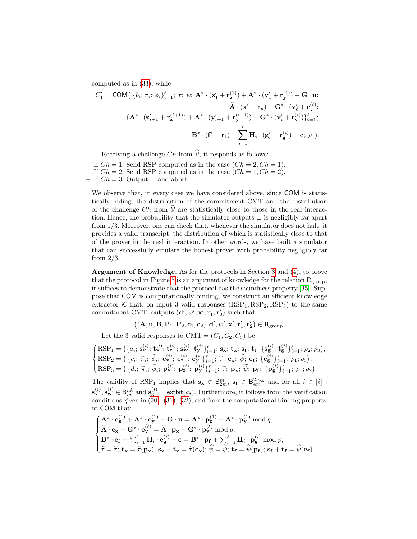computed as in [\(33\)](#page-40-0), while

$$
C'_1 = \text{COM}\big(\left\{b_i; \pi_i; \phi_i\right\}_{i=1}^{\ell}; \tau; \psi; \mathbf{A}^* \cdot (\mathbf{z}'_1 + \mathbf{r}_\mathbf{z}^{(1)}) + \mathbf{A}^* \cdot (\mathbf{y}'_1 + \mathbf{r}_\mathbf{y}^{(1)}) - \mathbf{G} \cdot \mathbf{u};
$$

$$
\hat{\mathbf{A}} \cdot (\mathbf{x}' + \mathbf{r}_\mathbf{x}) - \mathbf{G}^* \cdot (\mathbf{v}'_\ell + \mathbf{r}_\mathbf{v}^{(\ell)});
$$

$$
\left\{ \mathbf{A}^* \cdot (\mathbf{z}'_{i+1} + \mathbf{r}_\mathbf{z}^{(i+1)}) + \mathbf{A}^* \cdot (\mathbf{y}'_{i+1} + \mathbf{r}_\mathbf{y}^{(i+1)}) - \mathbf{G}^* \cdot (\mathbf{v}'_i + \mathbf{r}_\mathbf{v}^{(i)}) \right\}_{i=1}^{\ell-1};
$$

$$
\mathbf{B}^* \cdot (\mathbf{f}' + \mathbf{r}_\mathbf{f}) + \sum_{i=1}^{\ell} \mathbf{H}_i \cdot (\mathbf{g}'_i + \mathbf{r}_\mathbf{g}^{(i)}) - \mathbf{c}; \ \rho_1).
$$

Receiving a challenge  $Ch$  from  $\hat{\mathcal{V}}$ , it responds as follows:

– If  $Ch = 1$ : Send RSP computed as in the case  $(\overline{Ch} = 2, Ch = 1)$ . – If  $Ch = 2$ : Send RSP computed as in the case  $(\overline{Ch} = 1, Ch = 2)$ . – If  $Ch = 3$ : Output  $\perp$  and abort.

We observe that, in every case we have considered above, since COM is statistically hiding, the distribution of the commitment CMT and the distribution of the challenge Ch from  $\hat{V}$  are statistically close to those in the real interaction. Hence, the probability that the simulator outputs  $\perp$  is negligibly far apart from 1/3. Moreover, one can check that, whenever the simulator does not halt, it provides a valid transcript, the distribution of which is statistically close to that of the prover in the real interaction. In other words, we have built a simulator that can successfully emulate the honest prover with probability negligibly far from  $2/3$ .

Argument of Knowledge. As for the protocols in Section [3](#page-6-0) and [\(4\)](#page-16-0), to prove that the protocol in Figure [5](#page-39-0) is an argument of knowledge for the relation  $R_{\text{group}}$ , it suffices to demonstrate that the protocol has the soundness property [\[35\]](#page-28-15). Suppose that COM is computationally binding, we construct an efficient knowledge extractor K that, on input 3 valid responses  $(RSP_1, RSP_2, RSP_3)$  to the same commitment CMT, outputs  $(\mathbf{d}', w', \mathbf{x}', \mathbf{r}'_1, \mathbf{r}'_2)$  such that

 $((\mathbf{A}, \mathbf{u}, \mathbf{B}, \mathbf{P}_1, \mathbf{P}_2, \mathbf{c}_1, \mathbf{c}_2), \mathbf{d}', w', \mathbf{x}', \mathbf{r}'_1, \mathbf{r}'_2) \in R_{\text{group}}.$ 

Let the 3 valid responses to CMT =  $(C_1, C_2, C_3)$  be

$$
\begin{cases}\n\text{RSP}_1 = \left( \{a_i; \mathbf{s_v}^{(i)}; \mathbf{t_v}^{(i)}; \mathbf{t_s}^{(i)}; \mathbf{s_w}^{(i)}; \mathbf{t_y}^{(i)} \}^{\ell}_{i=1}; \mathbf{s_x}; \mathbf{t_x}; \mathbf{s_f}; \mathbf{t_f}; \{ \mathbf{s_g}^{(i)}, \mathbf{t_g}^{(i)} \}^{\ell}_{i=1}; \rho_2; \rho_3 \right), \\
\text{RSP}_2 = \left( \{c_i; \ \hat{\pi}_i; \ \hat{\phi}_i; \ \mathbf{e_v}^{(i)}; \ \mathbf{e_z}^{(i)}; \mathbf{e_y}^{(i)} \}^{\ell}_{i=1}; \ \hat{\tau}; \ \mathbf{e_x}; \ \hat{\psi}; \ \mathbf{e_f}; \ \{ \mathbf{e_g}^{(i)} \}^{\ell}_{i=1}; \ \rho_1; \rho_3 \right), \\
\text{RSP}_3 = \left( \{d_i; \ \tilde{\pi}_i; \ \tilde{\phi}_i; \ \mathbf{p}_v^{(i)}; \ \mathbf{p}_z^{(i)}; \ \mathbf{p}_y^{(i)} \}^{\ell}_{i=1}; \ \tilde{\tau}; \ \mathbf{p_x}; \ \tilde{\psi}; \ \mathbf{p_f}; \ \{ \mathbf{p}_g^{(i)} \}^{\ell}_{i=1}; \ \rho_1; \rho_2 \right).\n\end{cases}
$$

The validity of RSP<sub>1</sub> implies that  $\mathbf{s_x} \in \mathsf{B}_{2m}^m$ ,  $\mathbf{s_f} \in \mathsf{B}_{4m_E}^{2m_E}$  and for all  $i \in [\ell]$ :  $\mathbf{s}_{\mathbf{v}}^{(i)}, \mathbf{s}_{\mathbf{w}}^{(i)} \in \mathsf{B}_{m}^{nk}$  and  $\mathbf{s}_{\mathbf{g}}^{(i)} = \text{extbit}(a_i)$ . Furthermore, it follows from the verification conditions given in  $(30), (31), (32),$  $(30), (31), (32),$  $(30), (31), (32),$  $(30), (31), (32),$  $(30), (31), (32),$  $(30), (31), (32),$  and from the computational binding property of COM that:

$$
\begin{cases}\n\mathbf{A}^* \cdot \mathbf{e}_{\mathbf{z}}^{(1)} + \mathbf{A}^* \cdot \mathbf{e}_{\mathbf{y}}^{(1)} - \mathbf{G} \cdot \mathbf{u} = \mathbf{A}^* \cdot \mathbf{p}_{\mathbf{z}}^{(1)} + \mathbf{A}^* \cdot \mathbf{p}_{\mathbf{y}}^{(1)} \bmod q, \\
\widehat{\mathbf{A}} \cdot \mathbf{e}_{\mathbf{x}} - \mathbf{G}^* \cdot \mathbf{e}_{\mathbf{v}}^{(\ell)} = \widehat{\mathbf{A}} \cdot \mathbf{p}_{\mathbf{x}} - \mathbf{G}^* \cdot \mathbf{p}_{\mathbf{v}}^{(\ell)} \bmod q, \\
\mathbf{B}^* \cdot \mathbf{e}_{\mathbf{f}} + \sum_{i=1}^{\ell} \mathbf{H}_i \cdot \mathbf{e}_{\mathbf{g}}^{(i)} - \mathbf{c} = \mathbf{B}^* \cdot \mathbf{p}_{\mathbf{f}} + \sum_{i=1}^{\ell} \mathbf{H}_i \cdot \mathbf{p}_{\mathbf{g}}^{(i)} \bmod p; \\
\widehat{\tau} = \widetilde{\tau}; \ \mathbf{t}_{\mathbf{x}} = \widetilde{\tau}(\mathbf{p}_{\mathbf{x}}); \ \mathbf{s}_{\mathbf{x}} + \mathbf{t}_{\mathbf{x}} = \widehat{\tau}(\mathbf{e}_{\mathbf{x}}); \ \widehat{\psi} = \widetilde{\psi}; \ \mathbf{t}_{\mathbf{f}} = \widetilde{\psi}(\mathbf{p}_{\mathbf{f}}); \ \mathbf{s}_{\mathbf{f}} + \mathbf{t}_{\mathbf{f}} = \widehat{\psi}(\mathbf{e}_{\mathbf{f}})\n\end{cases}
$$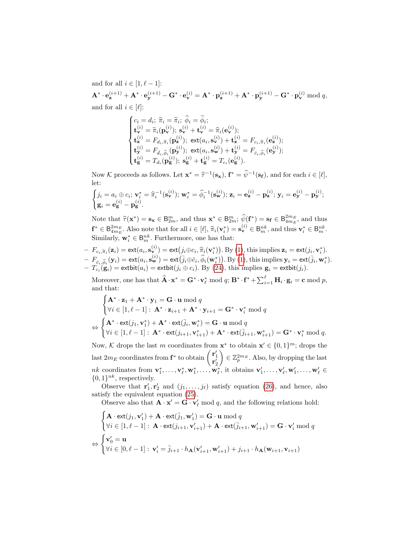and for all  $i \in [1, \ell - 1]$ :  $\mathbf{A}^*\cdot\mathbf{e}_{\mathbf{z}}^{(i+1)} + \mathbf{A}^*\cdot\mathbf{e}_{\mathbf{y}}^{(i+1)} - \mathbf{G}^*\cdot\mathbf{e}_{\mathbf{v}}^{(i)} = \mathbf{A}^*\cdot\mathbf{p}_{\mathbf{z}}^{(i+1)} + \mathbf{A}^*\cdot\mathbf{p}_{\mathbf{y}}^{(i+1)} - \mathbf{G}^*\cdot\mathbf{p}_{\mathbf{v}}^{(i)} \bmod q,$ and for all  $i \in [\ell]:$ 

$$
\begin{cases} c_i = d_i; \; \widehat{\pi}_i = \widetilde{\pi}_i; \; \widehat{\phi}_i = \widetilde{\phi}_i; \\ \mathbf{t}_{\mathbf{v}}^{(i)} = \widetilde{\pi}_i(\mathbf{p}_{\mathbf{v}}^{(i)}); \; \mathbf{s}_{\mathbf{v}}^{(i)} + \mathbf{t}_{\mathbf{v}}^{(i)} = \widehat{\pi}_i(\mathbf{e}_{\mathbf{v}}^{(i)}); \\ \mathbf{t}_{\mathbf{z}}^{(i)} = F_{d_i, \widetilde{\pi}_i}(\mathbf{p}_{\mathbf{z}}^{(i)}); \; \text{ext}(a_i, \mathbf{s}_{\mathbf{v}}^{(i)}) + \mathbf{t}_{\mathbf{z}}^{(i)} = F_{c_i, \widehat{\pi}_i}(\mathbf{e}_{\mathbf{z}}^{(i)}); \\ \mathbf{t}_{\mathbf{y}}^{(i)} = F_{\bar{d}_i, \widetilde{\phi}_i}(\mathbf{p}_{\mathbf{y}}^{(i)}); \; \text{ext}(a_i, \mathbf{s}_{\mathbf{w}}^{(i)}) + \mathbf{t}_{\mathbf{y}}^{(i)} = F_{\bar{c}_i, \widehat{\phi}_i}(\mathbf{e}_{\mathbf{y}}^{(i)}); \\ \mathbf{t}_{\mathbf{g}}^{(i)} = T_{d_i}(\mathbf{p}_{\mathbf{g}}^{(i)}); \; \mathbf{s}_{\mathbf{g}}^{(i)} + \mathbf{t}_{\mathbf{g}}^{(i)} = T_{c_i}(\mathbf{e}_{\mathbf{g}}^{(i)}). \end{cases}
$$

Now K proceeds as follows. Let  $\mathbf{x}^* = \hat{\tau}^{-1}(\mathbf{s}_\mathbf{x}), \mathbf{f}^* = \hat{\psi}^{-1}(\mathbf{s}_\mathbf{f}),$  and for each  $i \in [\ell],$ let:

$$
\begin{cases} j_i = a_i \oplus c_i; \, \mathbf{v}_i^* = \widehat{\pi}_i^{-1}(\mathbf{s}_{\mathbf{v}}^{(i)}); \, \mathbf{w}_i^* = \widehat{\phi}_i^{-1}(\mathbf{s}_{\mathbf{w}}^{(i)}); \, \mathbf{z}_i = \mathbf{e}_{\mathbf{z}}^{(i)} - \mathbf{p}_{\mathbf{z}}^{(i)}; \, \mathbf{y}_i = \mathbf{e}_{\mathbf{y}}^{(i)} - \mathbf{p}_{\mathbf{y}}^{(i)}; \\ \mathbf{g}_i = \mathbf{e}_{\mathbf{g}}^{(i)} - \mathbf{p}_{\mathbf{g}}^{(i)}. \end{cases}
$$

Note that  $\hat{\tau}(\mathbf{x}^*) = \mathbf{s}_{\mathbf{x}} \in \mathbb{B}_{2m}^m$ , and thus  $\mathbf{x}^* \in \mathbb{B}_{2m}^m$ ;  $\hat{\psi}(\mathbf{f}^*) = \mathbf{s}_{\mathbf{f}} \in \mathbb{B}_{4m_E}^{2m_E}$ , and thus  $\mathbf{f}^* \in \mathsf{B}_{4m_E}^{2m_E}$ . Also note that for all  $i \in [\ell], \hat{\pi}_i(\mathbf{v}_i^*) = \mathbf{s}_{\mathbf{v}}^{(i)} \in \mathsf{B}_{m}^{nk}$ , and thus  $\mathbf{v}_i^* \in \mathsf{B}_{m}^{nk}$ .<br>Similarly,  $\mathbf{v}^* \in \mathsf{B}_{m}^{nk}$ . European are best that Similarly,  $\mathbf{w}_i^* \in \mathsf{B}_{m}^{nk}$ . Furthermore, one has that:

- 
$$
F_{c_i, \widehat{\pi}_i}(\mathbf{z}_i) = \text{ext}(a_i, \mathbf{s}_{\mathbf{v}}^{(i)}) = \text{ext}(j_i \oplus c_i, \widehat{\pi}_i(\mathbf{v}_i^*))
$$
. By (1), this implies  $\mathbf{z}_i = \text{ext}(j_i, \mathbf{v}_i^*)$ .  
\n-  $F_{\overline{c}_i, \widehat{\phi}_i}(\mathbf{y}_i) = \text{ext}(a_i, \mathbf{s}_{\mathbf{w}}^{(i)}) = \text{ext}(\overline{j}_i \oplus \overline{c}_i, \widehat{\phi}_i(\mathbf{w}_i^*))$ . By (1), this implies  $\mathbf{y}_i = \text{ext}(\overline{j}_i, \mathbf{w}_i^*)$ .  
\n-  $T_{c_i}(\mathbf{g}_i) = \text{extbit}(a_i) = \text{extbit}(j_i \oplus c_i)$ . By (24), this implies  $\mathbf{g}_i = \text{extbit}(j_i)$ .

Moreover, one has that  $\widehat{\mathbf{A}} \cdot \mathbf{x}^* = \mathbf{G}^* \cdot \mathbf{v}_\ell^* \bmod q$ ;  $\mathbf{B}^* \cdot \mathbf{f}^* + \sum_{i=1}^\ell \mathbf{H}_i \cdot \mathbf{g}_i = \mathbf{c} \bmod p$ , and that:

$$
\begin{cases}\n\mathbf{A}^* \cdot \mathbf{z}_1 + \mathbf{A}^* \cdot \mathbf{y}_1 = \mathbf{G} \cdot \mathbf{u} \bmod q \\
\forall i \in [1, \ell - 1]: \mathbf{A}^* \cdot \mathbf{z}_{i+1} + \mathbf{A}^* \cdot \mathbf{y}_{i+1} = \mathbf{G}^* \cdot \mathbf{v}_i^* \bmod q \\
\Leftrightarrow \begin{cases}\n\mathbf{A}^* \cdot \text{ext}(j_1, \mathbf{v}_1^*) + \mathbf{A}^* \cdot \text{ext}(\overline{j}_i, \mathbf{w}_i^*) = \mathbf{G} \cdot \mathbf{u} \bmod q \\
\forall i \in [1, \ell - 1]: \mathbf{A}^* \cdot \text{ext}(j_{i+1}, \mathbf{v}_{i+1}^*) + \mathbf{A}^* \cdot \text{ext}(\overline{j}_{i+1}, \mathbf{w}_{i+1}^*) = \mathbf{G}^* \cdot \mathbf{v}_i^* \bmod q.\n\end{cases}
$$

Now, K drops the last m coordinates from  $\mathbf{x}^*$  to obtain  $\mathbf{x}' \in \{0,1\}^m$ ; drops the last  $2m_E$  coordinates from  $\mathbf{f}^*$  to obtain  $\begin{pmatrix} \mathbf{r}'_1 \\ \mathbf{r}'_2 \end{pmatrix}$  $\Big) \in \mathbb{Z}_p^{2m_E}$ . Also, by dropping the last  $nk$  coordinates from  $\mathbf{v}_1^*, \ldots, \mathbf{v}_{\ell}^*, \mathbf{w}_1^*, \ldots, \mathbf{w}_{\ell}^*,$  it obtains  $\mathbf{v}'_1, \ldots, \mathbf{v}'_{\ell}, \mathbf{w}'_1, \ldots, \mathbf{w}'_{\ell} \in$  $\{0,1\}^{nk}$ , respectively.

Observe that  $\mathbf{r}'_1, \mathbf{r}'_2$  and  $(j_1, \ldots, j_\ell)$  satisfy equation [\(26\)](#page-36-0), and hence, also satisfy the equivalent equation [\(25\)](#page-36-2).

Observe also that  $\mathbf{A} \cdot \mathbf{x}' = \mathbf{G} \cdot \mathbf{v}'_{\ell}$  mod q, and the following relations hold:

$$
\begin{cases}\n\mathbf{A} \cdot \text{ext}(j_1, \mathbf{v}'_1) + \mathbf{A} \cdot \text{ext}(\bar{j}_1, \mathbf{w}'_1) = \mathbf{G} \cdot \mathbf{u} \bmod q \\
\forall i \in [1, \ell - 1]: \mathbf{A} \cdot \text{ext}(j_{i+1}, \mathbf{v}'_{i+1}) + \mathbf{A} \cdot \text{ext}(\bar{j}_{i+1}, \mathbf{w}'_{i+1}) = \mathbf{G} \cdot \mathbf{v}'_i \bmod q \\
\Leftrightarrow \begin{cases}\n\mathbf{v}'_0 = \mathbf{u} \\
\forall i \in [0, \ell - 1]: \mathbf{v}'_i = \bar{j}_{i+1} \cdot h_\mathbf{A}(\mathbf{v}'_{i+1}, \mathbf{w}'_{i+1}) + j_{i+1} \cdot h_\mathbf{A}(\mathbf{w}_{i+1}, \mathbf{v}_{i+1})\n\end{cases}
$$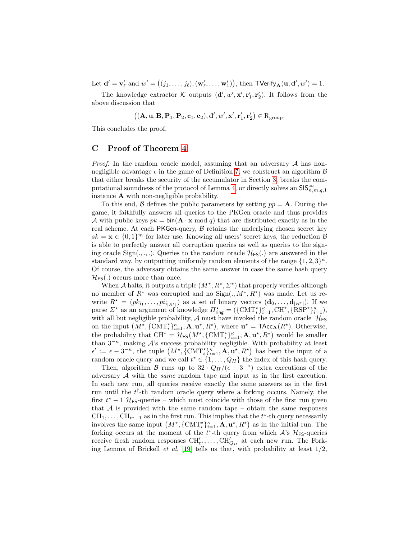Let  $\mathbf{d}' = \mathbf{v}'_\ell$  and  $w' = ((j_1, \ldots, j_\ell), (\mathbf{w}'_\ell, \ldots, \mathbf{w}'_1)),$  then  $\mathsf{TVerify}_{\mathbf{A}}(\mathbf{u}, \mathbf{d}', w') = 1$ .

The knowledge extractor  $\mathcal K$  outputs  $(d', w', x', r'_1, r'_2)$ . It follows from the above discussion that

$$
\big((\mathbf{A},\mathbf{u},\mathbf{B},\mathbf{P}_1,\mathbf{P}_2,\mathbf{c}_1,\mathbf{c}_2),\mathbf{d}',w',\mathbf{x}',\mathbf{r}_1',\mathbf{r}_2'\big)\in R_{\text{group}}.
$$

This concludes the proof.

## <span id="page-43-0"></span>C Proof of Theorem [4](#page-19-1)

*Proof.* In the random oracle model, assuming that an adversary  $A$  has nonnegligible advantage  $\epsilon$  in the game of Definition [7,](#page-16-1) we construct an algorithm  $\beta$ that either breaks the security of the accumulator in Section [3,](#page-6-0) breaks the com-putational soundness of the protocol of Lemma [4,](#page-17-1) or directly solves an  $\text{SIS}_{n,m,q,1}^{\infty}$ instance A with non-negligible probability.

To this end,  $\beta$  defines the public parameters by setting  $pp = A$ . During the game, it faithfully answers all queries to the PKGen oracle and thus provides A with public keys  $pk = bin(\mathbf{A} \cdot \mathbf{x} \mod q)$  that are distributed exactly as in the real scheme. At each PKGen-query,  $\beta$  retains the underlying chosen secret key  $sk = \mathbf{x} \in \{0,1\}^m$  for later use. Knowing all users' secret keys, the reduction  $\mathcal{B}$ is able to perfectly answer all corruption queries as well as queries to the signing oracle  $Sign(.,.,.)$ . Queries to the random oracle  $\mathcal{H}_{FS}(.)$  are answered in the standard way, by outputting uniformly random elements of the range  $\{1, 2, 3\}^{\kappa}$ . Of course, the adversary obtains the same answer in case the same hash query  $\mathcal{H}_{FS}(.)$  occurs more than once.

When A halts, it outputs a triple  $(M^*, R^*, \Sigma^*)$  that properly verifies although no member of  $R^*$  was corrupted and no  $Sign(., M^*, R^*)$  was made. Let us rewrite  $R^* = (pk_{i_1}, \ldots, pi_{i_{|R^*|}})$  as a set of binary vectors  $(\mathbf{d}_0, \ldots, \mathbf{d}_{|R^*|})$ . If we parse  $\Sigma^*$  as an argument of knowledge  $\Pi_{\text{ring}}^* = (\{\text{CMT}_i^*\}_{i=1}^{\kappa}, \text{CH}^*, \{\text{RSP}^*\}_{i=1}^{\kappa}),$ with all but negligible probability,  $\mathcal A$  must have invoked the random oracle  $\mathcal H_{FS}$ on the input  $(M^{\star}, {\{\mathrm{CMT}^{\star}_i\}_{i=1}^{\kappa}}, \mathbf{A}, \mathbf{u}^{\star}, R^{\star}),$  where  $\mathbf{u}^{\star} = \mathsf{TAcc}_{\mathbf{A}}(R^{\star}).$  Otherwise, the probability that  $CH^* = H_{FS}(M^*, {\{CMT_i^*\}}_{i=1}^{\kappa}, \mathbf{A}, \mathbf{u}^*, R^*)$  would be smaller than  $3^{-\kappa}$ , making A's success probability negligible. With probability at least  $\epsilon' := \epsilon - 3^{-\kappa}$ , the tuple  $(M^{\star}, {\{\text{CMT}^{\star}_i\}}_{i=1}^{\kappa}, \mathbf{A}, \mathbf{u}^{\star}, R^{\star})$  has been the input of a random oracle query and we call  $t^* \in \{1, ..., Q_H\}$  the index of this hash query.

Then, algorithm B runs up to  $32 \cdot Q_H/(\epsilon - 3^{-\kappa})$  extra executions of the adversary A with the same random tape and input as in the first execution. In each new run, all queries receive exactly the same answers as in the first run until the  $t^{\dagger}$ -th random oracle query where a forking occurs. Namely, the first  $t^* - 1$  H<sub>FS</sub>-queries – which must coincide with those of the first run given that  $A$  is provided with the same random tape – obtain the same responses  $\text{CH}_1, \ldots, \text{CH}_{t^*-1}$  as in the first run. This implies that the  $t^*$ -th query necessarily involves the same input  $(M^*, {\text{CMT}}_i^* )_{i=1}^{\kappa}, \mathbf{A}, \mathbf{u}^*, R^* )$  as in the initial run. The forking occurs at the moment of the  $t^*$ -th query from which  $\mathcal{A}$ 's  $\mathcal{H}_{FS}$ -queries receive fresh random responses  $\text{CH}'_{t}$ ,..., $\text{CH}'_{Q_H}$  at each new run. The Forking Lemma of Brickell *et al.* [\[19\]](#page-27-17) tells us that, with probability at least  $1/2$ ,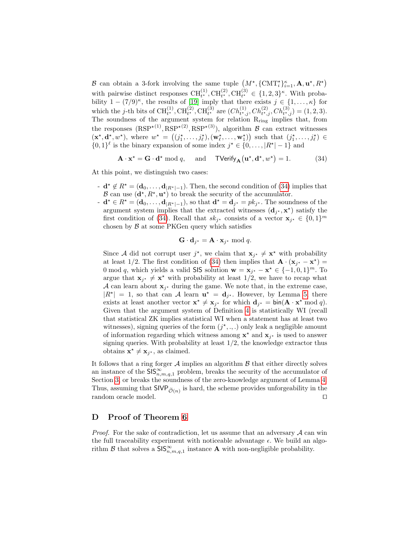B can obtain a 3-fork involving the same tuple  $(M^{\star}, {\{\rm CMT}^{\star}_i\}_{i=1}^{\kappa}, \mathbf{A}, \mathbf{u}^{\star}, R^{\star})$ with pairwise distinct responses  $\text{CH}_{t^*}^{(1)}$ ,  $\text{CH}_{t^*}^{(2)}$ ,  $\text{CH}_{t^*}^{(3)} \in \{1, 2, 3\}^{\kappa}$ . With probability  $1 - (7/9)^{\kappa}$ , the results of [\[19\]](#page-27-17) imply that there exists  $j \in \{1, ..., \kappa\}$  for which the j-th bits of  $\text{CH}_{t^*}^{(1)}$ ,  $\text{CH}_{t^*}^{(2)}$ ,  $\text{CH}_{t^*}^{(3)}$  are  $(Ch_{t^*,j}^{(1)}, Ch_{t^*,j}^{(2)}, Ch_{t^*,j}^{(3)}) = (1,2,3)$ . The soundness of the argument system for relation R<sub>ring</sub> implies that, from the responses  $(RSP^{\star(1)}, RSP^{\star(2)}, RSP^{\star(3)})$ , algorithm  $\beta$  can extract witnesses  $(\mathbf{x}^{\star}, \mathbf{d}^{\star}, w^{\star})$ , where  $w^{\star} = ((j_1^{\star}, \ldots, j_{\ell}^{\star}), (\mathbf{w}_{\ell}^{\star}, \ldots, \mathbf{w}_{1}^{\star}))$  such that  $(j_1^{\star}, \ldots, j_{\ell}^{\star}) \in$  $\{0,1\}^{\ell}$  is the binary expansion of some index  $j^* \in \{0,\ldots, |R^*|-1\}$  and

<span id="page-44-1"></span>
$$
\mathbf{A} \cdot \mathbf{x}^* = \mathbf{G} \cdot \mathbf{d}^* \bmod q, \quad \text{and} \quad \mathsf{TVerify}_{\mathbf{A}}(\mathbf{u}^*, \mathbf{d}^*, w^*) = 1.
$$
 (34)

At this point, we distinguish two cases:

- $\mathbf{d} \cdot \mathbf{d} \notin \mathbb{R}^* = (\mathbf{d}_0, \dots, \mathbf{d}_{|\mathbb{R}^*| 1}).$  Then, the second condition of [\(34\)](#page-44-1) implies that B can use  $(\mathbf{d}^*, R^*, \mathbf{u}^*)$  to break the security of the accumulator.
- $\mathbf{d} \cdot \mathbf{d} \cdot \in R^* = (\mathbf{d}_0, \dots, \mathbf{d}_{|R^*| 1}),$  so that  $\mathbf{d} \cdot \mathbf{d} = \mathbf{d}_{j^*} = p k_{j^*}.$  The soundness of the argument system implies that the extracted witnesses  $(\mathbf{d}_{j^*}, \mathbf{x}^*)$  satisfy the first condition of [\(34\)](#page-44-1). Recall that  $sk_{j^*}$  consists of a vector  $\mathbf{x}_{j^*} \in \{0,1\}^m$ chosen by  $\beta$  at some PKGen query which satisfies

$$
\mathbf{G} \cdot \mathbf{d}_{j^*} = \mathbf{A} \cdot \mathbf{x}_{j^*} \bmod q.
$$

Since A did not corrupt user  $j^*$ , we claim that  $\mathbf{x}_{j^*} \neq \mathbf{x}^*$  with probability at least 1/2. The first condition of [\(34\)](#page-44-1) then implies that  $\mathbf{A} \cdot (\mathbf{x}_{j^*} - \mathbf{x}^*) =$ 0 mod q, which yields a valid SIS solution  $\mathbf{w} = \mathbf{x}_{j^*} - \mathbf{x}^* \in \{-1, 0, 1\}^m$ . To argue that  $\mathbf{x}_{j^*} \neq \mathbf{x}^*$  with probability at least  $1/2$ , we have to recap what A can learn about  $\mathbf{x}_{j^*}$  during the game. We note that, in the extreme case,  $|R^{\star}| = 1$ , so that can A learn  $\mathbf{u}^{\star} = \mathbf{d}_{j^{\star}}$ . However, by Lemma [5,](#page-19-2) there exists at least another vector  $\mathbf{x}^* \neq \mathbf{x}_{j^*}$  for which  $\mathbf{d}_{j^*} = \text{bin}(\mathbf{A} \cdot \mathbf{x}^* \mod q)$ . Given that the argument system of Definition [4](#page-17-1) is statistically WI (recall that statistical ZK implies statistical WI when a statement has at least two witnesses), signing queries of the form  $(j^*, \ldots)$  only leak a negligible amount of information regarding which witness among  $x^*$  and  $x_{j^*}$  is used to answer signing queries. With probability at least  $1/2$ , the knowledge extractor thus obtains  $\mathbf{x}^* \neq \mathbf{x}_{j^*}$ , as claimed.

It follows that a ring forger  $\mathcal A$  implies an algorithm  $\mathcal B$  that either directly solves an instance of the  $\widetilde{\text{SIS}_{n,m,q,1}}$  problem, breaks the security of the accumulator of Section [3,](#page-6-0) or breaks the soundness of the zero-knowledge argument of Lemma [4.](#page-17-1) Thus, assuming that  $SIVP_{\tilde{O}(n)}$  is hard, the scheme provides unforgeability in the random oracle model.  $\Box$ 

## <span id="page-44-0"></span>D Proof of Theorem [6](#page-25-0)

*Proof.* For the sake of contradiction, let us assume that an adversary  $\mathcal A$  can win the full traceability experiment with noticeable advantage  $\epsilon$ . We build an algorithm  $\mathcal B$  that solves a  $\textsf{SIS}_{n,m,q,1}^{\infty}$  instance **A** with non-negligible probability.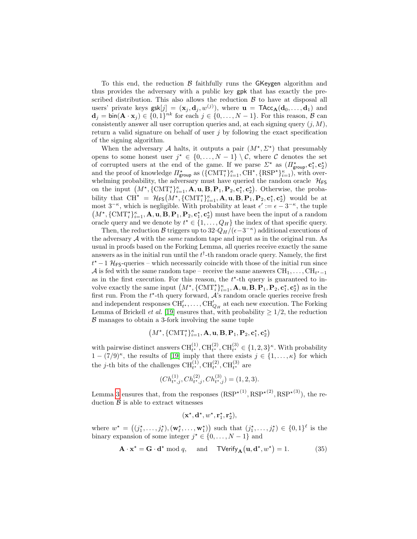To this end, the reduction  $\beta$  faithfully runs the GKeygen algorithm and thus provides the adversary with a public key gpk that has exactly the prescribed distribution. This also allows the reduction  $\beta$  to have at disposal all users' private keys  $\textsf{gsk}[j] = (\mathbf{x}_j, \mathbf{d}_j, w^{(j)})$ , where  $\mathbf{u} = \textsf{TAcc}_{\mathbf{A}}(\mathbf{d}_0, \dots, \mathbf{d}_1)$  and  $\mathbf{d}_j = \text{bin}(\mathbf{A} \cdot \mathbf{x}_j) \in \{0,1\}^{nk}$  for each  $j \in \{0, \ldots, N-1\}$ . For this reason,  $\mathcal{B}$  can consistently answer all user corruption queries and, at each signing query  $(j, M)$ , return a valid signature on behalf of user  $i$  by following the exact specification of the signing algorithm.

When the adversary A halts, it outputs a pair  $(M^*, \Sigma^*)$  that presumably opens to some honest user  $j^* \in \{0, ..., N-1\} \setminus \mathcal{C}$ , where  $\mathcal C$  denotes the set of corrupted users at the end of the game. If we parse  $\Sigma^*$  as  $(\Pi^*_{\text{group}}, \mathbf{c}_1^*, \mathbf{c}_2^*)$ and the proof of knowledge  $\Pi_{\text{group}}^{\star}$  as  $(\{ \text{CMT}_{i}^{\star} \}_{i=1}^{k}, \text{CH}^{\star}, \{ \text{RSP}^{\star} \}_{i=1}^{k})$ , with overwhelming probability, the adversary must have queried the random oracle  $\mathcal{H}_{FS}$ on the input  $(M^*, {\{\text{CMT}}_i^*}\}_{i=1}^{\kappa}, \mathbf{A}, \mathbf{u}, \mathbf{B}, \mathbf{P}_1, \mathbf{P}_2, \mathbf{c}_1^*, \mathbf{c}_2^*).$  Otherwise, the probability that  $\mathrm{CH}^{\star} = \mathcal{H}_{FS}(M^{\star}, \{\mathrm{CMT}^{\star}_i\}_{i=1}^{\kappa}, \mathbf{A}, \mathbf{u}, \mathbf{B}, \mathbf{P}_1, \mathbf{P}_2, \mathbf{c}_1^{\star}, \mathbf{c}_2^{\star})$  would be at most  $3^{-\kappa}$ , which is negligible. With probability at least  $\epsilon' := \epsilon - 3^{-\kappa}$ , the tuple  $(M^{\star}, \{\text{CMT}^{\star}_i\}_{i=1}^{\kappa}, \mathbf{A}, \mathbf{u}, \mathbf{B}, \mathbf{P}_1, \mathbf{P}_2, \mathbf{c}_1^{\star}, \mathbf{c}_2^{\star})$  must have been the input of a random oracle query and we denote by  $t^* \in \{1, \ldots, Q_H\}$  the index of that specific query.

Then, the reduction B triggers up to  $32 \cdot Q_H/(\epsilon - 3^{-\kappa})$  additional executions of the adversary  $A$  with the *same* random tape and input as in the original run. As usual in proofs based on the Forking Lemma, all queries receive exactly the same answers as in the initial run until the  $t^{\dagger}$ -th random oracle query. Namely, the first  $t^*$  – 1 H<sub>FS</sub>-queries – which necessarily coincide with those of the initial run since  ${\cal A}$  is fed with the same random tape – receive the same answers  ${\rm CH}_{1},\ldots,{\rm CH}_{t^{*}-1}$ as in the first execution. For this reason, the  $t^*$ -th query is guaranteed to involve exactly the same input  $(M^*, {\text{CMT}}_i^*_{i=1}^{\kappa}, \mathbf{A}, \mathbf{u}, \mathbf{B}, \mathbf{P}_1, \mathbf{P}_2, \mathbf{c}_1^*, \mathbf{c}_2^*)$  as in the first run. From the  $t^*$ -th query forward,  $\mathcal{A}$ 's random oracle queries receive fresh and independent responses  $\text{CH}'_{t^*}, \ldots, \text{CH}'_{Q_H}$  at each new execution. The Forking Lemma of Brickell *et al.* [\[19\]](#page-27-17) ensures that, with probability  $\geq 1/2$ , the reduction  $\beta$  manages to obtain a 3-fork involving the same tuple

$$
\left(M^\star, \{\mathrm{CMT}^\star_i\}_{i=1}^\kappa, \mathbf{A}, \mathbf{u}, \mathbf{B}, \mathbf{P}_1, \mathbf{P}_2, \mathbf{c}_1^\star, \mathbf{c}_2^\star\right)
$$

with pairwise distinct answers  $\text{CH}_{t^*}^{(1)}$ ,  $\text{CH}_{t^*}^{(2)}$ ,  $\text{CH}_{t^*}^{(3)} \in \{1, 2, 3\}^{\kappa}$ . With probability  $1 - (7/9)^{\kappa}$ , the results of [\[19\]](#page-27-17) imply that there exists  $j \in \{1, ..., \kappa\}$  for which the *j*-th bits of the challenges  $\text{CH}_{t\star}^{(1)}$ ,  $\text{CH}_{t\star}^{(2)}$ ,  $\text{CH}_{t\star}^{(3)}$  are

$$
(Ch_{t*,j}^{(1)}, Ch_{t*,j}^{(2)}, Ch_{t*,j}^{(3)}) = (1,2,3).
$$

Lemma [3](#page-14-0) ensures that, from the responses  $(RSP^{*(1)}, RSP^{*(2)}, RSP^{*(3)})$ , the reduction  $\beta$  is able to extract witnesses

$$
(\mathbf{x}^{\star}, \mathbf{d}^{\star}, w^{\star}, \mathbf{r}^{\star}_1, \mathbf{r}^{\star}_2),
$$

where  $w^* = ((j_1^*, \ldots, j_\ell^*), (\mathbf{w}_\ell^*, \ldots, \mathbf{w}_1^*))$  such that  $(j_1^*, \ldots, j_\ell^*) \in \{0,1\}^\ell$  is the binary expansion of some integer  $j^* \in \{0, \ldots, N-1\}$  and

<span id="page-45-0"></span>
$$
\mathbf{A} \cdot \mathbf{x}^* = \mathbf{G} \cdot \mathbf{d}^* \bmod q, \quad \text{and} \quad \mathsf{TVerify}_{\mathbf{A}}(\mathbf{u}, \mathbf{d}^*, w^*) = 1.
$$
 (35)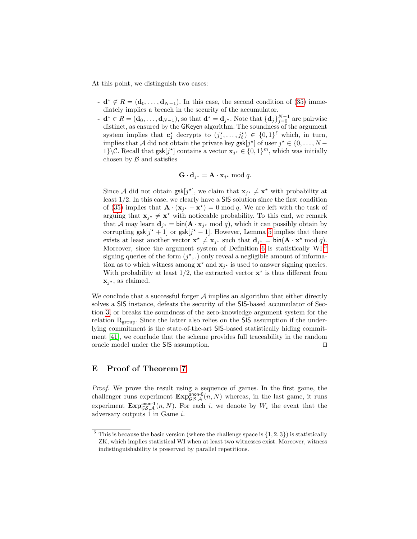At this point, we distinguish two cases:

- $\mathbf{d} \star \notin R = (\mathbf{d}_0, \ldots, \mathbf{d}_{N-1})$ . In this case, the second condition of [\(35\)](#page-45-0) immediately implies a breach in the security of the accumulator.
- $\mathbf{d} \cdot \mathbf{d} = (\mathbf{d}_0, \dots, \mathbf{d}_{N-1}),$  so that  $\mathbf{d} \cdot \mathbf{d} = \mathbf{d}_{j^*}.$  Note that  $\{\mathbf{d}_j\}_{j=0}^{N-1}$  are pairwise distinct, as ensured by the GKeyen algorithm. The soundness of the argument system implies that  $\mathbf{c}_1^{\star}$  decrypts to  $(j_1^{\star}, \ldots, j_{\ell}^{\star}) \in \{0,1\}^{\ell}$  which, in turn, implies that A did not obtain the private key  $\textsf{gsk}[j^{\star}]$  of user  $j^{\star} \in \{0, \ldots, N - \}$ 1}\ $\mathcal{C}$ . Recall that  $\textsf{gsk}[j^{\star}]$  contains a vector  $\mathbf{x}_{j^{\star}} \in \{0,1\}^m$ , which was initially chosen by  $\beta$  and satisfies

$$
\mathbf{G} \cdot \mathbf{d}_{j^*} = \mathbf{A} \cdot \mathbf{x}_{j^*} \bmod q.
$$

Since A did not obtain  $\text{gsk}[j^*]$ , we claim that  $\mathbf{x}_{j^*} \neq \mathbf{x}^*$  with probability at least 1/2. In this case, we clearly have a SIS solution since the first condition of [\(35\)](#page-45-0) implies that  $\mathbf{A} \cdot (\mathbf{x}_{j^*} - \mathbf{x}^*) = 0 \mod q$ . We are left with the task of arguing that  $\mathbf{x}_{j^*} \neq \mathbf{x}^*$  with noticeable probability. To this end, we remark that A may learn  $\mathbf{d}_{j^*} = \text{bin}(\mathbf{A} \cdot \mathbf{x}_{j^*} \mod q)$ , which it can possibly obtain by corrupting  $\textsf{gsk}[j^*+1]$  or  $\textsf{gsk}[j^*-1]$ . However, Lemma [5](#page-19-2) implies that there exists at least another vector  $\mathbf{x}^* \neq \mathbf{x}_{j^*}$  such that  $\mathbf{d}_{j^*} = \text{bin}(\mathbf{A} \cdot \mathbf{x}^* \mod q)$ . Moreover, since the argument system of Definition [6](#page-22-2) is statistically  $WI<sub>5</sub>$  $WI<sub>5</sub>$  $WI<sub>5</sub>$ signing queries of the form  $(j^*,.)$  only reveal a negligible amount of information as to which witness among  $\mathbf{x}^*$  and  $\mathbf{x}_{j^*}$  is used to answer signing queries. With probability at least  $1/2$ , the extracted vector  $\mathbf{x}^*$  is thus different from  $\mathbf{x}_{j^*}$ , as claimed.

We conclude that a successful forger  $A$  implies an algorithm that either directly solves a SIS instance, defeats the security of the SIS-based accumulator of Section [3,](#page-6-0) or breaks the soundness of the zero-knowledge argument system for the relation  $R_{\text{group}}$ . Since the latter also relies on the SIS assumption if the underlying commitment is the state-of-the-art SIS-based statistically hiding commitment [\[41\]](#page-28-11), we conclude that the scheme provides full traceability in the random oracle model under the  $\textsf{SIS}$  assumption.  $\Box$ 

## <span id="page-46-0"></span>E Proof of Theorem [7](#page-26-11)

Proof. We prove the result using a sequence of games. In the first game, the challenger runs experiment  $\mathbf{Exp}_{\mathcal{GS},\mathcal{A}}^{\text{anon-0}}(n,N)$  whereas, in the last game, it runs experiment  $\mathbf{Exp}_{\mathcal{GS},\mathcal{A}}^{\text{anon-1}}(n,N)$ . For each i, we denote by  $W_i$  the event that the adversary outputs 1 in Game i.

<span id="page-46-1"></span> $5$  This is because the basic version (where the challenge space is  $\{1, 2, 3\}$ ) is statistically ZK, which implies statistical WI when at least two witnesses exist. Moreover, witness indistinguishability is preserved by parallel repetitions.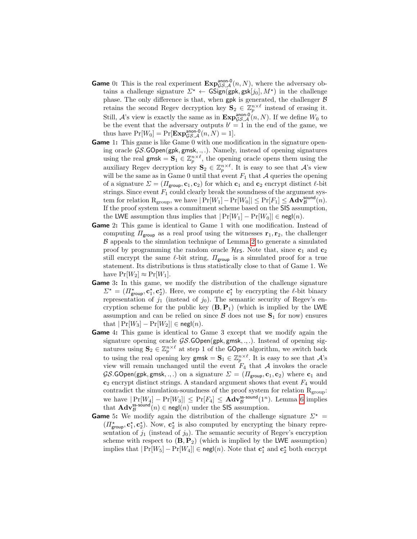- **Game** 0: This is the real experiment  $\mathbf{Exp}_{\mathcal{GS},\mathcal{A}}^{\text{anon-0}}(n,N)$ , where the adversary obtains a challenge signature  $\Sigma^* \leftarrow \mathsf{GSign}(\mathsf{gpk}, \mathsf{gsk}[j_0], M^*)$  in the challenge phase. The only difference is that, when gpk is generated, the challenger  $\beta$ retains the second Regev decryption key  $S_2 \in \mathbb{Z}_p^{n \times \ell}$  instead of erasing it. Still, A's view is exactly the same as in  $\text{Exp}_{\mathcal{GS},\mathcal{A}}^{\text{anon-0}}(n,N)$ . If we define  $W_0$  to be the event that the adversary outputs  $b' = 1$  in the end of the game, we thus have  $Pr[W_0] = Pr[\mathbf{Exp}_{\mathcal{GS},\mathcal{A}}^{\text{anon-0}}(n,N) = 1].$
- Game 1: This game is like Game 0 with one modification in the signature opening oracle  $\mathcal{G}\mathcal{S}.\mathsf{GOpen}(\mathsf{gpk}, \mathsf{gmsk}, \ldots)$ . Namely, instead of opening signatures using the real gmsk =  $\mathbf{S}_1 \in \mathbb{Z}_p^{n \times \ell}$ , the opening oracle opens them using the auxiliary Regev decryption key  $\mathbf{S}_2 \in \mathbb{Z}_p^{n \times \ell}$ . It is easy to see that A's view will be the same as in Game 0 until that event  $F_1$  that A queries the opening of a signature  $\Sigma = (H_{\text{group}}, \mathbf{c}_1, \mathbf{c}_2)$  for which  $\mathbf{c}_1$  and  $\mathbf{c}_2$  encrypt distinct  $\ell$ -bit strings. Since event  $F_1$  could clearly break the soundness of the argument system for relation  $R_{\text{group}}$ , we have  $|\Pr[W_1]-\Pr[W_0]| \leq \Pr[F_1] \leq \mathbf{Adv}_{\mathcal{B}}^{\text{sound}}(n)$ . If the proof system uses a commitment scheme based on the SIS assumption, the LWE assumption thus implies that  $|\Pr[W_1] - \Pr[W_0]| \in \mathsf{negl}(n)$ .
- Game 2: This game is identical to Game 1 with one modification. Instead of computing  $\Pi_{\text{group}}$  as a real proof using the witnesses  $\mathbf{r}_1, \mathbf{r}_2$ , the challenger B appeals to the simulation technique of Lemma [2](#page-13-1) to generate a simulated proof by programming the random oracle  $\mathcal{H}_{FS}$ . Note that, since  $c_1$  and  $c_2$ still encrypt the same  $\ell$ -bit string,  $\Pi_{\mathsf{group}}$  is a simulated proof for a true statement. Its distributions is thus statistically close to that of Game 1. We have  $Pr[W_2] \approx Pr[W_1]$ .
- Game 3: In this game, we modify the distribution of the challenge signature  $\Sigma^* = (\Pi^*_{\text{group}}, \mathbf{c}_1^*, \mathbf{c}_2^*)$ . Here, we compute  $\mathbf{c}_1^*$  by encrypting the  $\ell$ -bit binary representation of  $j_1$  (instead of  $j_0$ ). The semantic security of Regev's encryption scheme for the public key  $(\mathbf{B}, \mathbf{P}_1)$  (which is implied by the LWE assumption and can be relied on since  $\mathcal{B}$  does not use  $S_1$  for now) ensures that  $|\Pr[W_3] - \Pr[W_2]| \in \mathsf{negl}(n)$ .
- Game 4: This game is identical to Game 3 except that we modify again the signature opening oracle  $\mathcal{G}S$ . GOpen(gpk, gmsk, ., .). Instead of opening signatures using  $S_2 \in \mathbb{Z}_p^{n \times \ell}$  at step 1 of the GOpen algorithm, we switch back to using the real opening key gmsk =  $\mathbf{S}_1 \in \mathbb{Z}_p^{n \times \ell}$ . It is easy to see that  $\mathcal{A}$ 's view will remain unchanged until the event  $F_4$  that A invokes the oracle  $\mathcal{G}\mathcal{S}$ .GOpen(gpk, gmsk, ., .) on a signature  $\Sigma = (H_{\text{group}}, \mathbf{c}_1, \mathbf{c}_2)$  where  $\mathbf{c}_1$  and  $c_2$  encrypt distinct strings. A standard argument shows that event  $F_4$  would contradict the simulation-soundness of the proof system for relation  $R_{\text{group}}$ : we have  $|\Pr[W_4] - \Pr[W_3]| \le \Pr[F_4] \le \text{Adv}_{\mathcal{B}}^{\text{ss-sound}}(1^n)$ . Lemma [6](#page-22-2) implies that  $\mathbf{Adv}_{\mathcal{B}}^{\mathsf{ss-sound}}(n) \in \mathsf{negl}(n)$  under the SIS assumption.
- **Game** 5: We modify again the distribution of the challenge signature  $\Sigma^*$  =  $(\Pi^*_{\text{group}}, \mathbf{c}_1^{\star}, \mathbf{c}_2^{\star})$ . Now,  $\mathbf{c}_2^{\star}$  is also computed by encrypting the binary representation of  $j_1$  (instead of  $j_0$ ). The semantic security of Regev's encryption scheme with respect to  $(\mathbf{B}, \mathbf{P}_2)$  (which is implied by the LWE assumption) implies that  $|\Pr[W_5] - \Pr[W_4]| \in \mathsf{negl}(n)$ . Note that  $\mathbf{c}_1^{\star}$  and  $\mathbf{c}_2^{\star}$  both encrypt